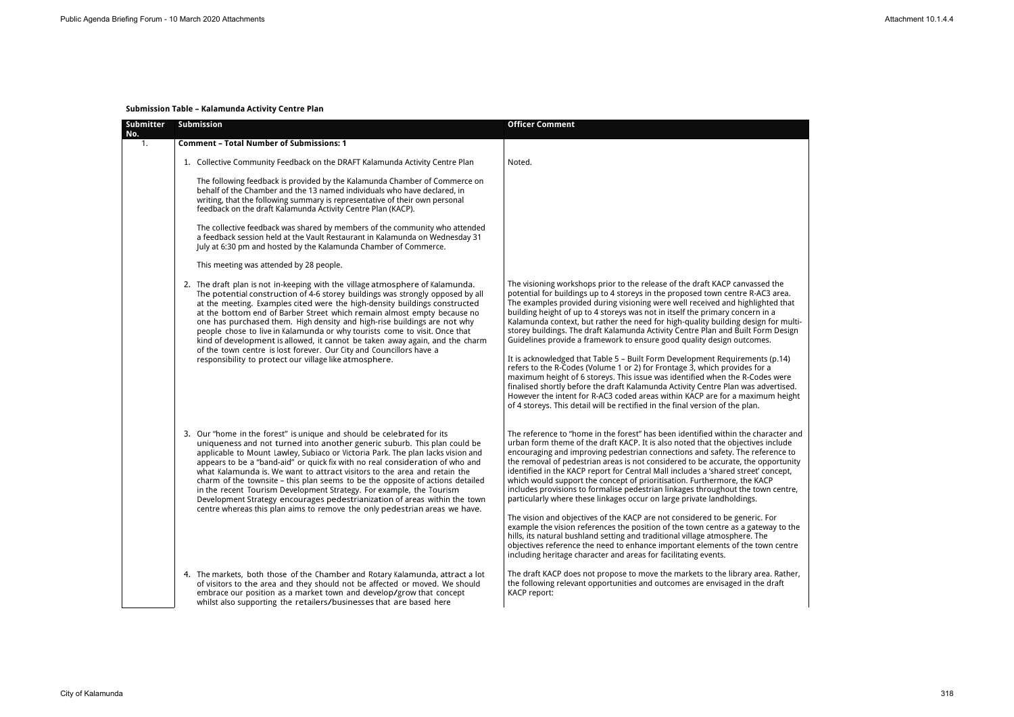# **Submission Table – Kalamunda Activity Centre Plan**

| Submitter<br>No. | <b>Submission</b>                                                                                                                                                                                                                                                                                                                                                                                                                                                                                                                                                                                                                                                                                                          | <b>Officer Comment</b>                                                                                                                                                                                                                                                                                                                                                                                                                                                                                                                                                                                                                                                                                                                                                                                                                                                                                                                                                                                                                                                                     |
|------------------|----------------------------------------------------------------------------------------------------------------------------------------------------------------------------------------------------------------------------------------------------------------------------------------------------------------------------------------------------------------------------------------------------------------------------------------------------------------------------------------------------------------------------------------------------------------------------------------------------------------------------------------------------------------------------------------------------------------------------|--------------------------------------------------------------------------------------------------------------------------------------------------------------------------------------------------------------------------------------------------------------------------------------------------------------------------------------------------------------------------------------------------------------------------------------------------------------------------------------------------------------------------------------------------------------------------------------------------------------------------------------------------------------------------------------------------------------------------------------------------------------------------------------------------------------------------------------------------------------------------------------------------------------------------------------------------------------------------------------------------------------------------------------------------------------------------------------------|
| 1.               | <b>Comment - Total Number of Submissions: 1</b>                                                                                                                                                                                                                                                                                                                                                                                                                                                                                                                                                                                                                                                                            |                                                                                                                                                                                                                                                                                                                                                                                                                                                                                                                                                                                                                                                                                                                                                                                                                                                                                                                                                                                                                                                                                            |
|                  | 1. Collective Community Feedback on the DRAFT Kalamunda Activity Centre Plan                                                                                                                                                                                                                                                                                                                                                                                                                                                                                                                                                                                                                                               | Noted.                                                                                                                                                                                                                                                                                                                                                                                                                                                                                                                                                                                                                                                                                                                                                                                                                                                                                                                                                                                                                                                                                     |
|                  | The following feedback is provided by the Kalamunda Chamber of Commerce on<br>behalf of the Chamber and the 13 named individuals who have declared, in<br>writing, that the following summary is representative of their own personal<br>feedback on the draft Kalamunda Activity Centre Plan (KACP).                                                                                                                                                                                                                                                                                                                                                                                                                      |                                                                                                                                                                                                                                                                                                                                                                                                                                                                                                                                                                                                                                                                                                                                                                                                                                                                                                                                                                                                                                                                                            |
|                  | The collective feedback was shared by members of the community who attended<br>a feedback session held at the Vault Restaurant in Kalamunda on Wednesday 31<br>July at 6:30 pm and hosted by the Kalamunda Chamber of Commerce.                                                                                                                                                                                                                                                                                                                                                                                                                                                                                            |                                                                                                                                                                                                                                                                                                                                                                                                                                                                                                                                                                                                                                                                                                                                                                                                                                                                                                                                                                                                                                                                                            |
|                  | This meeting was attended by 28 people.                                                                                                                                                                                                                                                                                                                                                                                                                                                                                                                                                                                                                                                                                    |                                                                                                                                                                                                                                                                                                                                                                                                                                                                                                                                                                                                                                                                                                                                                                                                                                                                                                                                                                                                                                                                                            |
|                  | 2. The draft plan is not in-keeping with the village atmosphere of Kalamunda.<br>The potential construction of 4-6 storey buildings was strongly opposed by all<br>at the meeting. Examples cited were the high-density buildings constructed<br>at the bottom end of Barber Street which remain almost empty because no<br>one has purchased them. High density and high-rise buildings are not why<br>people chose to live in Kalamunda or why tourists come to visit. Once that<br>kind of development is allowed, it cannot be taken away again, and the charm<br>of the town centre is lost forever. Our City and Councillors have a<br>responsibility to protect our village like atmosphere.                        | The visioning workshops prior to the release of the draft KACP canvassed the<br>potential for buildings up to 4 storeys in the proposed town centre R-AC3 area.<br>The examples provided during visioning were well received and highlighted that<br>building height of up to 4 storeys was not in itself the primary concern in a<br>Kalamunda context, but rather the need for high-quality building design for multi<br>storey buildings. The draft Kalamunda Activity Centre Plan and Built Form Design<br>Guidelines provide a framework to ensure good quality design outcomes.<br>It is acknowledged that Table 5 - Built Form Development Requirements (p.14)<br>refers to the R-Codes (Volume 1 or 2) for Frontage 3, which provides for a<br>maximum height of 6 storeys. This issue was identified when the R-Codes were<br>finalised shortly before the draft Kalamunda Activity Centre Plan was advertised.<br>However the intent for R-AC3 coded areas within KACP are for a maximum height<br>of 4 storeys. This detail will be rectified in the final version of the plan. |
|                  | 3. Our "home in the forest" is unique and should be celebrated for its<br>uniqueness and not turned into another generic suburb. This plan could be<br>applicable to Mount Lawley, Subiaco or Victoria Park. The plan lacks vision and<br>appears to be a "band-aid" or quick fix with no real consideration of who and<br>what Kalamunda is. We want to attract visitors to the area and retain the<br>charm of the townsite - this plan seems to be the opposite of actions detailed<br>in the recent Tourism Development Strategy. For example, the Tourism<br>Development Strategy encourages pedestrianization of areas within the town<br>centre whereas this plan aims to remove the only pedestrian areas we have. | The reference to "home in the forest" has been identified within the character and<br>urban form theme of the draft KACP. It is also noted that the objectives include<br>encouraging and improving pedestrian connections and safety. The reference to<br>the removal of pedestrian areas is not considered to be accurate, the opportunity<br>identified in the KACP report for Central Mall includes a 'shared street' concept,<br>which would support the concept of prioritisation. Furthermore, the KACP<br>includes provisions to formalise pedestrian linkages throughout the town centre,<br>particularly where these linkages occur on large private landholdings.<br>The vision and objectives of the KACP are not considered to be generic. For<br>example the vision references the position of the town centre as a gateway to the<br>hills, its natural bushland setting and traditional village atmosphere. The<br>objectives reference the need to enhance important elements of the town centre<br>including heritage character and areas for facilitating events.       |
|                  | 4. The markets, both those of the Chamber and Rotary Kalamunda, attract a lot<br>of visitors to the area and they should not be affected or moved. We should<br>embrace our position as a market town and develop/grow that concept<br>whilst also supporting the retailers/businesses that are based here                                                                                                                                                                                                                                                                                                                                                                                                                 | The draft KACP does not propose to move the markets to the library area. Rather,<br>the following relevant opportunities and outcomes are envisaged in the draft<br>KACP report:                                                                                                                                                                                                                                                                                                                                                                                                                                                                                                                                                                                                                                                                                                                                                                                                                                                                                                           |

for multin Design

<del>.</del><br>s were<br><sub>/</sub>ertised. refuseer.<br>m height

acter and<br>nclude oortunit<mark>y</mark><br>ncept, i centre,

ی.<br>ay to the

a. Rather,<br>draft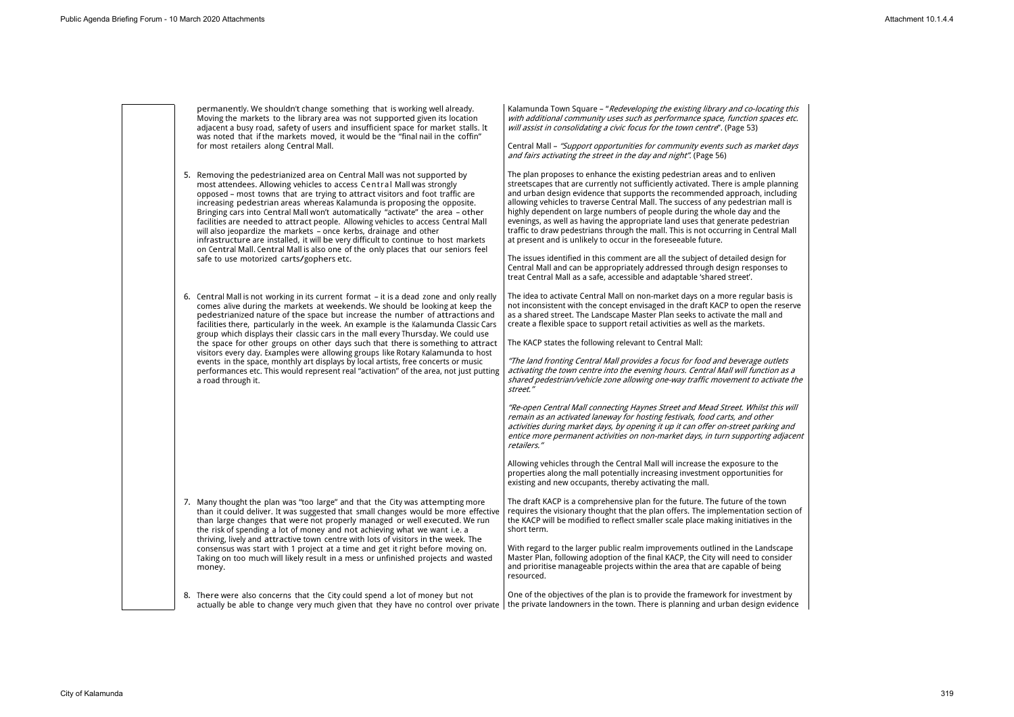permanently. We shouldn't change something that is working well already. Moving the markets to the library area was not supported given its location adjacent a busy road, safety of users and insufficient space for market stalls. It was noted that if the markets moved, it would be the "final nail in the coffin" for most retailers along Central Mall.

Kalamunda Town Square – "*Redeveloping the existing library and co-locating this with additional community uses such as performance space, function spaces etc. will assist in consolidating a civic focus for the town centre*". (Page 53)

Central Mall – *"Support opportunities for community events such as market days and fairs activating the street in the day and night"*. (Page 56)

5. Removing the pedestrianized area on Central Mall was not supported by most attendees. Allowing vehicles to access Central Mall was strongly opposed – most towns that are trying to attract visitors and foot traffic are increasing pedestrian areas whereas Kalamunda is proposing the opposite. Bringing cars into Central Mall won't automatically "activate" the area – other facilities are needed to attract people. Allowing vehicles to access Central Mall will also jeopardize the markets – once kerbs, drainage and other infrastructure are installed, it will be very difficult to continue to host markets on Central Mall. Central Mall is also one of the only places that our seniors feel safe to use motorized carts/gophers etc.

The plan proposes to enhance the existing pedestrian areas and to enliven streetscapes that are currently not sufficiently activated. There is ample planning and urban design evidence that supports the recommended approach, including allowing vehicles to traverse Central Mall. The success of any pedestrian mall is highly dependent on large numbers of people during the whole day and the evenings, as well as having the appropriate land uses that generate pedestrian traffic to draw pedestrians through the mall. This is not occurring in Central Mall at present and is unlikely to occur in the foreseeable future.

The issues identified in this comment are all the subject of detailed design for Central Mall and can be appropriately addressed through design responses to treat Central Mall as a safe, accessible and adaptable 'shared street'.

8. There were also concerns that the City could spend a lot of money but not actually be able to change very much given that they have no control over private | the private landowners in the town. There is planning and urban design evidence

6. Central Mall is not working in its current format – it is a dead zone and only really comes alive during the markets at weekends. We should be looking at keep the pedestrianized nature of the space but increase the number of attractions and facilities there, particularly in the week. An example is the Kalamunda Classic Cars group which displays their classic cars in the mall every Thursday. We could use the space for other groups on other days such that there is something to attract visitors every day. Examples were allowing groups like Rotary Kalamunda to host events in the space, monthly art displays by local artists, free concerts or music performances etc. This would represent real "activation" of the area, not just putting a road through it.

The idea to activate Central Mall on non-market days on a more regular basis is not inconsistent with the concept envisaged in the draft KACP to open the reserve as a shared street. The Landscape Master Plan seeks to activate the mall and create a flexible space to support retail activities as well as the markets.

The KACP states the following relevant to Central Mall:

*"The land fronting Central Mall provides a focus for food and beverage outlets activating the town centre into the evening hours. Central Mall will function as a shared pedestrian/vehicle zone allowing one-way traffic movement to activate the street."*

*"Re-open Central Mall connecting Haynes Street and Mead Street. Whilst this will remain as an activated laneway for hosting festivals, food carts, and other activities during market days, by opening it up it can offer on-street parking and entice more permanent activities on non-market days, in turn supporting adjacent retailers."* 

Allowing vehicles through the Central Mall will increase the exposure to the properties along the mall potentially increasing investment opportunities for existing and new occupants, thereby activating the mall.

7. Many thought the plan was "too large" and that the City was attempting more than it could deliver. It was suggested that small changes would be more effective than large changes that were not properly managed or well executed. We run the risk of spending a lot of money and not achieving what we want i.e. a thriving, lively and attractive town centre with lots of visitors in the week. The consensus was start with 1 project at a time and get it right before moving on. Taking on too much will likely result in a mess or unfinished projects and wasted money.

The draft KACP is a comprehensive plan for the future. The future of the town requires the visionary thought that the plan offers. The implementation section of the KACP will be modified to reflect smaller scale place making initiatives in the short term.

With regard to the larger public realm improvements outlined in the Landscape Master Plan, following adoption of the final KACP, the City will need to consider and prioritise manageable projects within the area that are capable of being resourced.

One of the objectives of the plan is to provide the framework for investment by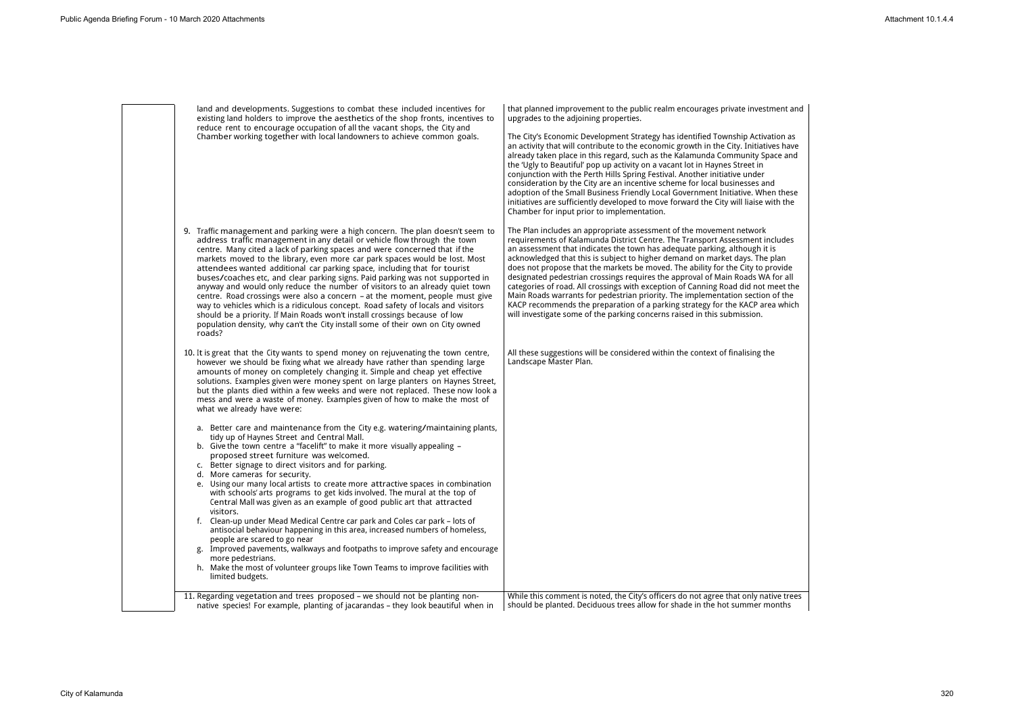land and developments. Suggestions to combat these included incentives for existing land holders to improve the aesthetics of the shop fronts, incentives to reduce rent to encourage occupation of all the vacant shops, the City and Chamber working together with local landowners to achieve common goals.

that planned improvement to the public realm encourages private invest upgrades to the adjoining properties.

The City's Economic Development Strategy has identified Township Activ an activity that will contribute to the economic growth in the City. Initiat already taken place in this regard, such as the Kalamunda Community S the 'Ugly to Beautiful' pop up activity on a vacant lot in Haynes Street in conjunction with the Perth Hills Spring Festival. Another initiative under consideration by the City are an incentive scheme for local businesses and adoption of the Small Business Friendly Local Government Initiative. When initiatives are sufficiently developed to move forward the City will liaise Chamber for input prior to implementation.

All these suggestions will be considered within the context of finalising Landscape Master Plan.

11. Regarding vegetation and trees proposed – we should not be planting nonnative species! For example, planting of jacarandas – they look beautiful when in While this comment is noted, the City's officers do not agree that only n should be planted. Deciduous trees allow for shade in the hot summer

The Plan includes an appropriate assessment of the movement network requirements of Kalamunda District Centre. The Transport Assessment an assessment that indicates the town has adequate parking, although acknowledged that this is subject to higher demand on market days. Th does not propose that the markets be moved. The ability for the City to designated pedestrian crossings requires the approval of Main Roads W categories of road. All crossings with exception of Canning Road did not Main Roads warrants for pedestrian priority. The implementation sectic KACP recommends the preparation of a parking strategy for the KACP and will investigate some of the parking concerns raised in this submission.

- 9. Traffic management and parking were a high concern. The plan doesn't seem to address traffic management in any detail or vehicle flow through the town centre. Many cited a lack of parking spaces and were concerned that if the markets moved to the library, even more car park spaces would be lost. Most attendees wanted additional car parking space, including that for tourist buses/coaches etc, and clear parking signs. Paid parking was not supported in anyway and would only reduce the number of visitors to an already quiet town centre. Road crossings were also a concern – at the moment, people must give way to vehicles which is a ridiculous concept. Road safety of locals and visitors should be a priority. If Main Roads won't install crossings because of low population density, why can't the City install some of their own on City owned roads?
- 10. It is great that the City wants to spend money on rejuvenating the town centre, however we should be fixing what we already have rather than spending large amounts of money on completely changing it. Simple and cheap yet effective solutions. Examples given were money spent on large planters on Haynes Street, but the plants died within a few weeks and were not replaced. These now look a mess and were a waste of money. Examples given of how to make the most of what we already have were:
	- a. Better care and maintenance from the City e.g. watering/maintaining plants, tidy up of Haynes Street and Central Mall.
	- b. Give the town centre a "facelift" to make it more visually appealing proposed street furniture was welcomed.
	- c. Better signage to direct visitors and for parking.
	- d. More cameras for security.
	- e. Using our many local artists to create more attractive spaces in combination with schools' arts programs to get kids involved. The mural at the top of Central Mall was given as an example of good public art that attracted visitors.
	- f. Clean-up under Mead Medical Centre car park and Coles car park lots of antisocial behaviour happening in this area, increased numbers of homeless, people are scared to go near
	- g. Improved pavements, walkways and footpaths to improve safety and encourage more pedestrians.
	- h. Make the most of volunteer groups like Town Teams to improve facilities with limited budgets.

| stment and                                                                                                     |  |
|----------------------------------------------------------------------------------------------------------------|--|
| vation as<br>tives have<br>$space$ and                                                                         |  |
| and<br>hen these<br>with the                                                                                   |  |
| K<br>includes<br>it is<br>e plan<br>provide<br>.<br><i>I</i> A for all<br>t meet the<br>งn of the<br>rea which |  |
| the                                                                                                            |  |
|                                                                                                                |  |
|                                                                                                                |  |
|                                                                                                                |  |
|                                                                                                                |  |
| ative trees                                                                                                    |  |
| months                                                                                                         |  |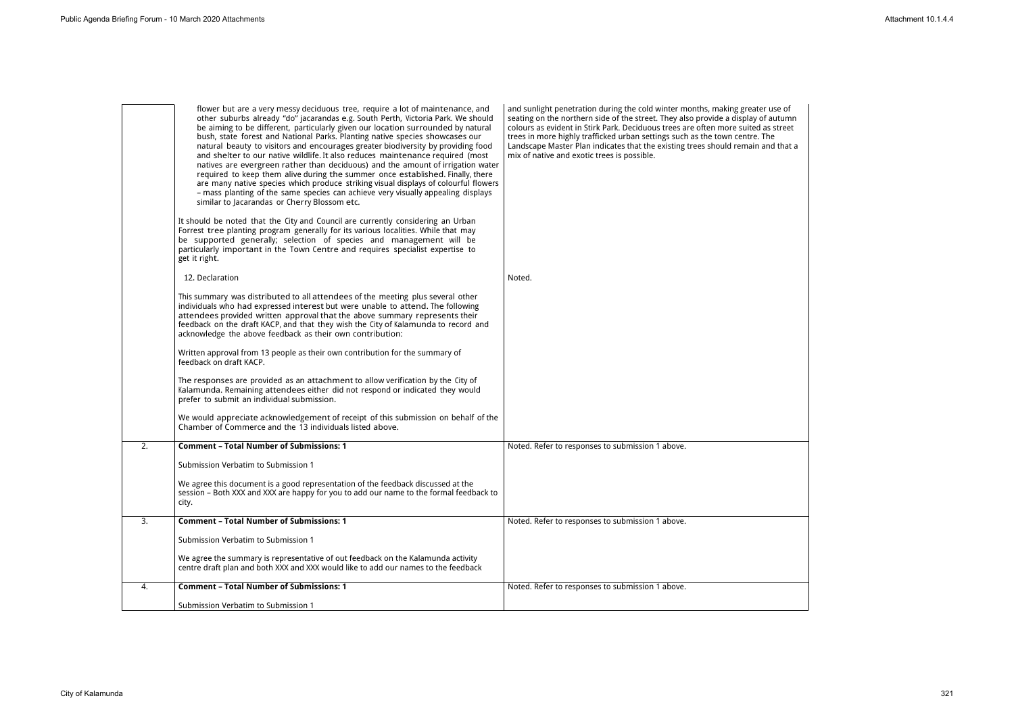|    | flower but are a very messy deciduous tree, require a lot of maintenance, and<br>other suburbs already "do" jacarandas e.g. South Perth, Victoria Park. We should<br>be aiming to be different, particularly given our location surrounded by natural<br>bush, state forest and National Parks. Planting native species showcases our<br>natural beauty to visitors and encourages greater biodiversity by providing food<br>and shelter to our native wildlife. It also reduces maintenance required (most<br>natives are evergreen rather than deciduous) and the amount of irrigation water<br>required to keep them alive during the summer once established. Finally, there<br>are many native species which produce striking visual displays of colourful flowers<br>- mass planting of the same species can achieve very visually appealing displays<br>similar to Jacarandas or Cherry Blossom etc.<br>It should be noted that the City and Council are currently considering an Urban<br>Forrest tree planting program generally for its various localities. While that may<br>be supported generally; selection of species and management will be<br>particularly important in the Town Centre and requires specialist expertise to<br>get it right.<br>12. Declaration<br>This summary was distributed to all attendees of the meeting plus several other<br>individuals who had expressed interest but were unable to attend. The following<br>attendees provided written approval that the above summary represents their<br>feedback on the draft KACP, and that they wish the City of Kalamunda to record and<br>acknowledge the above feedback as their own contribution:<br>Written approval from 13 people as their own contribution for the summary of<br>feedback on draft KACP.<br>The responses are provided as an attachment to allow verification by the City of<br>Kalamunda. Remaining attendees either did not respond or indicated they would<br>prefer to submit an individual submission.<br>We would appreciate acknowledgement of receipt of this submission on behalf of the<br>Chamber of Commerce and the 13 individuals listed above. | and sunlight penetration during the cold winter months, making greater use of<br>seating on the northern side of the street. They also provide a display of autumn<br>colours as evident in Stirk Park. Deciduous trees are often more suited as street<br>trees in more highly trafficked urban settings such as the town centre. The<br>Landscape Master Plan indicates that the existing trees should remain and that a<br>mix of native and exotic trees is possible.<br>Noted. |
|----|---------------------------------------------------------------------------------------------------------------------------------------------------------------------------------------------------------------------------------------------------------------------------------------------------------------------------------------------------------------------------------------------------------------------------------------------------------------------------------------------------------------------------------------------------------------------------------------------------------------------------------------------------------------------------------------------------------------------------------------------------------------------------------------------------------------------------------------------------------------------------------------------------------------------------------------------------------------------------------------------------------------------------------------------------------------------------------------------------------------------------------------------------------------------------------------------------------------------------------------------------------------------------------------------------------------------------------------------------------------------------------------------------------------------------------------------------------------------------------------------------------------------------------------------------------------------------------------------------------------------------------------------------------------------------------------------------------------------------------------------------------------------------------------------------------------------------------------------------------------------------------------------------------------------------------------------------------------------------------------------------------------------------------------------------------------------------------------------------------------------------------------------------------------------------|-------------------------------------------------------------------------------------------------------------------------------------------------------------------------------------------------------------------------------------------------------------------------------------------------------------------------------------------------------------------------------------------------------------------------------------------------------------------------------------|
| 2. | <b>Comment - Total Number of Submissions: 1</b>                                                                                                                                                                                                                                                                                                                                                                                                                                                                                                                                                                                                                                                                                                                                                                                                                                                                                                                                                                                                                                                                                                                                                                                                                                                                                                                                                                                                                                                                                                                                                                                                                                                                                                                                                                                                                                                                                                                                                                                                                                                                                                                           | Noted. Refer to responses to submission 1 above.                                                                                                                                                                                                                                                                                                                                                                                                                                    |
|    | Submission Verbatim to Submission 1                                                                                                                                                                                                                                                                                                                                                                                                                                                                                                                                                                                                                                                                                                                                                                                                                                                                                                                                                                                                                                                                                                                                                                                                                                                                                                                                                                                                                                                                                                                                                                                                                                                                                                                                                                                                                                                                                                                                                                                                                                                                                                                                       |                                                                                                                                                                                                                                                                                                                                                                                                                                                                                     |
|    | We agree this document is a good representation of the feedback discussed at the                                                                                                                                                                                                                                                                                                                                                                                                                                                                                                                                                                                                                                                                                                                                                                                                                                                                                                                                                                                                                                                                                                                                                                                                                                                                                                                                                                                                                                                                                                                                                                                                                                                                                                                                                                                                                                                                                                                                                                                                                                                                                          |                                                                                                                                                                                                                                                                                                                                                                                                                                                                                     |
|    | session - Both XXX and XXX are happy for you to add our name to the formal feedback to<br>city.                                                                                                                                                                                                                                                                                                                                                                                                                                                                                                                                                                                                                                                                                                                                                                                                                                                                                                                                                                                                                                                                                                                                                                                                                                                                                                                                                                                                                                                                                                                                                                                                                                                                                                                                                                                                                                                                                                                                                                                                                                                                           |                                                                                                                                                                                                                                                                                                                                                                                                                                                                                     |
| 3. | <b>Comment - Total Number of Submissions: 1</b>                                                                                                                                                                                                                                                                                                                                                                                                                                                                                                                                                                                                                                                                                                                                                                                                                                                                                                                                                                                                                                                                                                                                                                                                                                                                                                                                                                                                                                                                                                                                                                                                                                                                                                                                                                                                                                                                                                                                                                                                                                                                                                                           | Noted. Refer to responses to submission 1 above.                                                                                                                                                                                                                                                                                                                                                                                                                                    |
|    | Submission Verbatim to Submission 1                                                                                                                                                                                                                                                                                                                                                                                                                                                                                                                                                                                                                                                                                                                                                                                                                                                                                                                                                                                                                                                                                                                                                                                                                                                                                                                                                                                                                                                                                                                                                                                                                                                                                                                                                                                                                                                                                                                                                                                                                                                                                                                                       |                                                                                                                                                                                                                                                                                                                                                                                                                                                                                     |
|    | We agree the summary is representative of out feedback on the Kalamunda activity<br>centre draft plan and both XXX and XXX would like to add our names to the feedback                                                                                                                                                                                                                                                                                                                                                                                                                                                                                                                                                                                                                                                                                                                                                                                                                                                                                                                                                                                                                                                                                                                                                                                                                                                                                                                                                                                                                                                                                                                                                                                                                                                                                                                                                                                                                                                                                                                                                                                                    |                                                                                                                                                                                                                                                                                                                                                                                                                                                                                     |
| 4. | <b>Comment - Total Number of Submissions: 1</b>                                                                                                                                                                                                                                                                                                                                                                                                                                                                                                                                                                                                                                                                                                                                                                                                                                                                                                                                                                                                                                                                                                                                                                                                                                                                                                                                                                                                                                                                                                                                                                                                                                                                                                                                                                                                                                                                                                                                                                                                                                                                                                                           | Noted. Refer to responses to submission 1 above.                                                                                                                                                                                                                                                                                                                                                                                                                                    |
|    | Submission Verbatim to Submission 1                                                                                                                                                                                                                                                                                                                                                                                                                                                                                                                                                                                                                                                                                                                                                                                                                                                                                                                                                                                                                                                                                                                                                                                                                                                                                                                                                                                                                                                                                                                                                                                                                                                                                                                                                                                                                                                                                                                                                                                                                                                                                                                                       |                                                                                                                                                                                                                                                                                                                                                                                                                                                                                     |
|    |                                                                                                                                                                                                                                                                                                                                                                                                                                                                                                                                                                                                                                                                                                                                                                                                                                                                                                                                                                                                                                                                                                                                                                                                                                                                                                                                                                                                                                                                                                                                                                                                                                                                                                                                                                                                                                                                                                                                                                                                                                                                                                                                                                           |                                                                                                                                                                                                                                                                                                                                                                                                                                                                                     |

| r use of<br>f autumn           |
|--------------------------------|
| as street<br>'he<br>ınd that a |
|                                |
|                                |
|                                |
|                                |
|                                |
|                                |
|                                |
|                                |
|                                |
|                                |
|                                |
|                                |
|                                |
|                                |
|                                |
|                                |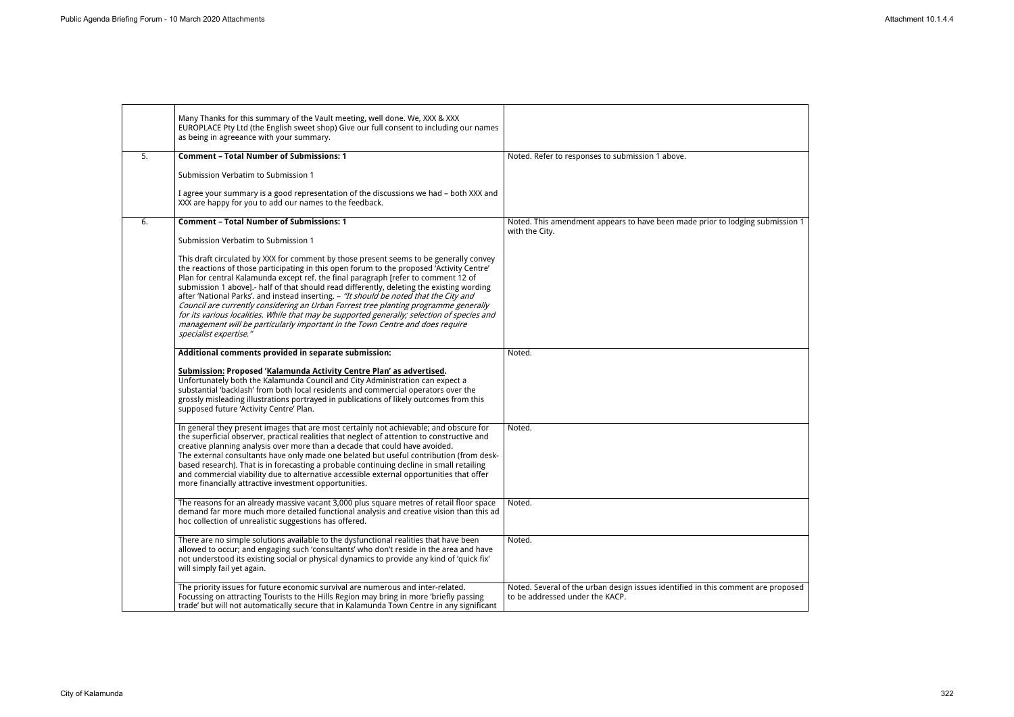|    | Many Thanks for this summary of the Vault meeting, well done. We, XXX & XXX<br>EUROPLACE Pty Ltd (the English sweet shop) Give our full consent to including our names<br>as being in agreeance with your summary.                                                                                                                                                                                                                                                                                                                                                                                                                                                                                                                                                 |                                                                                                             |
|----|--------------------------------------------------------------------------------------------------------------------------------------------------------------------------------------------------------------------------------------------------------------------------------------------------------------------------------------------------------------------------------------------------------------------------------------------------------------------------------------------------------------------------------------------------------------------------------------------------------------------------------------------------------------------------------------------------------------------------------------------------------------------|-------------------------------------------------------------------------------------------------------------|
| 5. | <b>Comment - Total Number of Submissions: 1</b>                                                                                                                                                                                                                                                                                                                                                                                                                                                                                                                                                                                                                                                                                                                    | Noted. Refer to responses to submission 1 above.                                                            |
|    | Submission Verbatim to Submission 1                                                                                                                                                                                                                                                                                                                                                                                                                                                                                                                                                                                                                                                                                                                                |                                                                                                             |
|    | I agree your summary is a good representation of the discussions we had - both XXX and<br>XXX are happy for you to add our names to the feedback.                                                                                                                                                                                                                                                                                                                                                                                                                                                                                                                                                                                                                  |                                                                                                             |
| 6. | <b>Comment - Total Number of Submissions: 1</b>                                                                                                                                                                                                                                                                                                                                                                                                                                                                                                                                                                                                                                                                                                                    | Noted. This amendment appears to have been made prior to lodging su                                         |
|    | Submission Verbatim to Submission 1                                                                                                                                                                                                                                                                                                                                                                                                                                                                                                                                                                                                                                                                                                                                | with the City.                                                                                              |
|    | This draft circulated by XXX for comment by those present seems to be generally convey<br>the reactions of those participating in this open forum to the proposed 'Activity Centre'<br>Plan for central Kalamunda except ref. the final paragraph [refer to comment 12 of<br>submission 1 above].- half of that should read differently, deleting the existing wording<br>after 'National Parks'. and instead inserting. - "It should be noted that the City and<br>Council are currently considering an Urban Forrest tree planting programme generally<br>for its various localities. While that may be supported generally; selection of species and<br>management will be particularly important in the Town Centre and does require<br>specialist expertise." |                                                                                                             |
|    | Additional comments provided in separate submission:                                                                                                                                                                                                                                                                                                                                                                                                                                                                                                                                                                                                                                                                                                               | Noted.                                                                                                      |
|    | Submission: Proposed 'Kalamunda Activity Centre Plan' as advertised.<br>Unfortunately both the Kalamunda Council and City Administration can expect a<br>substantial 'backlash' from both local residents and commercial operators over the<br>grossly misleading illustrations portrayed in publications of likely outcomes from this<br>supposed future 'Activity Centre' Plan.                                                                                                                                                                                                                                                                                                                                                                                  |                                                                                                             |
|    | In general they present images that are most certainly not achievable; and obscure for<br>the superficial observer, practical realities that neglect of attention to constructive and<br>creative planning analysis over more than a decade that could have avoided.<br>The external consultants have only made one belated but useful contribution (from desk-<br>based research). That is in forecasting a probable continuing decline in small retailing<br>and commercial viability due to alternative accessible external opportunities that offer<br>more financially attractive investment opportunities.                                                                                                                                                   | Noted.                                                                                                      |
|    | The reasons for an already massive vacant 3,000 plus square metres of retail floor space<br>demand far more much more detailed functional analysis and creative vision than this ad<br>hoc collection of unrealistic suggestions has offered.                                                                                                                                                                                                                                                                                                                                                                                                                                                                                                                      | Noted.                                                                                                      |
|    | There are no simple solutions available to the dysfunctional realities that have been<br>allowed to occur; and engaging such 'consultants' who don't reside in the area and have<br>not understood its existing social or physical dynamics to provide any kind of 'quick fix'<br>will simply fail yet again.                                                                                                                                                                                                                                                                                                                                                                                                                                                      | Noted.                                                                                                      |
|    | The priority issues for future economic survival are numerous and inter-related.<br>Focussing on attracting Tourists to the Hills Region may bring in more 'briefly passing<br>trade' but will not automatically secure that in Kalamunda Town Centre in any significant                                                                                                                                                                                                                                                                                                                                                                                                                                                                                           | Noted. Several of the urban design issues identified in this comment are<br>to be addressed under the KACP. |

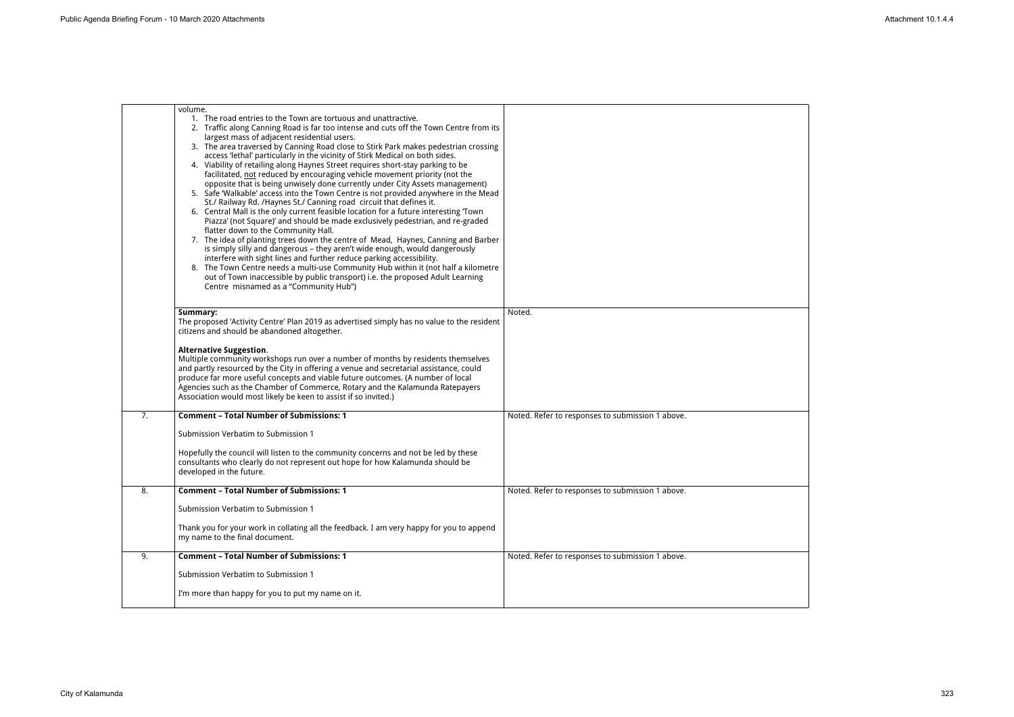|    | volume.<br>1. The road entries to the Town are tortuous and unattractive.<br>2. Traffic along Canning Road is far too intense and cuts off the Town Centre from its<br>largest mass of adjacent residential users.<br>3. The area traversed by Canning Road close to Stirk Park makes pedestrian crossing<br>access 'lethal' particularly in the vicinity of Stirk Medical on both sides.<br>4. Viability of retailing along Haynes Street requires short-stay parking to be<br>facilitated, not reduced by encouraging vehicle movement priority (not the<br>opposite that is being unwisely done currently under City Assets management)<br>5. Safe 'Walkable' access into the Town Centre is not provided anywhere in the Mead<br>St./ Railway Rd. /Haynes St./ Canning road circuit that defines it.<br>6. Central Mall is the only current feasible location for a future interesting 'Town<br>Piazza' (not Square)' and should be made exclusively pedestrian, and re-graded<br>flatter down to the Community Hall.<br>7. The idea of planting trees down the centre of Mead, Haynes, Canning and Barber<br>is simply silly and dangerous - they aren't wide enough, would dangerously<br>interfere with sight lines and further reduce parking accessibility.<br>8. The Town Centre needs a multi-use Community Hub within it (not half a kilometre<br>out of Town inaccessible by public transport) i.e. the proposed Adult Learning<br>Centre misnamed as a "Community Hub") |                                                  |
|----|---------------------------------------------------------------------------------------------------------------------------------------------------------------------------------------------------------------------------------------------------------------------------------------------------------------------------------------------------------------------------------------------------------------------------------------------------------------------------------------------------------------------------------------------------------------------------------------------------------------------------------------------------------------------------------------------------------------------------------------------------------------------------------------------------------------------------------------------------------------------------------------------------------------------------------------------------------------------------------------------------------------------------------------------------------------------------------------------------------------------------------------------------------------------------------------------------------------------------------------------------------------------------------------------------------------------------------------------------------------------------------------------------------------------------------------------------------------------------------------|--------------------------------------------------|
|    | Summary:<br>The proposed 'Activity Centre' Plan 2019 as advertised simply has no value to the resident<br>citizens and should be abandoned altogether.                                                                                                                                                                                                                                                                                                                                                                                                                                                                                                                                                                                                                                                                                                                                                                                                                                                                                                                                                                                                                                                                                                                                                                                                                                                                                                                                | Noted.                                           |
|    | <b>Alternative Suggestion.</b><br>Multiple community workshops run over a number of months by residents themselves<br>and partly resourced by the City in offering a venue and secretarial assistance, could<br>produce far more useful concepts and viable future outcomes. (A number of local<br>Agencies such as the Chamber of Commerce, Rotary and the Kalamunda Ratepayers<br>Association would most likely be keen to assist if so invited.)                                                                                                                                                                                                                                                                                                                                                                                                                                                                                                                                                                                                                                                                                                                                                                                                                                                                                                                                                                                                                                   |                                                  |
| 7. | <b>Comment - Total Number of Submissions: 1</b>                                                                                                                                                                                                                                                                                                                                                                                                                                                                                                                                                                                                                                                                                                                                                                                                                                                                                                                                                                                                                                                                                                                                                                                                                                                                                                                                                                                                                                       | Noted. Refer to responses to submission 1 above. |
|    | Submission Verbatim to Submission 1                                                                                                                                                                                                                                                                                                                                                                                                                                                                                                                                                                                                                                                                                                                                                                                                                                                                                                                                                                                                                                                                                                                                                                                                                                                                                                                                                                                                                                                   |                                                  |
|    | Hopefully the council will listen to the community concerns and not be led by these<br>consultants who clearly do not represent out hope for how Kalamunda should be<br>developed in the future.                                                                                                                                                                                                                                                                                                                                                                                                                                                                                                                                                                                                                                                                                                                                                                                                                                                                                                                                                                                                                                                                                                                                                                                                                                                                                      |                                                  |
| 8. | <b>Comment - Total Number of Submissions: 1</b>                                                                                                                                                                                                                                                                                                                                                                                                                                                                                                                                                                                                                                                                                                                                                                                                                                                                                                                                                                                                                                                                                                                                                                                                                                                                                                                                                                                                                                       | Noted. Refer to responses to submission 1 above. |
|    | Submission Verbatim to Submission 1                                                                                                                                                                                                                                                                                                                                                                                                                                                                                                                                                                                                                                                                                                                                                                                                                                                                                                                                                                                                                                                                                                                                                                                                                                                                                                                                                                                                                                                   |                                                  |
|    | Thank you for your work in collating all the feedback. I am very happy for you to append<br>my name to the final document.                                                                                                                                                                                                                                                                                                                                                                                                                                                                                                                                                                                                                                                                                                                                                                                                                                                                                                                                                                                                                                                                                                                                                                                                                                                                                                                                                            |                                                  |
| 9. | <b>Comment - Total Number of Submissions: 1</b>                                                                                                                                                                                                                                                                                                                                                                                                                                                                                                                                                                                                                                                                                                                                                                                                                                                                                                                                                                                                                                                                                                                                                                                                                                                                                                                                                                                                                                       | Noted. Refer to responses to submission 1 above. |
|    | Submission Verbatim to Submission 1                                                                                                                                                                                                                                                                                                                                                                                                                                                                                                                                                                                                                                                                                                                                                                                                                                                                                                                                                                                                                                                                                                                                                                                                                                                                                                                                                                                                                                                   |                                                  |
|    | I'm more than happy for you to put my name on it.                                                                                                                                                                                                                                                                                                                                                                                                                                                                                                                                                                                                                                                                                                                                                                                                                                                                                                                                                                                                                                                                                                                                                                                                                                                                                                                                                                                                                                     |                                                  |
|    |                                                                                                                                                                                                                                                                                                                                                                                                                                                                                                                                                                                                                                                                                                                                                                                                                                                                                                                                                                                                                                                                                                                                                                                                                                                                                                                                                                                                                                                                                       |                                                  |

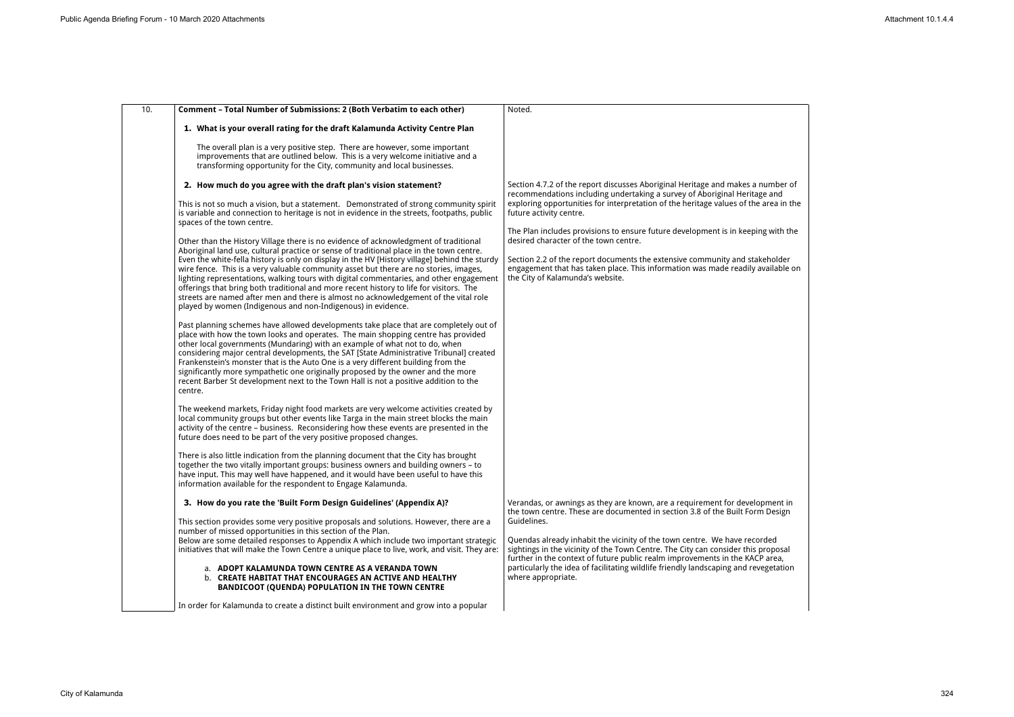| 10. | Comment - Total Number of Submissions: 2 (Both Verbatim to each other)                                                                                                                                                                                                                                                                                                                                                                                                                                                                                                                                                                                                                                                                                                                                                                                                                                                                                                                                                                                                                                                                                                                                                                                                                                                                                                                                                                                                                                                                                                                                                                                                                                                                                                                                                                                                                                                                                                                                                                                                                            | Noted.                                                                                                                                                                                                                                                                                                                                                                                                                                                                                                                                                                                                             |
|-----|---------------------------------------------------------------------------------------------------------------------------------------------------------------------------------------------------------------------------------------------------------------------------------------------------------------------------------------------------------------------------------------------------------------------------------------------------------------------------------------------------------------------------------------------------------------------------------------------------------------------------------------------------------------------------------------------------------------------------------------------------------------------------------------------------------------------------------------------------------------------------------------------------------------------------------------------------------------------------------------------------------------------------------------------------------------------------------------------------------------------------------------------------------------------------------------------------------------------------------------------------------------------------------------------------------------------------------------------------------------------------------------------------------------------------------------------------------------------------------------------------------------------------------------------------------------------------------------------------------------------------------------------------------------------------------------------------------------------------------------------------------------------------------------------------------------------------------------------------------------------------------------------------------------------------------------------------------------------------------------------------------------------------------------------------------------------------------------------------|--------------------------------------------------------------------------------------------------------------------------------------------------------------------------------------------------------------------------------------------------------------------------------------------------------------------------------------------------------------------------------------------------------------------------------------------------------------------------------------------------------------------------------------------------------------------------------------------------------------------|
|     | 1. What is your overall rating for the draft Kalamunda Activity Centre Plan                                                                                                                                                                                                                                                                                                                                                                                                                                                                                                                                                                                                                                                                                                                                                                                                                                                                                                                                                                                                                                                                                                                                                                                                                                                                                                                                                                                                                                                                                                                                                                                                                                                                                                                                                                                                                                                                                                                                                                                                                       |                                                                                                                                                                                                                                                                                                                                                                                                                                                                                                                                                                                                                    |
|     | The overall plan is a very positive step. There are however, some important<br>improvements that are outlined below. This is a very welcome initiative and a<br>transforming opportunity for the City, community and local businesses.                                                                                                                                                                                                                                                                                                                                                                                                                                                                                                                                                                                                                                                                                                                                                                                                                                                                                                                                                                                                                                                                                                                                                                                                                                                                                                                                                                                                                                                                                                                                                                                                                                                                                                                                                                                                                                                            |                                                                                                                                                                                                                                                                                                                                                                                                                                                                                                                                                                                                                    |
|     | 2. How much do you agree with the draft plan's vision statement?<br>This is not so much a vision, but a statement. Demonstrated of strong community spirit<br>is variable and connection to heritage is not in evidence in the streets, footpaths, public<br>spaces of the town centre.<br>Other than the History Village there is no evidence of acknowledgment of traditional<br>Aboriginal land use, cultural practice or sense of traditional place in the town centre.<br>Even the white-fella history is only on display in the HV [History village] behind the sturdy<br>wire fence. This is a very valuable community asset but there are no stories, images,<br>lighting representations, walking tours with digital commentaries, and other engagement<br>offerings that bring both traditional and more recent history to life for visitors. The<br>streets are named after men and there is almost no acknowledgement of the vital role<br>played by women (Indigenous and non-Indigenous) in evidence.<br>Past planning schemes have allowed developments take place that are completely out of<br>place with how the town looks and operates. The main shopping centre has provided<br>other local governments (Mundaring) with an example of what not to do, when<br>considering major central developments, the SAT [State Administrative Tribunal] created<br>Frankenstein's monster that is the Auto One is a very different building from the<br>significantly more sympathetic one originally proposed by the owner and the more<br>recent Barber St development next to the Town Hall is not a positive addition to the<br>centre.<br>The weekend markets, Friday night food markets are very welcome activities created by<br>local community groups but other events like Targa in the main street blocks the main<br>activity of the centre - business. Reconsidering how these events are presented in the<br>future does need to be part of the very positive proposed changes.<br>There is also little indication from the planning document that the City has brought | Section 4.7.2 of the report discusses Aboriginal Heritage and makes a number of<br>recommendations including undertaking a survey of Aboriginal Heritage and<br>exploring opportunities for interpretation of the heritage values of the area in the<br>future activity centre.<br>The Plan includes provisions to ensure future development is in keeping with the<br>desired character of the town centre.<br>Section 2.2 of the report documents the extensive community and stakeholder<br>engagement that has taken place. This information was made readily available on<br>the City of Kalamunda's website. |
|     | together the two vitally important groups: business owners and building owners - to<br>have input. This may well have happened, and it would have been useful to have this<br>information available for the respondent to Engage Kalamunda.                                                                                                                                                                                                                                                                                                                                                                                                                                                                                                                                                                                                                                                                                                                                                                                                                                                                                                                                                                                                                                                                                                                                                                                                                                                                                                                                                                                                                                                                                                                                                                                                                                                                                                                                                                                                                                                       |                                                                                                                                                                                                                                                                                                                                                                                                                                                                                                                                                                                                                    |
|     | 3. How do you rate the 'Built Form Design Guidelines' (Appendix A)?                                                                                                                                                                                                                                                                                                                                                                                                                                                                                                                                                                                                                                                                                                                                                                                                                                                                                                                                                                                                                                                                                                                                                                                                                                                                                                                                                                                                                                                                                                                                                                                                                                                                                                                                                                                                                                                                                                                                                                                                                               | Verandas, or awnings as they are known, are a requirement for development in                                                                                                                                                                                                                                                                                                                                                                                                                                                                                                                                       |
|     | This section provides some very positive proposals and solutions. However, there are a<br>number of missed opportunities in this section of the Plan.<br>Below are some detailed responses to Appendix A which include two important strategic<br>initiatives that will make the Town Centre a unique place to live, work, and visit. They are:<br>a. ADOPT KALAMUNDA TOWN CENTRE AS A VERANDA TOWN<br>b. CREATE HABITAT THAT ENCOURAGES AN ACTIVE AND HEALTHY<br><b>BANDICOOT (QUENDA) POPULATION IN THE TOWN CENTRE</b>                                                                                                                                                                                                                                                                                                                                                                                                                                                                                                                                                                                                                                                                                                                                                                                                                                                                                                                                                                                                                                                                                                                                                                                                                                                                                                                                                                                                                                                                                                                                                                         | the town centre. These are documented in section 3.8 of the Built Form Design<br>Guidelines.<br>Quendas already inhabit the vicinity of the town centre. We have recorded<br>sightings in the vicinity of the Town Centre. The City can consider this proposal<br>further in the context of future public realm improvements in the KACP area,<br>particularly the idea of facilitating wildlife friendly landscaping and revegetation<br>where appropriate.                                                                                                                                                       |
|     | In order for Kalamunda to create a distinct built environment and grow into a popular                                                                                                                                                                                                                                                                                                                                                                                                                                                                                                                                                                                                                                                                                                                                                                                                                                                                                                                                                                                                                                                                                                                                                                                                                                                                                                                                                                                                                                                                                                                                                                                                                                                                                                                                                                                                                                                                                                                                                                                                             |                                                                                                                                                                                                                                                                                                                                                                                                                                                                                                                                                                                                                    |

| number of<br>ige and<br>e area in the       |
|---------------------------------------------|
| ing with the                                |
| ikeholder<br>available on                   |
|                                             |
|                                             |
|                                             |
|                                             |
|                                             |
|                                             |
| opment in                                   |
| m Design                                    |
| orded<br>proposal<br>IP area,<br>vegetation |
|                                             |

 $\overline{\phantom{a}}$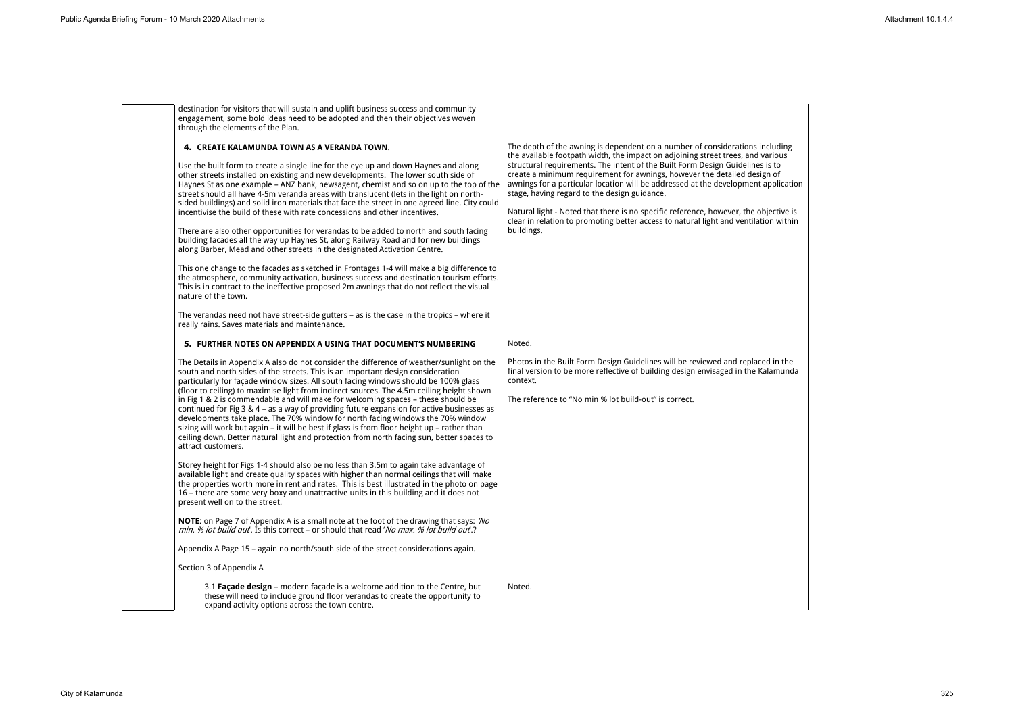destination for visitors that will sustain and uplift business success and community engagement, some bold ideas need to be adopted and then their objectives woven through the elements of the Plan.

## **4. CREATE KALAMUNDA TOWN AS A VERANDA TOWN**.

Use the built form to create a single line for the eye up and down Haynes and along other streets installed on existing and new developments. The lower south side of Haynes St as one example – ANZ bank, newsagent, chemist and so on up to the top of the street should all have 4-5m veranda areas with translucent (lets in the light on northsided buildings) and solid iron materials that face the street in one agreed line. City could incentivise the build of these with rate concessions and other incentives.

There are also other opportunities for verandas to be added to north and south facing building facades all the way up Haynes St, along Railway Road and for new buildings along Barber, Mead and other streets in the designated Activation Centre.

The depth of the awning is dependent on a number of considerations in the available footpath width, the impact on adjoining street trees, and structural requirements. The intent of the Built Form Design Guidelines create a minimum requirement for awnings, however the detailed design awnings for a particular location will be addressed at the development stage, having regard to the design guidance.

Natural light - Noted that there is no specific reference, however, the ob clear in relation to promoting better access to natural light and ventilation buildings.

This one change to the facades as sketched in Frontages 1-4 will make a big difference to the atmosphere, community activation, business success and destination tourism efforts. This is in contract to the ineffective proposed 2m awnings that do not reflect the visual nature of the town.

The verandas need not have street-side gutters – as is the case in the tropics – where it really rains. Saves materials and maintenance.

> Photos in the Built Form Design Guidelines will be reviewed and replace final version to be more reflective of building design envisaged in the Ka context.

#### **5. FURTHER NOTES ON APPENDIX A USING THAT DOCUMENT'S NUMBERING**

The Details in Appendix A also do not consider the difference of weather/sunlight on the south and north sides of the streets. This is an important design consideration particularly for façade window sizes. All south facing windows should be 100% glass (floor to ceiling) to maximise light from indirect sources. The 4.5m ceiling height shown in Fig 1 & 2 is commendable and will make for welcoming spaces – these should be continued for Fig 3 & 4 – as a way of providing future expansion for active businesses as developments take place. The 70% window for north facing windows the 70% window sizing will work but again – it will be best if glass is from floor height up – rather than ceiling down. Better natural light and protection from north facing sun, better spaces to attract customers.

Storey height for Figs 1-4 should also be no less than 3.5m to again take advantage of available light and create quality spaces with higher than normal ceilings that will make the properties worth more in rent and rates. This is best illustrated in the photo on page 16 – there are some very boxy and unattractive units in this building and it does not present well on to the street.

**NOTE**: on Page 7 of Appendix A is a small note at the foot of the drawing that says: *'No min. % lot build out*'. Is this correct – or should that read '*No max. % lot build out*'.?

Appendix A Page 15 – again no north/south side of the street considerations again.

Section 3 of Appendix A

### Noted.

The reference to "No min % lot build-out" is correct.

3.1 **Façade design** – modern façade is a welcome addition to the Centre, but these will need to include ground floor verandas to create the opportunity to expand activity options across the town centre.

Noted.

| ncluding<br>various<br>$s$ is to<br>gn of<br>application |  |  |
|----------------------------------------------------------|--|--|
| bjective is<br>ion within:                               |  |  |
|                                                          |  |  |
|                                                          |  |  |
|                                                          |  |  |
| ed in the<br>alamunda                                    |  |  |
|                                                          |  |  |
|                                                          |  |  |
|                                                          |  |  |
|                                                          |  |  |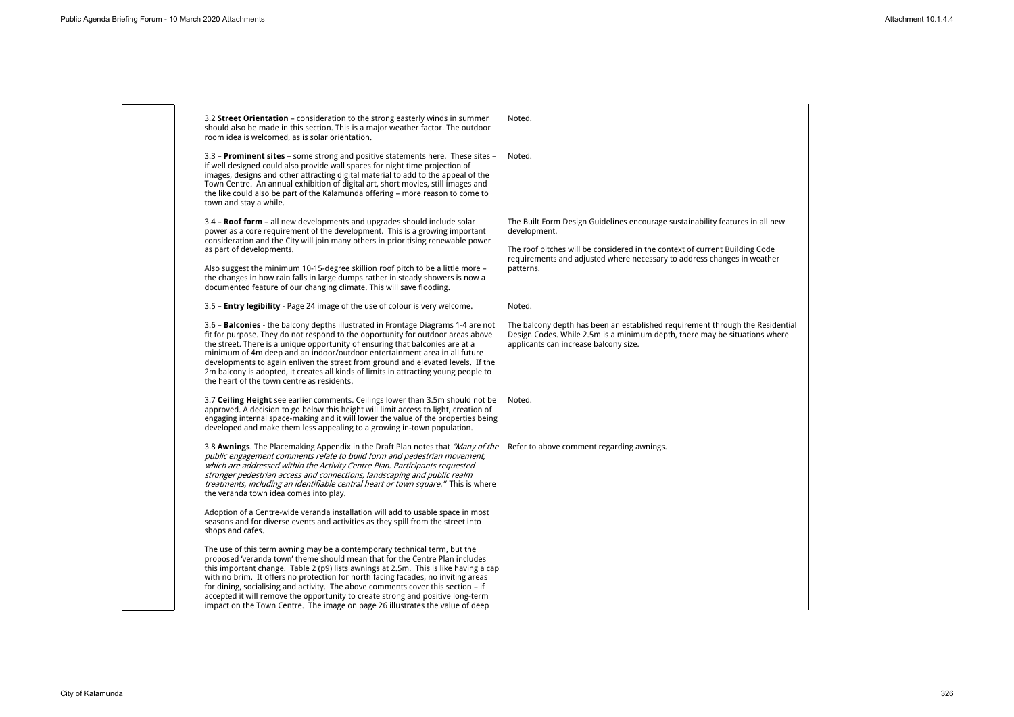| 3.2 Street Orientation - consideration to the strong easterly winds in summer<br>should also be made in this section. This is a major weather factor. The outdoor<br>room idea is welcomed, as is solar orientation.                                                                                                                                                                                                                                                                                                                                                                          | Noted.                                                                                                                                                                                                                                                               |
|-----------------------------------------------------------------------------------------------------------------------------------------------------------------------------------------------------------------------------------------------------------------------------------------------------------------------------------------------------------------------------------------------------------------------------------------------------------------------------------------------------------------------------------------------------------------------------------------------|----------------------------------------------------------------------------------------------------------------------------------------------------------------------------------------------------------------------------------------------------------------------|
| 3.3 - Prominent sites - some strong and positive statements here. These sites -<br>if well designed could also provide wall spaces for night time projection of<br>images, designs and other attracting digital material to add to the appeal of the<br>Town Centre. An annual exhibition of digital art, short movies, still images and<br>the like could also be part of the Kalamunda offering - more reason to come to<br>town and stay a while.                                                                                                                                          | Noted.                                                                                                                                                                                                                                                               |
| 3.4 - Roof form - all new developments and upgrades should include solar<br>power as a core requirement of the development. This is a growing important<br>consideration and the City will join many others in prioritising renewable power<br>as part of developments.<br>Also suggest the minimum 10-15-degree skillion roof pitch to be a little more -<br>the changes in how rain falls in large dumps rather in steady showers is now a<br>documented feature of our changing climate. This will save flooding.                                                                          | The Built Form Design Guidelines encourage sustainability features in all new<br>development.<br>The roof pitches will be considered in the context of current Building Code<br>requirements and adjusted where necessary to address changes in weather<br>patterns. |
| 3.5 - Entry legibility - Page 24 image of the use of colour is very welcome.                                                                                                                                                                                                                                                                                                                                                                                                                                                                                                                  | Noted.                                                                                                                                                                                                                                                               |
| 3.6 - Balconies - the balcony depths illustrated in Frontage Diagrams 1-4 are not<br>fit for purpose. They do not respond to the opportunity for outdoor areas above<br>the street. There is a unique opportunity of ensuring that balconies are at a<br>minimum of 4m deep and an indoor/outdoor entertainment area in all future<br>developments to again enliven the street from ground and elevated levels. If the<br>2m balcony is adopted, it creates all kinds of limits in attracting young people to<br>the heart of the town centre as residents.                                   | The balcony depth has been an established requirement through the Residential<br>Design Codes. While 2.5m is a minimum depth, there may be situations where<br>applicants can increase balcony size.                                                                 |
| 3.7 Ceiling Height see earlier comments. Ceilings lower than 3.5m should not be<br>approved. A decision to go below this height will limit access to light, creation of<br>engaging internal space-making and it will lower the value of the properties being<br>developed and make them less appealing to a growing in-town population.                                                                                                                                                                                                                                                      | Noted.                                                                                                                                                                                                                                                               |
| 3.8 Awnings. The Placemaking Appendix in the Draft Plan notes that "Many of the<br>public engagement comments relate to build form and pedestrian movement,<br>which are addressed within the Activity Centre Plan. Participants requested<br>stronger pedestrian access and connections, landscaping and public realm<br>treatments, including an identifiable central heart or town square." This is where<br>the veranda town idea comes into play.                                                                                                                                        | Refer to above comment regarding awnings.                                                                                                                                                                                                                            |
| Adoption of a Centre-wide veranda installation will add to usable space in most<br>seasons and for diverse events and activities as they spill from the street into<br>shops and cafes.                                                                                                                                                                                                                                                                                                                                                                                                       |                                                                                                                                                                                                                                                                      |
| The use of this term awning may be a contemporary technical term, but the<br>proposed 'veranda town' theme should mean that for the Centre Plan includes<br>this important change. Table 2 (p9) lists awnings at 2.5m. This is like having a cap<br>with no brim. It offers no protection for north facing facades, no inviting areas<br>for dining, socialising and activity. The above comments cover this section - if<br>accepted it will remove the opportunity to create strong and positive long-term<br>impact on the Town Centre. The image on page 26 illustrates the value of deep |                                                                                                                                                                                                                                                                      |

| II new              |  |  |
|---------------------|--|--|
|                     |  |  |
| ode<br>ither        |  |  |
|                     |  |  |
|                     |  |  |
|                     |  |  |
| esidential<br>where |  |  |
|                     |  |  |
|                     |  |  |
|                     |  |  |
|                     |  |  |
|                     |  |  |
|                     |  |  |
|                     |  |  |
|                     |  |  |
|                     |  |  |
|                     |  |  |
|                     |  |  |
|                     |  |  |
|                     |  |  |
|                     |  |  |
|                     |  |  |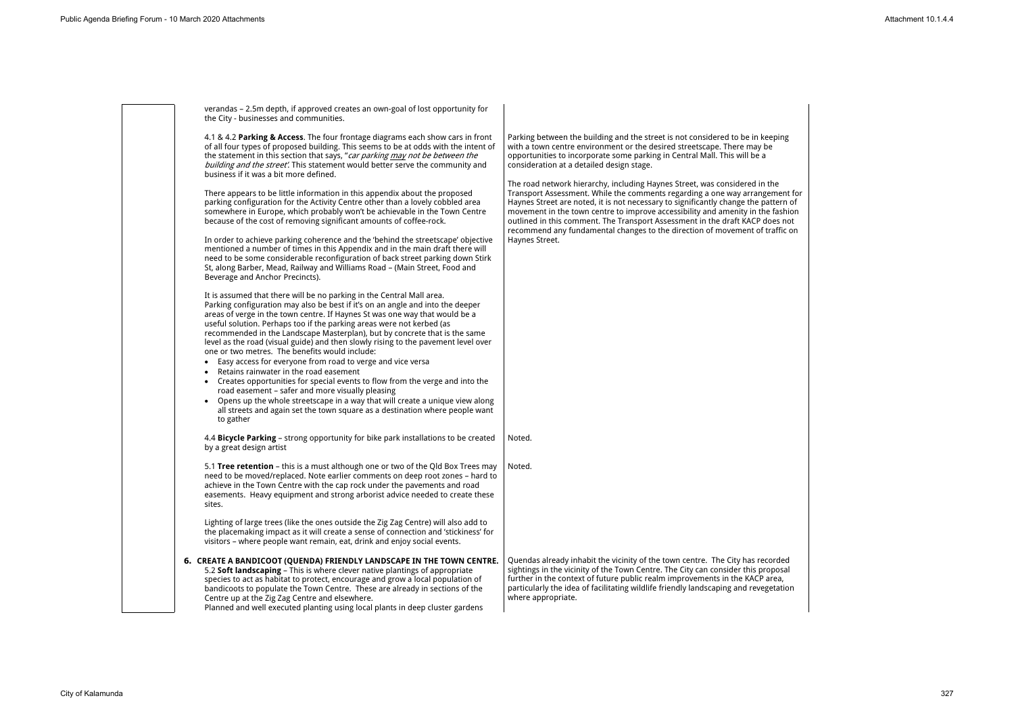verandas – 2.5m depth, if approved creates an own-goal of lost opportunity for the City - businesses and communities. 4.1 & 4.2 **Parking & Access**. The four frontage diagrams each show cars in front

of all four types of proposed building. This seems to be at odds with the intent of the statement in this section that says, "*car parking may not be between the building and the street'*. This statement would better serve the community and business if it was a bit more defined.

There appears to be little information in this appendix about the proposed parking configuration for the Activity Centre other than a lovely cobbled area somewhere in Europe, which probably won't be achievable in the Town Centre because of the cost of removing significant amounts of coffee-rock.

In order to achieve parking coherence and the 'behind the streetscape' objective mentioned a number of times in this Appendix and in the main draft there will need to be some considerable reconfiguration of back street parking down Stirk St, along Barber, Mead, Railway and Williams Road – (Main Street, Food and Beverage and Anchor Precincts).

Parking between the building and the street is not considered to be in ke with a town centre environment or the desired streetscape. There may be opportunities to incorporate some parking in Central Mall. This will be a consideration at a detailed design stage.

It is assumed that there will be no parking in the Central Mall area. Parking configuration may also be best if it's on an angle and into the deeper areas of verge in the town centre. If Haynes St was one way that would be a useful solution. Perhaps too if the parking areas were not kerbed (as recommended in the Landscape Masterplan), but by concrete that is the same level as the road (visual guide) and then slowly rising to the pavement level over one or two metres. The benefits would include:

The road network hierarchy, including Haynes Street, was considered in Transport Assessment. While the comments regarding a one way arrang Haynes Street are noted, it is not necessary to significantly change the pattern movement in the town centre to improve accessibility and amenity in the outlined in this comment. The Transport Assessment in the draft KACP d recommend any fundamental changes to the direction of movement of Haynes Street.

- Easy access for everyone from road to verge and vice versa
- Retains rainwater in the road easement
- Creates opportunities for special events to flow from the verge and into the road easement – safer and more visually pleasing
- Opens up the whole streetscape in a way that will create a unique view along all streets and again set the town square as a destination where people want to gather

Quendas already inhabit the vicinity of the town centre. The City has red sightings in the vicinity of the Town Centre. The City can consider this pro further in the context of future public realm improvements in the KACP area, particularly the idea of facilitating wildlife friendly landscaping and revegetation where appropriate.

4.4 **Bicycle Parking** – strong opportunity for bike park installations to be created by a great design artist Noted.

5.1 **Tree retention** – this is a must although one or two of the Qld Box Trees may need to be moved/replaced. Note earlier comments on deep root zones – hard to achieve in the Town Centre with the cap rock under the pavements and road easements. Heavy equipment and strong arborist advice needed to create these sites. Noted.

Lighting of large trees (like the ones outside the Zig Zag Centre) will also add to the placemaking impact as it will create a sense of connection and 'stickiness' for visitors – where people want remain, eat, drink and enjoy social events.

# **6. CREATE A BANDICOOT (QUENDA) FRIENDLY LANDSCAPE IN THE TOWN CENTRE.**

5.2 **Soft landscaping** – This is where clever native plantings of appropriate species to act as habitat to protect, encourage and grow a local population of bandicoots to populate the Town Centre. These are already in sections of the Centre up at the Zig Zag Centre and elsewhere.

Planned and well executed planting using local plants in deep cluster gardens

| eeping<br>be<br>Ì                                                      |  |
|------------------------------------------------------------------------|--|
| the<br>gement for<br>attern of<br>ie fashion<br>does not<br>traffic on |  |
|                                                                        |  |
|                                                                        |  |
|                                                                        |  |
|                                                                        |  |
| corded<br>oposal <sup>.</sup>                                          |  |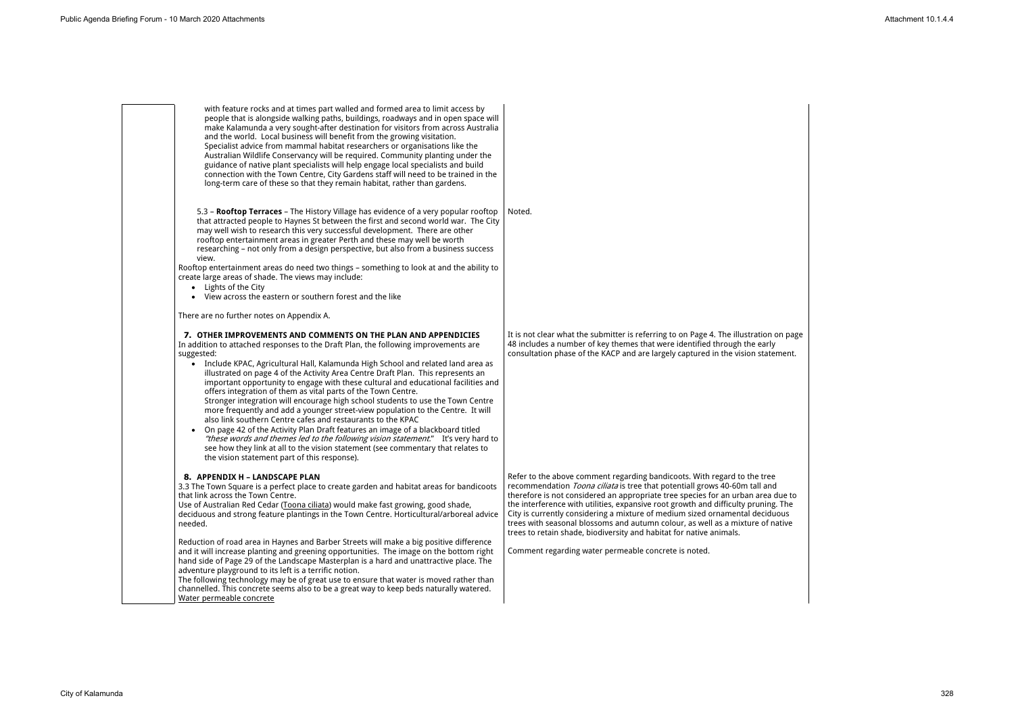

It is not clear what the submitter is referring to on Page 4. The illustration on page 48 includes a number of key themes that were identified through the early consultation phase of the KACP and are largely captured in the vision statement.

Refer to the above comment regarding bandicoots. With regard to the tree recommendation *Toona ciliata* is tree that potentiall grows 40-60m tall and therefore is not considered an appropriate tree species for an urban area due to the interference with utilities, expansive root growth and difficulty pruning. The City is currently considering a mixture of medium sized ornamental deciduous trees with seasonal blossoms and autumn colour, as well as a mixture of native trees to retain shade, biodiversity and habitat for native animals.

Comment regarding water permeable concrete is noted.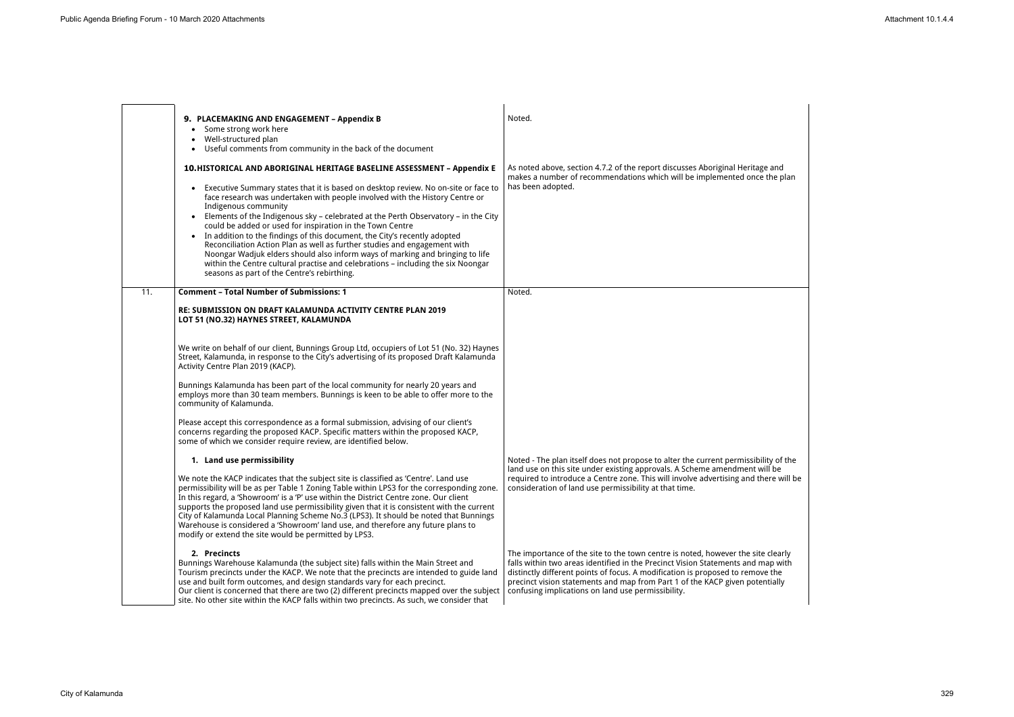|     | 9. PLACEMAKING AND ENGAGEMENT - Appendix B<br>• Some strong work here                                                                                                                                                                                                                                                                                                                                                                                                                                                                                                                                           | Noted.                                                                                                                                                                                                                                                                                                                                                                                       |
|-----|-----------------------------------------------------------------------------------------------------------------------------------------------------------------------------------------------------------------------------------------------------------------------------------------------------------------------------------------------------------------------------------------------------------------------------------------------------------------------------------------------------------------------------------------------------------------------------------------------------------------|----------------------------------------------------------------------------------------------------------------------------------------------------------------------------------------------------------------------------------------------------------------------------------------------------------------------------------------------------------------------------------------------|
|     | Well-structured plan<br>Useful comments from community in the back of the document<br>$\bullet$                                                                                                                                                                                                                                                                                                                                                                                                                                                                                                                 |                                                                                                                                                                                                                                                                                                                                                                                              |
|     |                                                                                                                                                                                                                                                                                                                                                                                                                                                                                                                                                                                                                 |                                                                                                                                                                                                                                                                                                                                                                                              |
|     | 10.HISTORICAL AND ABORIGINAL HERITAGE BASELINE ASSESSMENT - Appendix E                                                                                                                                                                                                                                                                                                                                                                                                                                                                                                                                          | As noted above, section 4.7.2 of the report discusses Aboriginal Heritage and<br>makes a number of recommendations which will be implemented once the plan                                                                                                                                                                                                                                   |
|     | Executive Summary states that it is based on desktop review. No on-site or face to<br>face research was undertaken with people involved with the History Centre or<br>Indigenous community                                                                                                                                                                                                                                                                                                                                                                                                                      | has been adopted.                                                                                                                                                                                                                                                                                                                                                                            |
|     | • Elements of the Indigenous sky - celebrated at the Perth Observatory - in the City<br>could be added or used for inspiration in the Town Centre                                                                                                                                                                                                                                                                                                                                                                                                                                                               |                                                                                                                                                                                                                                                                                                                                                                                              |
|     | • In addition to the findings of this document, the City's recently adopted<br>Reconciliation Action Plan as well as further studies and engagement with<br>Noongar Wadjuk elders should also inform ways of marking and bringing to life<br>within the Centre cultural practise and celebrations - including the six Noongar<br>seasons as part of the Centre's rebirthing.                                                                                                                                                                                                                                    |                                                                                                                                                                                                                                                                                                                                                                                              |
| 11. | <b>Comment - Total Number of Submissions: 1</b>                                                                                                                                                                                                                                                                                                                                                                                                                                                                                                                                                                 | Noted.                                                                                                                                                                                                                                                                                                                                                                                       |
|     | RE: SUBMISSION ON DRAFT KALAMUNDA ACTIVITY CENTRE PLAN 2019<br>LOT 51 (NO.32) HAYNES STREET, KALAMUNDA                                                                                                                                                                                                                                                                                                                                                                                                                                                                                                          |                                                                                                                                                                                                                                                                                                                                                                                              |
|     | We write on behalf of our client, Bunnings Group Ltd, occupiers of Lot 51 (No. 32) Haynes<br>Street, Kalamunda, in response to the City's advertising of its proposed Draft Kalamunda<br>Activity Centre Plan 2019 (KACP).                                                                                                                                                                                                                                                                                                                                                                                      |                                                                                                                                                                                                                                                                                                                                                                                              |
|     | Bunnings Kalamunda has been part of the local community for nearly 20 years and<br>employs more than 30 team members. Bunnings is keen to be able to offer more to the<br>community of Kalamunda.                                                                                                                                                                                                                                                                                                                                                                                                               |                                                                                                                                                                                                                                                                                                                                                                                              |
|     | Please accept this correspondence as a formal submission, advising of our client's<br>concerns regarding the proposed KACP. Specific matters within the proposed KACP,<br>some of which we consider require review, are identified below.                                                                                                                                                                                                                                                                                                                                                                       |                                                                                                                                                                                                                                                                                                                                                                                              |
|     | 1. Land use permissibility                                                                                                                                                                                                                                                                                                                                                                                                                                                                                                                                                                                      | Noted - The plan itself does not propose to alter the current permissibility of the<br>land use on this site under existing approvals. A Scheme amendment will be                                                                                                                                                                                                                            |
|     | We note the KACP indicates that the subject site is classified as 'Centre'. Land use<br>permissibility will be as per Table 1 Zoning Table within LPS3 for the corresponding zone.<br>In this regard, a 'Showroom' is a 'P' use within the District Centre zone. Our client<br>supports the proposed land use permissibility given that it is consistent with the current<br>City of Kalamunda Local Planning Scheme No.3 (LPS3). It should be noted that Bunnings<br>Warehouse is considered a 'Showroom' land use, and therefore any future plans to<br>modify or extend the site would be permitted by LPS3. | required to introduce a Centre zone. This will involve advertising and there will be<br>consideration of land use permissibility at that time.                                                                                                                                                                                                                                               |
|     | 2. Precincts<br>Bunnings Warehouse Kalamunda (the subject site) falls within the Main Street and<br>Tourism precincts under the KACP. We note that the precincts are intended to guide land<br>use and built form outcomes, and design standards vary for each precinct.<br>Our client is concerned that there are two (2) different precincts mapped over the subject<br>site. No other site within the KACP falls within two precincts. As such, we consider that                                                                                                                                             | The importance of the site to the town centre is noted, however the site clearly<br>falls within two areas identified in the Precinct Vision Statements and map with<br>distinctly different points of focus. A modification is proposed to remove the<br>precinct vision statements and map from Part 1 of the KACP given potentially<br>confusing implications on land use permissibility. |

| e and<br>the plan                      |  |
|----------------------------------------|--|
|                                        |  |
|                                        |  |
|                                        |  |
| ity of the<br>ill be<br>ere will be    |  |
| clearly<br>ap with<br>e the<br>ntially |  |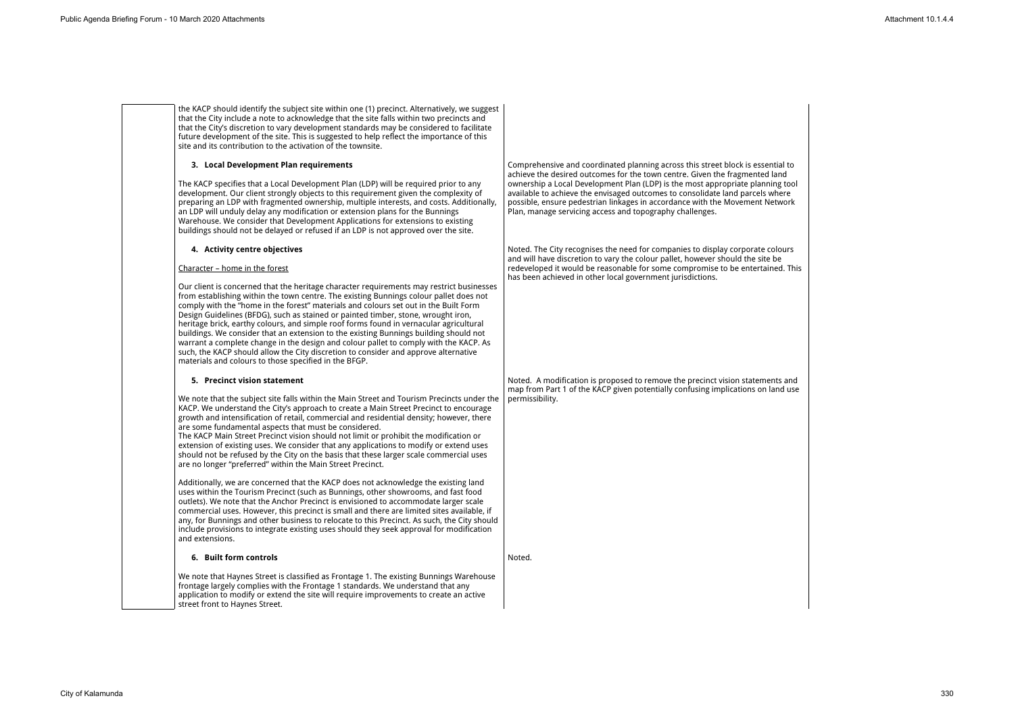the KACP should identify the subject site within one (1) precinct. Alternatively, we suggest that the City include a note to acknowledge that the site falls within two precincts and that the City's discretion to vary development standards may be considered to facilitate future development of the site. This is suggested to help reflect the importance of this site and its contribution to the activation of the townsite.

#### **3. Local Development Plan requirements**

Comprehensive and coordinated planning across this street block is estimated by achieve the desired outcomes for the town centre. Given the fragment ownership a Local Development Plan (LDP) is the most appropriate pla available to achieve the envisaged outcomes to consolidate land parcel possible, ensure pedestrian linkages in accordance with the Movement Plan, manage servicing access and topography challenges.

The KACP specifies that a Local Development Plan (LDP) will be required prior to any development. Our client strongly objects to this requirement given the complexity of preparing an LDP with fragmented ownership, multiple interests, and costs. Additionally, an LDP will unduly delay any modification or extension plans for the Bunnings Warehouse. We consider that Development Applications for extensions to existing buildings should not be delayed or refused if an LDP is not approved over the site.

> Noted. The City recognises the need for companies to display corporat and will have discretion to vary the colour pallet, however should the site redeveloped it would be reasonable for some compromise to be enter has been achieved in other local government jurisdictions.

#### **4. Activity centre objectives**

## Character – home in the forest

Our client is concerned that the heritage character requirements may restrict businesses from establishing within the town centre. The existing Bunnings colour pallet does not comply with the "home in the forest" materials and colours set out in the Built Form Design Guidelines (BFDG), such as stained or painted timber, stone, wrought iron, heritage brick, earthy colours, and simple roof forms found in vernacular agricultural buildings. We consider that an extension to the existing Bunnings building should not warrant a complete change in the design and colour pallet to comply with the KACP. As such, the KACP should allow the City discretion to consider and approve alternative materials and colours to those specified in the BFGP.

> Noted. A modification is proposed to remove the precinct vision state map from Part 1 of the KACP given potentially confusing implications on permissibility.

#### **5. Precinct vision statement**

We note that the subject site falls within the Main Street and Tourism Precincts under the KACP. We understand the City's approach to create a Main Street Precinct to encourage growth and intensification of retail, commercial and residential density; however, there are some fundamental aspects that must be considered.

The KACP Main Street Precinct vision should not limit or prohibit the modification or extension of existing uses. We consider that any applications to modify or extend uses should not be refused by the City on the basis that these larger scale commercial uses are no longer "preferred" within the Main Street Precinct.

Additionally, we are concerned that the KACP does not acknowledge the existing land uses within the Tourism Precinct (such as Bunnings, other showrooms, and fast food outlets). We note that the Anchor Precinct is envisioned to accommodate larger scale commercial uses. However, this precinct is small and there are limited sites available, if any, for Bunnings and other business to relocate to this Precinct. As such, the City should include provisions to integrate existing uses should they seek approval for modification and extensions.

#### **6. Built form controls**

We note that Haynes Street is classified as Frontage 1. The existing Bunnings Warehouse frontage largely complies with the Frontage 1 standards. We understand that any application to modify or extend the site will require improvements to create an active street front to Haynes Street.

Noted.

| ssential to<br>ted land<br>anning tool<br>ls where<br>t Network |  |
|-----------------------------------------------------------------|--|
| te colours<br>site be<br>tained. This                           |  |
|                                                                 |  |
| ments and<br>on land use                                        |  |
|                                                                 |  |
|                                                                 |  |
|                                                                 |  |

 $\overline{1}$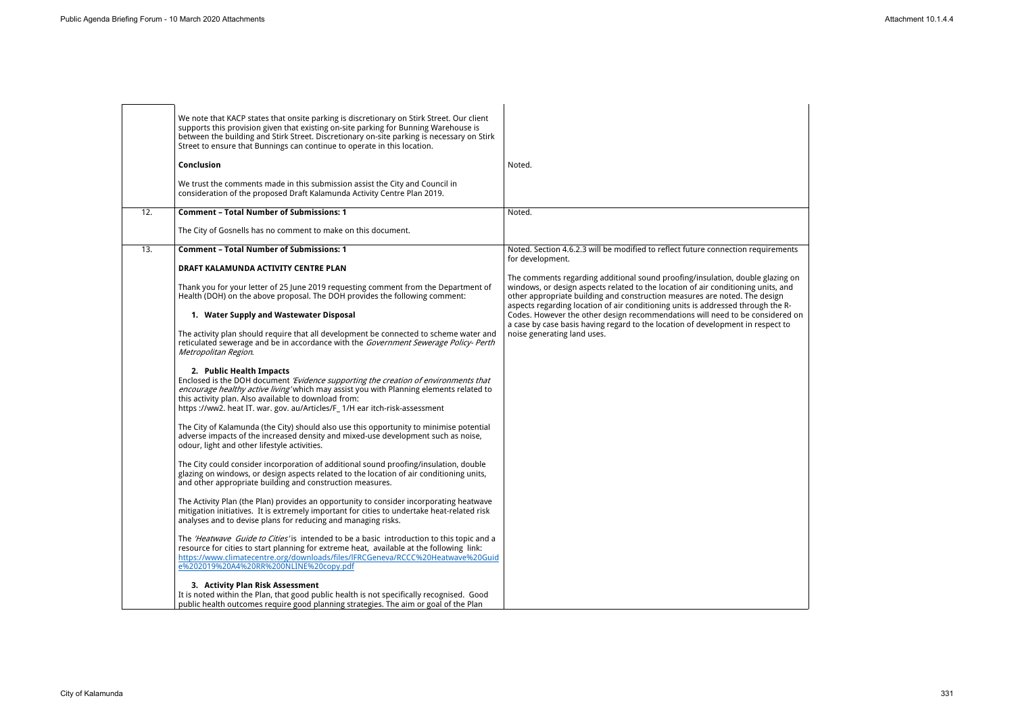|                  | We note that KACP states that onsite parking is discretionary on Stirk Street. Our client<br>supports this provision given that existing on-site parking for Bunning Warehouse is<br>between the building and Stirk Street. Discretionary on-site parking is necessary on Stirk<br>Street to ensure that Bunnings can continue to operate in this location. |                                                                                                                                                                                                                                                                                                                                       |
|------------------|-------------------------------------------------------------------------------------------------------------------------------------------------------------------------------------------------------------------------------------------------------------------------------------------------------------------------------------------------------------|---------------------------------------------------------------------------------------------------------------------------------------------------------------------------------------------------------------------------------------------------------------------------------------------------------------------------------------|
|                  | Conclusion                                                                                                                                                                                                                                                                                                                                                  | Noted.                                                                                                                                                                                                                                                                                                                                |
|                  | We trust the comments made in this submission assist the City and Council in<br>consideration of the proposed Draft Kalamunda Activity Centre Plan 2019.                                                                                                                                                                                                    |                                                                                                                                                                                                                                                                                                                                       |
| 12.              | <b>Comment - Total Number of Submissions: 1</b>                                                                                                                                                                                                                                                                                                             | Noted.                                                                                                                                                                                                                                                                                                                                |
|                  | The City of Gosnells has no comment to make on this document.                                                                                                                                                                                                                                                                                               |                                                                                                                                                                                                                                                                                                                                       |
| $\overline{13.}$ | <b>Comment - Total Number of Submissions: 1</b>                                                                                                                                                                                                                                                                                                             | Noted. Section 4.6.2.3 will be modified to reflect future connection requirements<br>for development.                                                                                                                                                                                                                                 |
|                  | DRAFT KALAMUNDA ACTIVITY CENTRE PLAN                                                                                                                                                                                                                                                                                                                        |                                                                                                                                                                                                                                                                                                                                       |
|                  | Thank you for your letter of 25 June 2019 requesting comment from the Department of<br>Health (DOH) on the above proposal. The DOH provides the following comment:                                                                                                                                                                                          | The comments regarding additional sound proofing/insulation, double glazing on<br>windows, or design aspects related to the location of air conditioning units, and<br>other appropriate building and construction measures are noted. The design<br>aspects regarding location of air conditioning units is addressed through the R- |
|                  | 1. Water Supply and Wastewater Disposal                                                                                                                                                                                                                                                                                                                     | Codes. However the other design recommendations will need to be considered on<br>a case by case basis having regard to the location of development in respect to                                                                                                                                                                      |
|                  | The activity plan should require that all development be connected to scheme water and<br>reticulated sewerage and be in accordance with the Government Sewerage Policy- Perth<br>Metropolitan Region.                                                                                                                                                      | noise generating land uses.                                                                                                                                                                                                                                                                                                           |
|                  | 2. Public Health Impacts<br>Enclosed is the DOH document 'Evidence supporting the creation of environments that<br>encourage healthy active living' which may assist you with Planning elements related to<br>this activity plan. Also available to download from:<br>https://ww2. heat IT. war. gov. au/Articles/F_1/H ear itch-risk-assessment            |                                                                                                                                                                                                                                                                                                                                       |
|                  | The City of Kalamunda (the City) should also use this opportunity to minimise potential<br>adverse impacts of the increased density and mixed-use development such as noise,<br>odour, light and other lifestyle activities.                                                                                                                                |                                                                                                                                                                                                                                                                                                                                       |
|                  | The City could consider incorporation of additional sound proofing/insulation, double<br>glazing on windows, or design aspects related to the location of air conditioning units,<br>and other appropriate building and construction measures.                                                                                                              |                                                                                                                                                                                                                                                                                                                                       |
|                  | The Activity Plan (the Plan) provides an opportunity to consider incorporating heatwave<br>mitigation initiatives. It is extremely important for cities to undertake heat-related risk<br>analyses and to devise plans for reducing and managing risks.                                                                                                     |                                                                                                                                                                                                                                                                                                                                       |
|                  | The 'Heatwave Guide to Cities' is intended to be a basic introduction to this topic and a<br>resource for cities to start planning for extreme heat, available at the following link:<br>https://www.climatecentre.org/downloads/files/IFRCGeneva/RCCC%20Heatwave%20Guid<br>e%202019%20A4%20RR%200NLINE%20copy.pdf                                          |                                                                                                                                                                                                                                                                                                                                       |
|                  | 3. Activity Plan Risk Assessment<br>It is noted within the Plan, that good public health is not specifically recognised. Good<br>public health outcomes require good planning strategies. The aim or goal of the Plan                                                                                                                                       |                                                                                                                                                                                                                                                                                                                                       |

| equirements                                                                                          |  |
|------------------------------------------------------------------------------------------------------|--|
| ble glazing on<br>g units, and<br>e design<br>e design<br>pugh the R-<br>considered on<br>respect to |  |
|                                                                                                      |  |
|                                                                                                      |  |
|                                                                                                      |  |
|                                                                                                      |  |
|                                                                                                      |  |
|                                                                                                      |  |
|                                                                                                      |  |
|                                                                                                      |  |
|                                                                                                      |  |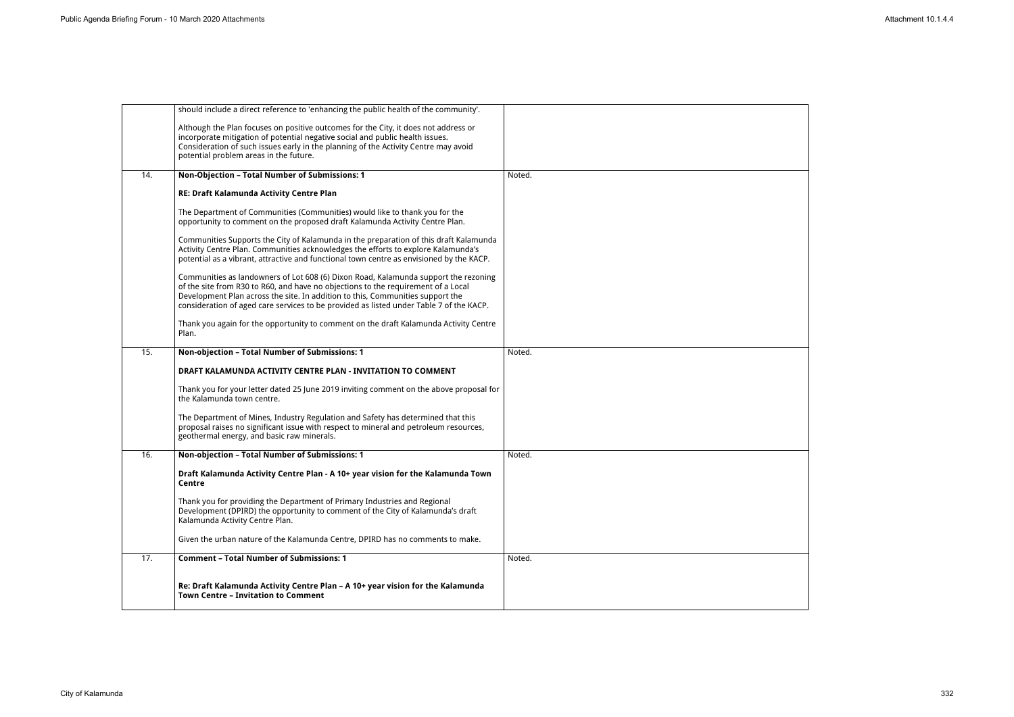|     | should include a direct reference to 'enhancing the public health of the community'.                                                                                                                                                                                                                                                                  |        |
|-----|-------------------------------------------------------------------------------------------------------------------------------------------------------------------------------------------------------------------------------------------------------------------------------------------------------------------------------------------------------|--------|
|     | Although the Plan focuses on positive outcomes for the City, it does not address or<br>incorporate mitigation of potential negative social and public health issues.<br>Consideration of such issues early in the planning of the Activity Centre may avoid<br>potential problem areas in the future.                                                 |        |
| 14. | Non-Objection - Total Number of Submissions: 1                                                                                                                                                                                                                                                                                                        | Noted. |
|     | RE: Draft Kalamunda Activity Centre Plan                                                                                                                                                                                                                                                                                                              |        |
|     | The Department of Communities (Communities) would like to thank you for the<br>opportunity to comment on the proposed draft Kalamunda Activity Centre Plan.                                                                                                                                                                                           |        |
|     | Communities Supports the City of Kalamunda in the preparation of this draft Kalamunda<br>Activity Centre Plan. Communities acknowledges the efforts to explore Kalamunda's<br>potential as a vibrant, attractive and functional town centre as envisioned by the KACP.                                                                                |        |
|     | Communities as landowners of Lot 608 (6) Dixon Road, Kalamunda support the rezoning<br>of the site from R30 to R60, and have no objections to the requirement of a Local<br>Development Plan across the site. In addition to this, Communities support the<br>consideration of aged care services to be provided as listed under Table 7 of the KACP. |        |
|     | Thank you again for the opportunity to comment on the draft Kalamunda Activity Centre<br>Plan.                                                                                                                                                                                                                                                        |        |
| 15. | Non-objection - Total Number of Submissions: 1                                                                                                                                                                                                                                                                                                        | Noted. |
|     | DRAFT KALAMUNDA ACTIVITY CENTRE PLAN - INVITATION TO COMMENT                                                                                                                                                                                                                                                                                          |        |
|     | Thank you for your letter dated 25 June 2019 inviting comment on the above proposal for<br>the Kalamunda town centre.                                                                                                                                                                                                                                 |        |
|     | The Department of Mines, Industry Regulation and Safety has determined that this<br>proposal raises no significant issue with respect to mineral and petroleum resources,<br>geothermal energy, and basic raw minerals.                                                                                                                               |        |
| 16. | Non-objection - Total Number of Submissions: 1                                                                                                                                                                                                                                                                                                        | Noted. |
|     | Draft Kalamunda Activity Centre Plan - A 10+ year vision for the Kalamunda Town<br>Centre                                                                                                                                                                                                                                                             |        |
|     | Thank you for providing the Department of Primary Industries and Regional<br>Development (DPIRD) the opportunity to comment of the City of Kalamunda's draft<br>Kalamunda Activity Centre Plan.                                                                                                                                                       |        |
|     | Given the urban nature of the Kalamunda Centre, DPIRD has no comments to make.                                                                                                                                                                                                                                                                        |        |
| 17. | <b>Comment - Total Number of Submissions: 1</b>                                                                                                                                                                                                                                                                                                       | Noted. |
|     | Re: Draft Kalamunda Activity Centre Plan - A 10+ year vision for the Kalamunda<br><b>Town Centre - Invitation to Comment</b>                                                                                                                                                                                                                          |        |
|     |                                                                                                                                                                                                                                                                                                                                                       |        |

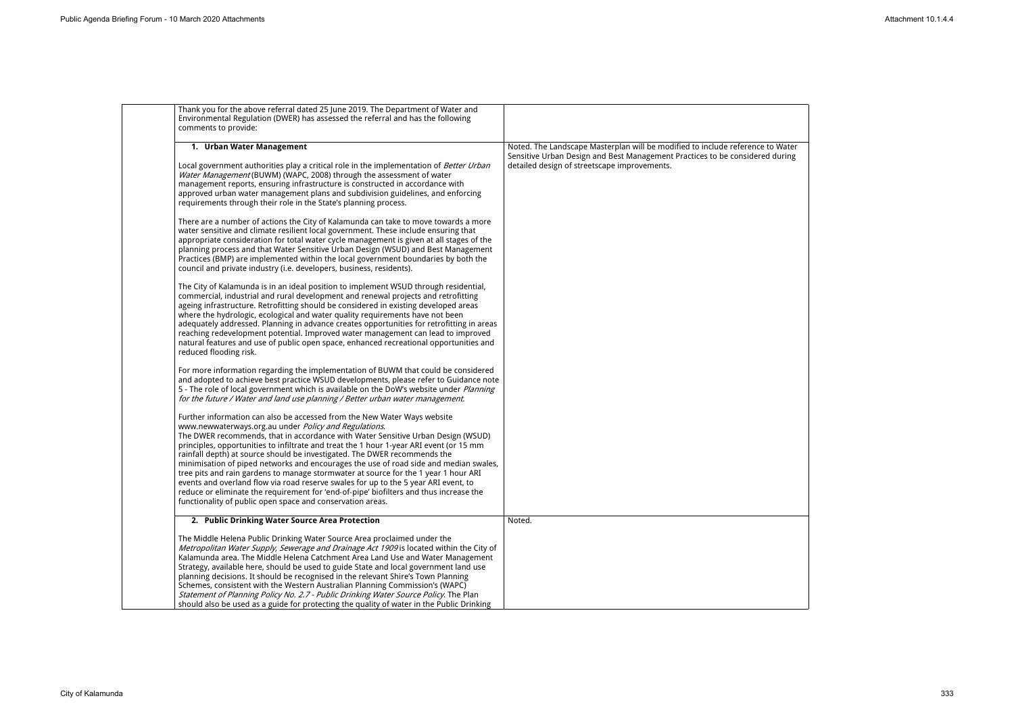| Thank you for the above referral dated 25 June 2019. The Department of Water and<br>Environmental Regulation (DWER) has assessed the referral and has the following<br>comments to provide:                                                                                                                                                                                                                                                                                                                                                                                                                                                                                                                                                                                                                                  |                                                                                                                                                                                                                |
|------------------------------------------------------------------------------------------------------------------------------------------------------------------------------------------------------------------------------------------------------------------------------------------------------------------------------------------------------------------------------------------------------------------------------------------------------------------------------------------------------------------------------------------------------------------------------------------------------------------------------------------------------------------------------------------------------------------------------------------------------------------------------------------------------------------------------|----------------------------------------------------------------------------------------------------------------------------------------------------------------------------------------------------------------|
| 1. Urban Water Management<br>Local government authorities play a critical role in the implementation of Better Urban<br>Water Management (BUWM) (WAPC, 2008) through the assessment of water<br>management reports, ensuring infrastructure is constructed in accordance with<br>approved urban water management plans and subdivision guidelines, and enforcing<br>requirements through their role in the State's planning process.                                                                                                                                                                                                                                                                                                                                                                                         | Noted. The Landscape Masterplan will be modified to include reference to Water<br>Sensitive Urban Design and Best Management Practices to be considered during<br>detailed design of streetscape improvements. |
| There are a number of actions the City of Kalamunda can take to move towards a more<br>water sensitive and climate resilient local government. These include ensuring that<br>appropriate consideration for total water cycle management is given at all stages of the<br>planning process and that Water Sensitive Urban Design (WSUD) and Best Management<br>Practices (BMP) are implemented within the local government boundaries by both the<br>council and private industry (i.e. developers, business, residents).                                                                                                                                                                                                                                                                                                    |                                                                                                                                                                                                                |
| The City of Kalamunda is in an ideal position to implement WSUD through residential,<br>commercial, industrial and rural development and renewal projects and retrofitting<br>ageing infrastructure. Retrofitting should be considered in existing developed areas<br>where the hydrologic, ecological and water quality requirements have not been<br>adequately addressed. Planning in advance creates opportunities for retrofitting in areas<br>reaching redevelopment potential. Improved water management can lead to improved<br>natural features and use of public open space, enhanced recreational opportunities and<br>reduced flooding risk.                                                                                                                                                                     |                                                                                                                                                                                                                |
| For more information regarding the implementation of BUWM that could be considered<br>and adopted to achieve best practice WSUD developments, please refer to Guidance note<br>5 - The role of local government which is available on the DoW's website under <i>Planning</i><br>for the future / Water and land use planning / Better urban water management.                                                                                                                                                                                                                                                                                                                                                                                                                                                               |                                                                                                                                                                                                                |
| Further information can also be accessed from the New Water Ways website<br>www.newwaterways.org.au under Policy and Regulations.<br>The DWER recommends, that in accordance with Water Sensitive Urban Design (WSUD)<br>principles, opportunities to infiltrate and treat the 1 hour 1-year ARI event (or 15 mm<br>rainfall depth) at source should be investigated. The DWER recommends the<br>minimisation of piped networks and encourages the use of road side and median swales,<br>tree pits and rain gardens to manage stormwater at source for the 1 year 1 hour ARI<br>events and overland flow via road reserve swales for up to the 5 year ARI event, to<br>reduce or eliminate the requirement for 'end-of-pipe' biofilters and thus increase the<br>functionality of public open space and conservation areas. |                                                                                                                                                                                                                |
| 2. Public Drinking Water Source Area Protection<br>The Middle Helena Public Drinking Water Source Area proclaimed under the<br>Metropolitan Water Supply, Sewerage and Drainage Act 1909 is located within the City of<br>Kalamunda area. The Middle Helena Catchment Area Land Use and Water Management<br>Strategy, available here, should be used to guide State and local government land use<br>planning decisions. It should be recognised in the relevant Shire's Town Planning<br>Schemes, consistent with the Western Australian Planning Commission's (WAPC)<br>Statement of Planning Policy No. 2.7 - Public Drinking Water Source Policy. The Plan<br>should also be used as a guide for protecting the quality of water in the Public Drinking                                                                  | Noted.                                                                                                                                                                                                         |

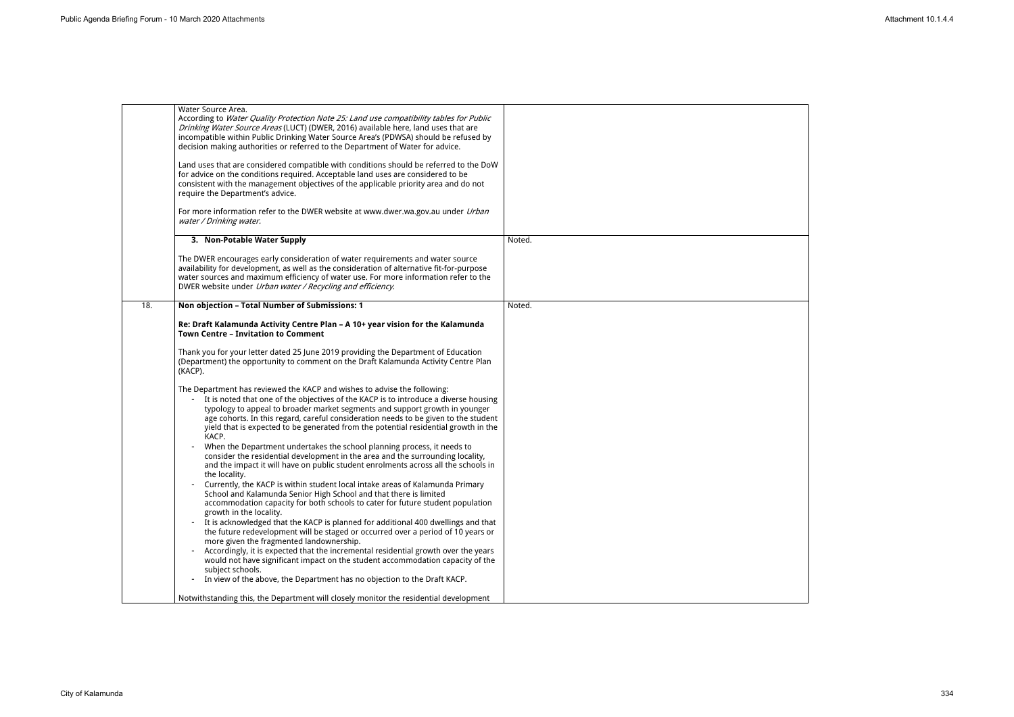|     | Water Source Area.<br>According to Water Quality Protection Note 25: Land use compatibility tables for Public<br>Drinking Water Source Areas (LUCT) (DWER, 2016) available here, land uses that are<br>incompatible within Public Drinking Water Source Area's (PDWSA) should be refused by<br>decision making authorities or referred to the Department of Water for advice.                                                          |        |
|-----|----------------------------------------------------------------------------------------------------------------------------------------------------------------------------------------------------------------------------------------------------------------------------------------------------------------------------------------------------------------------------------------------------------------------------------------|--------|
|     | Land uses that are considered compatible with conditions should be referred to the DoW<br>for advice on the conditions required. Acceptable land uses are considered to be<br>consistent with the management objectives of the applicable priority area and do not<br>require the Department's advice.                                                                                                                                 |        |
|     | For more information refer to the DWER website at www.dwer.wa.gov.au under Urban<br>water / Drinking water.                                                                                                                                                                                                                                                                                                                            |        |
|     | 3. Non-Potable Water Supply                                                                                                                                                                                                                                                                                                                                                                                                            | Noted. |
|     | The DWER encourages early consideration of water requirements and water source<br>availability for development, as well as the consideration of alternative fit-for-purpose<br>water sources and maximum efficiency of water use. For more information refer to the<br>DWER website under Urban water / Recycling and efficiency.                                                                                                      |        |
| 18. | Non objection - Total Number of Submissions: 1                                                                                                                                                                                                                                                                                                                                                                                         | Noted. |
|     | Re: Draft Kalamunda Activity Centre Plan - A 10+ year vision for the Kalamunda<br><b>Town Centre - Invitation to Comment</b>                                                                                                                                                                                                                                                                                                           |        |
|     | Thank you for your letter dated 25 June 2019 providing the Department of Education<br>(Department) the opportunity to comment on the Draft Kalamunda Activity Centre Plan<br>(KACP).                                                                                                                                                                                                                                                   |        |
|     | The Department has reviewed the KACP and wishes to advise the following:<br>It is noted that one of the objectives of the KACP is to introduce a diverse housing<br>typology to appeal to broader market segments and support growth in younger<br>age cohorts. In this regard, careful consideration needs to be given to the student<br>yield that is expected to be generated from the potential residential growth in the<br>KACP. |        |
|     | When the Department undertakes the school planning process, it needs to<br>consider the residential development in the area and the surrounding locality,<br>and the impact it will have on public student enrolments across all the schools in<br>the locality.                                                                                                                                                                       |        |
|     | Currently, the KACP is within student local intake areas of Kalamunda Primary<br>School and Kalamunda Senior High School and that there is limited<br>accommodation capacity for both schools to cater for future student population<br>growth in the locality.                                                                                                                                                                        |        |
|     | It is acknowledged that the KACP is planned for additional 400 dwellings and that<br>$\blacksquare$<br>the future redevelopment will be staged or occurred over a period of 10 years or<br>more given the fragmented landownership.                                                                                                                                                                                                    |        |
|     | Accordingly, it is expected that the incremental residential growth over the years<br>would not have significant impact on the student accommodation capacity of the<br>subject schools.                                                                                                                                                                                                                                               |        |
|     | In view of the above, the Department has no objection to the Draft KACP.<br>$\blacksquare$                                                                                                                                                                                                                                                                                                                                             |        |
|     | Notwithstanding this, the Department will closely monitor the residential development                                                                                                                                                                                                                                                                                                                                                  |        |

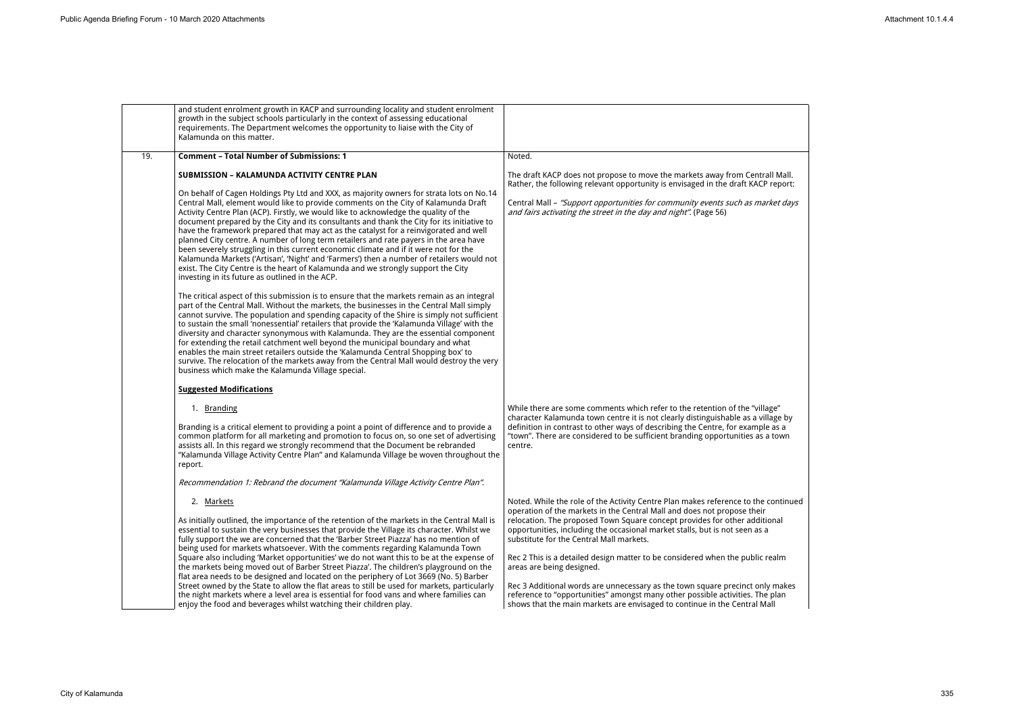|     | and student enrolment growth in KACP and surrounding locality and student enrolment<br>growth in the subject schools particularly in the context of assessing educational<br>requirements. The Department welcomes the opportunity to liaise with the City of<br>Kalamunda on this matter.                                                                                                                                                                                                                                                                                                                                                                                                                                                                                                                                                                                                                                                                                                                                                                                                                                                                                                                                                                                                                                                                                                                                                                                                                                                                                                                                                                                                                                                                                   |                                                                                                                                                                                                                                                                                                                                                                                                                                                                                                                                                                                                                                                                                                                                     |
|-----|------------------------------------------------------------------------------------------------------------------------------------------------------------------------------------------------------------------------------------------------------------------------------------------------------------------------------------------------------------------------------------------------------------------------------------------------------------------------------------------------------------------------------------------------------------------------------------------------------------------------------------------------------------------------------------------------------------------------------------------------------------------------------------------------------------------------------------------------------------------------------------------------------------------------------------------------------------------------------------------------------------------------------------------------------------------------------------------------------------------------------------------------------------------------------------------------------------------------------------------------------------------------------------------------------------------------------------------------------------------------------------------------------------------------------------------------------------------------------------------------------------------------------------------------------------------------------------------------------------------------------------------------------------------------------------------------------------------------------------------------------------------------------|-------------------------------------------------------------------------------------------------------------------------------------------------------------------------------------------------------------------------------------------------------------------------------------------------------------------------------------------------------------------------------------------------------------------------------------------------------------------------------------------------------------------------------------------------------------------------------------------------------------------------------------------------------------------------------------------------------------------------------------|
| 19. | <b>Comment - Total Number of Submissions: 1</b>                                                                                                                                                                                                                                                                                                                                                                                                                                                                                                                                                                                                                                                                                                                                                                                                                                                                                                                                                                                                                                                                                                                                                                                                                                                                                                                                                                                                                                                                                                                                                                                                                                                                                                                              | Noted.                                                                                                                                                                                                                                                                                                                                                                                                                                                                                                                                                                                                                                                                                                                              |
|     | SUBMISSION - KALAMUNDA ACTIVITY CENTRE PLAN<br>On behalf of Cagen Holdings Pty Ltd and XXX, as majority owners for strata lots on No.14<br>Central Mall, element would like to provide comments on the City of Kalamunda Draft<br>Activity Centre Plan (ACP). Firstly, we would like to acknowledge the quality of the<br>document prepared by the City and its consultants and thank the City for its initiative to<br>have the framework prepared that may act as the catalyst for a reinvigorated and well<br>planned City centre. A number of long term retailers and rate payers in the area have<br>been severely struggling in this current economic climate and if it were not for the<br>Kalamunda Markets ('Artisan', 'Night' and 'Farmers') then a number of retailers would not<br>exist. The City Centre is the heart of Kalamunda and we strongly support the City<br>investing in its future as outlined in the ACP.<br>The critical aspect of this submission is to ensure that the markets remain as an integral<br>part of the Central Mall. Without the markets, the businesses in the Central Mall simply<br>cannot survive. The population and spending capacity of the Shire is simply not sufficient<br>to sustain the small 'nonessential' retailers that provide the 'Kalamunda Village' with the<br>diversity and character synonymous with Kalamunda. They are the essential component<br>for extending the retail catchment well beyond the municipal boundary and what<br>enables the main street retailers outside the 'Kalamunda Central Shopping box' to<br>survive. The relocation of the markets away from the Central Mall would destroy the very<br>business which make the Kalamunda Village special.<br><b>Suggested Modifications</b> | The draft KACP does not propose to move the markets away from Centrall Mall.<br>Rather, the following relevant opportunity is envisaged in the draft KACP report:<br>Central Mall - "Support opportunities for community events such as market days<br>and fairs activating the street in the day and night". (Page 56)                                                                                                                                                                                                                                                                                                                                                                                                             |
|     | 1. Branding<br>Branding is a critical element to providing a point a point of difference and to provide a<br>common platform for all marketing and promotion to focus on, so one set of advertising<br>assists all. In this regard we strongly recommend that the Document be rebranded<br>"Kalamunda Village Activity Centre Plan" and Kalamunda Village be woven throughout the<br>report.<br>Recommendation 1: Rebrand the document "Kalamunda Village Activity Centre Plan".                                                                                                                                                                                                                                                                                                                                                                                                                                                                                                                                                                                                                                                                                                                                                                                                                                                                                                                                                                                                                                                                                                                                                                                                                                                                                             | While there are some comments which refer to the retention of the "village"<br>character Kalamunda town centre it is not clearly distinguishable as a village by<br>definition in contrast to other ways of describing the Centre, for example as a<br>"town". There are considered to be sufficient branding opportunities as a town<br>centre.                                                                                                                                                                                                                                                                                                                                                                                    |
|     | 2. Markets<br>As initially outlined, the importance of the retention of the markets in the Central Mall is<br>essential to sustain the very businesses that provide the Village its character. Whilst we<br>fully support the we are concerned that the 'Barber Street Piazza' has no mention of<br>being used for markets whatsoever. With the comments regarding Kalamunda Town<br>Square also including 'Market opportunities' we do not want this to be at the expense of<br>the markets being moved out of Barber Street Piazza'. The children's playground on the<br>flat area needs to be designed and located on the periphery of Lot 3669 (No. 5) Barber<br>Street owned by the State to allow the flat areas to still be used for markets, particularly<br>the night markets where a level area is essential for food vans and where families can<br>enjoy the food and beverages whilst watching their children play.                                                                                                                                                                                                                                                                                                                                                                                                                                                                                                                                                                                                                                                                                                                                                                                                                                             | Noted. While the role of the Activity Centre Plan makes reference to the continued<br>operation of the markets in the Central Mall and does not propose their<br>relocation. The proposed Town Square concept provides for other additional<br>opportunities, including the occasional market stalls, but is not seen as a<br>substitute for the Central Mall markets.<br>Rec 2 This is a detailed design matter to be considered when the public realm<br>areas are being designed.<br>Rec 3 Additional words are unnecessary as the town square precinct only makes<br>reference to "opportunities" amongst many other possible activities. The plan<br>shows that the main markets are envisaged to continue in the Central Mall |

| rall Mall.<br>P report:<br>arket days   |  |
|-----------------------------------------|--|
| lage"<br>illage by<br>le as a<br>a town |  |
| e continued<br>r<br>tional<br>a         |  |
| realm                                   |  |
| ily makes<br>e plan<br>vlall            |  |

 $\overline{\phantom{0}}$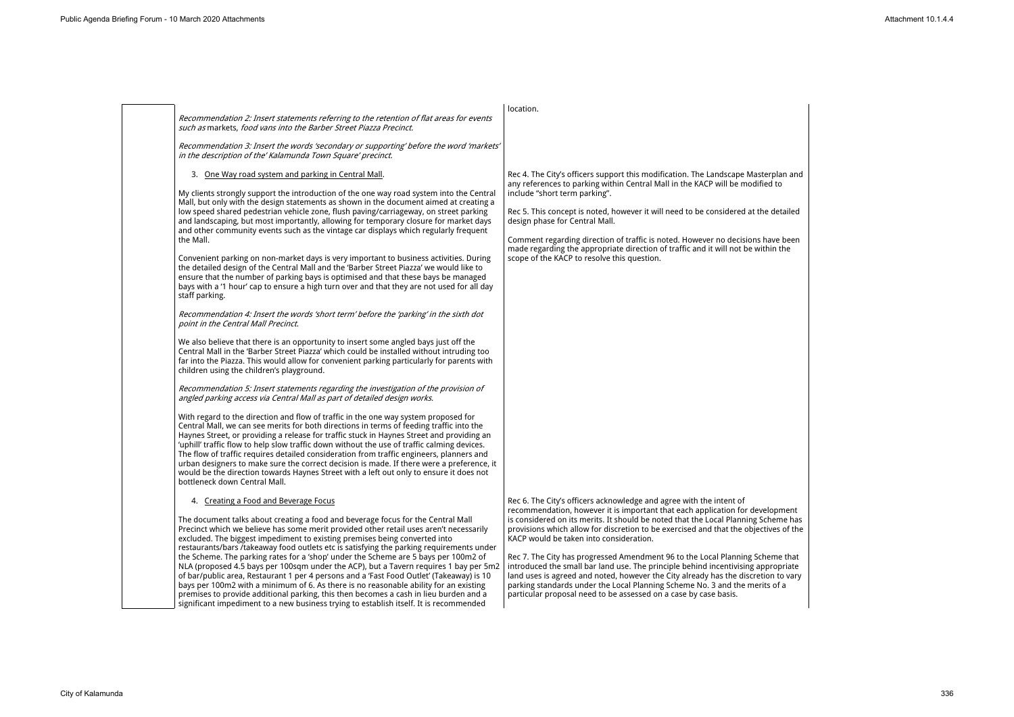Rec 4. The City's officers support this modification. The Landscape Master any references to parking within Central Mall in the KACP will be modif include "short term parking".

Rec 5. This concept is noted, however it will need to be considered at the design phase for Central Mall.

Comment regarding direction of traffic is noted. However no decisions made regarding the appropriate direction of traffic and it will not be w scope of the KACP to resolve this question.

*Recommendation 2: Insert statements referring to the retention of flat areas for events such as* markets, *food vans into the Barber Street Piazza Precinct. Recommendation 3: Insert the words 'secondary or supporting' before the word 'markets' in the description of the' Kalamunda Town Square' precinct.* location. 3. One Way road system and parking in Central Mall. My clients strongly support the introduction of the one way road system into the Central Mall, but only with the design statements as shown in the document aimed at creating a low speed shared pedestrian vehicle zone, flush paving/carriageway, on street parking and landscaping, but most importantly, allowing for temporary closure for market days and other community events such as the vintage car displays which regularly frequent the Mall. Convenient parking on non-market days is very important to business activities. During the detailed design of the Central Mall and the 'Barber Street Piazza' we would like to ensure that the number of parking bays is optimised and that these bays be managed bays with a '1 hour' cap to ensure a high turn over and that they are not used for all day staff parking. *Recommendation 4: Insert the words 'short term' before the 'parking' in the sixth dot point in the Central Mall Precinct.* We also believe that there is an opportunity to insert some angled bays just off the Central Mall in the 'Barber Street Piazza' which could be installed without intruding too far into the Piazza. This would allow for convenient parking particularly for parents with children using the children's playground. *Recommendation 5: Insert statements regarding the investigation of the provision of angled parking access via Central Mall as part of detailed design works.* With regard to the direction and flow of traffic in the one way system proposed for Central Mall, we can see merits for both directions in terms of feeding traffic into the Haynes Street, or providing a release for traffic stuck in Haynes Street and providing an 'uphill' traffic flow to help slow traffic down without the use of traffic calming devices. The flow of traffic requires detailed consideration from traffic engineers, planners and urban designers to make sure the correct decision is made. If there were a preference, it would be the direction towards Haynes Street with a left out only to ensure it does not bottleneck down Central Mall. 4. Creating a Food and Beverage Focus The document talks about creating a food and beverage focus for the Central Mall Precinct which we believe has some merit provided other retail uses aren't necessarily excluded. The biggest impediment to existing premises being converted into restaurants/bars /takeaway food outlets etc is satisfying the parking requirements under the Scheme. The parking rates for a 'shop' under the Scheme are 5 bays per 100m2 of NLA (proposed 4.5 bays per 100sqm under the ACP), but a Tavern requires 1 bay per 5m2 of bar/public area, Restaurant 1 per 4 persons and a 'Fast Food Outlet' (Takeaway) is 10 bays per 100m2 with a minimum of 6. As there is no reasonable ability for an existing premises to provide additional parking, this then becomes a cash in lieu burden and a

Rec 7. The City has progressed Amendment 96 to the Local Planning Scheme that introduced the small bar land use. The principle behind incentivising a land uses is agreed and noted, however the City already has the discretional parking standards under the Local Planning Scheme No. 3 and the mer particular proposal need to be assessed on a case by case basis.

significant impediment to a new business trying to establish itself. It is recommended

Rec 6. The City's officers acknowledge and agree with the intent of recommendation, however it is important that each application for dev is considered on its merits. It should be noted that the Local Planning ! provisions which allow for discretion to be exercised and that the objective KACP would be taken into consideration.

| sterplan and<br>fied to                                 |
|---------------------------------------------------------|
| he detailed                                             |
| s have been<br><i>rithin</i> the                        |
|                                                         |
|                                                         |
|                                                         |
|                                                         |
|                                                         |
|                                                         |
|                                                         |
|                                                         |
| velopment<br>Scheme has<br>ctives of the                |
| cheme that<br>appropriate<br>etion to vary<br>rits of a |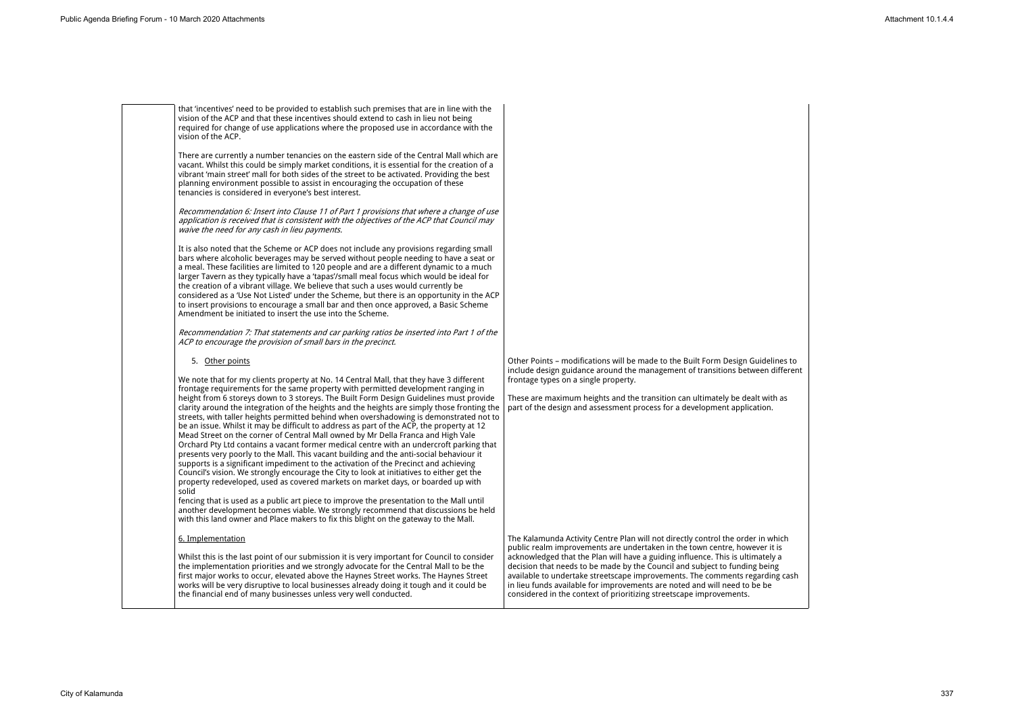that 'incentives' need to be provided to establish such premises that are in line with the vision of the ACP and that these incentives should extend to cash in lieu not being required for change of use applications where the proposed use in accordance with the vision of the ACP.

There are currently a number tenancies on the eastern side of the Central Mall which are vacant. Whilst this could be simply market conditions, it is essential for the creation of a vibrant 'main street' mall for both sides of the street to be activated. Providing the best planning environment possible to assist in encouraging the occupation of these tenancies is considered in everyone's best interest.

*Recommendation 6: Insert into Clause 11 of Part 1 provisions that where a change of use application is received that is consistent with the objectives of the ACP that Council may waive the need for any cash in lieu payments.*

It is also noted that the Scheme or ACP does not include any provisions regarding small bars where alcoholic beverages may be served without people needing to have a seat or a meal. These facilities are limited to 120 people and are a different dynamic to a much larger Tavern as they typically have a 'tapas'/small meal focus which would be ideal for the creation of a vibrant village. We believe that such a uses would currently be considered as a 'Use Not Listed' under the Scheme, but there is an opportunity in the ACP to insert provisions to encourage a small bar and then once approved, a Basic Scheme Amendment be initiated to insert the use into the Scheme.

> Other Points – modifications will be made to the Built Form Design Guidelines to include design guidance around the management of transitions betwe frontage types on a single property.

> These are maximum heights and the transition can ultimately be dealted part of the design and assessment process for a development application.

*Recommendation 7: That statements and car parking ratios be inserted into Part 1 of the ACP to encourage the provision of small bars in the precinct.*

5. Other points

The Kalamunda Activity Centre Plan will not directly control the order public realm improvements are undertaken in the town centre, howeven acknowledged that the Plan will have a guiding influence. This is ultim decision that needs to be made by the Council and subject to funding available to undertake streetscape improvements. The comments regarding in lieu funds available for improvements are noted and will need to be be considered in the context of prioritizing streetscape improvements.

We note that for my clients property at No. 14 Central Mall, that they have 3 different frontage requirements for the same property with permitted development ranging in height from 6 storeys down to 3 storeys. The Built Form Design Guidelines must provide clarity around the integration of the heights and the heights are simply those fronting the streets, with taller heights permitted behind when overshadowing is demonstrated not to be an issue. Whilst it may be difficult to address as part of the ACP, the property at 12 Mead Street on the corner of Central Mall owned by Mr Della Franca and High Vale Orchard Pty Ltd contains a vacant former medical centre with an undercroft parking that presents very poorly to the Mall. This vacant building and the anti-social behaviour it supports is a significant impediment to the activation of the Precinct and achieving Council's vision. We strongly encourage the City to look at initiatives to either get the property redeveloped, used as covered markets on market days, or boarded up with solid

fencing that is used as a public art piece to improve the presentation to the Mall until another development becomes viable. We strongly recommend that discussions be held with this land owner and Place makers to fix this blight on the gateway to the Mall.

#### 6. Implementation

Whilst this is the last point of our submission it is very important for Council to consider the implementation priorities and we strongly advocate for the Central Mall to be the first major works to occur, elevated above the Haynes Street works. The Haynes Street works will be very disruptive to local businesses already doing it tough and it could be the financial end of many businesses unless very well conducted.

| uidelines to<br>een different                                              |  |
|----------------------------------------------------------------------------|--|
| It with as<br>ition.                                                       |  |
|                                                                            |  |
|                                                                            |  |
| in which<br>ver it is<br>rach<br>nately a<br>phoing<br>arding cash<br>e be |  |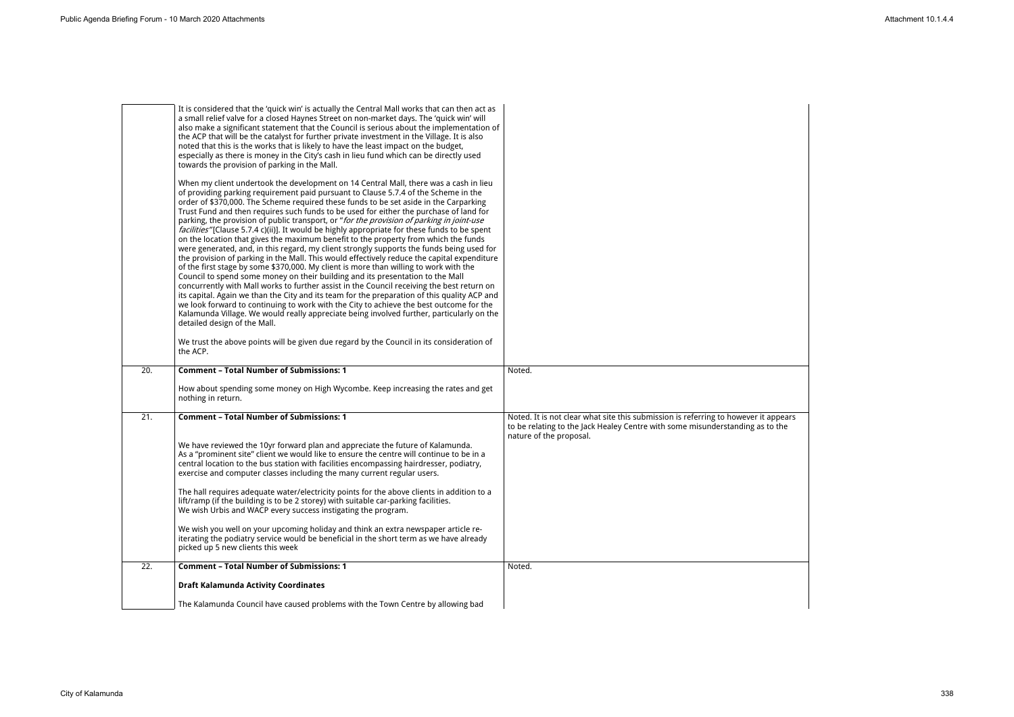|                   | It is considered that the 'quick win' is actually the Central Mall works that can then act as<br>a small relief valve for a closed Haynes Street on non-market days. The 'quick win' will<br>also make a significant statement that the Council is serious about the implementation of<br>the ACP that will be the catalyst for further private investment in the Village. It is also<br>noted that this is the works that is likely to have the least impact on the budget,<br>especially as there is money in the City's cash in lieu fund which can be directly used<br>towards the provision of parking in the Mall.<br>When my client undertook the development on 14 Central Mall, there was a cash in lieu<br>of providing parking requirement paid pursuant to Clause 5.7.4 of the Scheme in the<br>order of \$370,000. The Scheme required these funds to be set aside in the Carparking<br>Trust Fund and then requires such funds to be used for either the purchase of land for<br>parking, the provision of public transport, or "for the provision of parking in joint-use<br>facilities"[Clause 5.7.4 c)(ii)]. It would be highly appropriate for these funds to be spent<br>on the location that gives the maximum benefit to the property from which the funds<br>were generated, and, in this regard, my client strongly supports the funds being used for<br>the provision of parking in the Mall. This would effectively reduce the capital expenditure<br>of the first stage by some \$370,000. My client is more than willing to work with the<br>Council to spend some money on their building and its presentation to the Mall<br>concurrently with Mall works to further assist in the Council receiving the best return on<br>its capital. Again we than the City and its team for the preparation of this quality ACP and<br>we look forward to continuing to work with the City to achieve the best outcome for the<br>Kalamunda Village. We would really appreciate being involved further, particularly on the<br>detailed design of the Mall.<br>We trust the above points will be given due regard by the Council in its consideration of<br>the ACP. |                                                                                                                                                                                                 |
|-------------------|---------------------------------------------------------------------------------------------------------------------------------------------------------------------------------------------------------------------------------------------------------------------------------------------------------------------------------------------------------------------------------------------------------------------------------------------------------------------------------------------------------------------------------------------------------------------------------------------------------------------------------------------------------------------------------------------------------------------------------------------------------------------------------------------------------------------------------------------------------------------------------------------------------------------------------------------------------------------------------------------------------------------------------------------------------------------------------------------------------------------------------------------------------------------------------------------------------------------------------------------------------------------------------------------------------------------------------------------------------------------------------------------------------------------------------------------------------------------------------------------------------------------------------------------------------------------------------------------------------------------------------------------------------------------------------------------------------------------------------------------------------------------------------------------------------------------------------------------------------------------------------------------------------------------------------------------------------------------------------------------------------------------------------------------------------------------------------------------------------------------------------------------------------------------------------------|-------------------------------------------------------------------------------------------------------------------------------------------------------------------------------------------------|
| 20.               | <b>Comment - Total Number of Submissions: 1</b>                                                                                                                                                                                                                                                                                                                                                                                                                                                                                                                                                                                                                                                                                                                                                                                                                                                                                                                                                                                                                                                                                                                                                                                                                                                                                                                                                                                                                                                                                                                                                                                                                                                                                                                                                                                                                                                                                                                                                                                                                                                                                                                                       | Noted.                                                                                                                                                                                          |
|                   | How about spending some money on High Wycombe. Keep increasing the rates and get<br>nothing in return.                                                                                                                                                                                                                                                                                                                                                                                                                                                                                                                                                                                                                                                                                                                                                                                                                                                                                                                                                                                                                                                                                                                                                                                                                                                                                                                                                                                                                                                                                                                                                                                                                                                                                                                                                                                                                                                                                                                                                                                                                                                                                |                                                                                                                                                                                                 |
| $\overline{21}$ . | <b>Comment - Total Number of Submissions: 1</b><br>We have reviewed the 10yr forward plan and appreciate the future of Kalamunda.<br>As a "prominent site" client we would like to ensure the centre will continue to be in a<br>central location to the bus station with facilities encompassing hairdresser, podiatry,<br>exercise and computer classes including the many current regular users.<br>The hall requires adequate water/electricity points for the above clients in addition to a<br>lift/ramp (if the building is to be 2 storey) with suitable car-parking facilities.<br>We wish Urbis and WACP every success instigating the program.<br>We wish you well on your upcoming holiday and think an extra newspaper article re-<br>iterating the podiatry service would be beneficial in the short term as we have already<br>picked up 5 new clients this week                                                                                                                                                                                                                                                                                                                                                                                                                                                                                                                                                                                                                                                                                                                                                                                                                                                                                                                                                                                                                                                                                                                                                                                                                                                                                                       | Noted. It is not clear what site this submission is referring to however it appears<br>to be relating to the Jack Healey Centre with some misunderstanding as to the<br>nature of the proposal. |
| 22.               | <b>Comment - Total Number of Submissions: 1</b>                                                                                                                                                                                                                                                                                                                                                                                                                                                                                                                                                                                                                                                                                                                                                                                                                                                                                                                                                                                                                                                                                                                                                                                                                                                                                                                                                                                                                                                                                                                                                                                                                                                                                                                                                                                                                                                                                                                                                                                                                                                                                                                                       | Noted.                                                                                                                                                                                          |
|                   |                                                                                                                                                                                                                                                                                                                                                                                                                                                                                                                                                                                                                                                                                                                                                                                                                                                                                                                                                                                                                                                                                                                                                                                                                                                                                                                                                                                                                                                                                                                                                                                                                                                                                                                                                                                                                                                                                                                                                                                                                                                                                                                                                                                       |                                                                                                                                                                                                 |
|                   | <b>Draft Kalamunda Activity Coordinates</b>                                                                                                                                                                                                                                                                                                                                                                                                                                                                                                                                                                                                                                                                                                                                                                                                                                                                                                                                                                                                                                                                                                                                                                                                                                                                                                                                                                                                                                                                                                                                                                                                                                                                                                                                                                                                                                                                                                                                                                                                                                                                                                                                           |                                                                                                                                                                                                 |

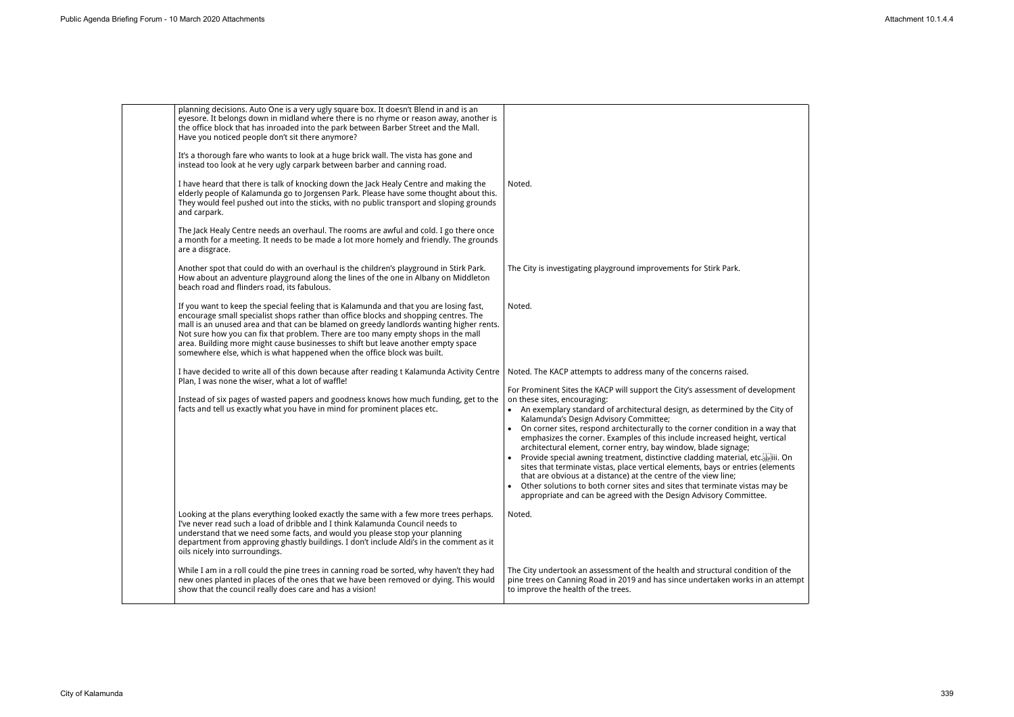| planning decisions. Auto One is a very ugly square box. It doesn't Blend in and is an<br>eyesore. It belongs down in midland where there is no rhyme or reason away, another is<br>the office block that has inroaded into the park between Barber Street and the Mall.<br>Have you noticed people don't sit there anymore?                                                                                                                                                                                                     |                                                                                                                                                                                                                                                                                                                                                                                                                                                                                                                                                                                                                                                                                                                                                                                                                                                                                                                                              |
|---------------------------------------------------------------------------------------------------------------------------------------------------------------------------------------------------------------------------------------------------------------------------------------------------------------------------------------------------------------------------------------------------------------------------------------------------------------------------------------------------------------------------------|----------------------------------------------------------------------------------------------------------------------------------------------------------------------------------------------------------------------------------------------------------------------------------------------------------------------------------------------------------------------------------------------------------------------------------------------------------------------------------------------------------------------------------------------------------------------------------------------------------------------------------------------------------------------------------------------------------------------------------------------------------------------------------------------------------------------------------------------------------------------------------------------------------------------------------------------|
| It's a thorough fare who wants to look at a huge brick wall. The vista has gone and<br>instead too look at he very ugly carpark between barber and canning road.                                                                                                                                                                                                                                                                                                                                                                |                                                                                                                                                                                                                                                                                                                                                                                                                                                                                                                                                                                                                                                                                                                                                                                                                                                                                                                                              |
| I have heard that there is talk of knocking down the Jack Healy Centre and making the<br>elderly people of Kalamunda go to Jorgensen Park. Please have some thought about this.<br>They would feel pushed out into the sticks, with no public transport and sloping grounds<br>and carpark.                                                                                                                                                                                                                                     | Noted.                                                                                                                                                                                                                                                                                                                                                                                                                                                                                                                                                                                                                                                                                                                                                                                                                                                                                                                                       |
| The Jack Healy Centre needs an overhaul. The rooms are awful and cold. I go there once<br>a month for a meeting. It needs to be made a lot more homely and friendly. The grounds<br>are a disgrace.                                                                                                                                                                                                                                                                                                                             |                                                                                                                                                                                                                                                                                                                                                                                                                                                                                                                                                                                                                                                                                                                                                                                                                                                                                                                                              |
| Another spot that could do with an overhaul is the children's playground in Stirk Park.<br>How about an adventure playground along the lines of the one in Albany on Middleton<br>beach road and flinders road, its fabulous.                                                                                                                                                                                                                                                                                                   | The City is investigating playground improvements for Stirk Park.                                                                                                                                                                                                                                                                                                                                                                                                                                                                                                                                                                                                                                                                                                                                                                                                                                                                            |
| If you want to keep the special feeling that is Kalamunda and that you are losing fast,<br>encourage small specialist shops rather than office blocks and shopping centres. The<br>mall is an unused area and that can be blamed on greedy landlords wanting higher rents.<br>Not sure how you can fix that problem. There are too many empty shops in the mall<br>area. Building more might cause businesses to shift but leave another empty space<br>somewhere else, which is what happened when the office block was built. | Noted.                                                                                                                                                                                                                                                                                                                                                                                                                                                                                                                                                                                                                                                                                                                                                                                                                                                                                                                                       |
| I have decided to write all of this down because after reading t Kalamunda Activity Centre<br>Plan, I was none the wiser, what a lot of waffle!                                                                                                                                                                                                                                                                                                                                                                                 | Noted. The KACP attempts to address many of the concerns raised.                                                                                                                                                                                                                                                                                                                                                                                                                                                                                                                                                                                                                                                                                                                                                                                                                                                                             |
| Instead of six pages of wasted papers and goodness knows how much funding, get to the<br>facts and tell us exactly what you have in mind for prominent places etc.                                                                                                                                                                                                                                                                                                                                                              | For Prominent Sites the KACP will support the City's assessment of development<br>on these sites, encouraging:<br>• An exemplary standard of architectural design, as determined by the City of<br>Kalamunda's Design Advisory Committee;<br>On corner sites, respond architecturally to the corner condition in a way that<br>emphasizes the corner. Examples of this include increased height, vertical<br>architectural element, corner entry, bay window, blade signage;<br>Provide special awning treatment, distinctive cladding material, etc. [17] Provide special awning treatment, distinctive cladding material, etc.<br>sites that terminate vistas, place vertical elements, bays or entries (elements<br>that are obvious at a distance) at the centre of the view line;<br>• Other solutions to both corner sites and sites that terminate vistas may be<br>appropriate and can be agreed with the Design Advisory Committee. |
| Looking at the plans everything looked exactly the same with a few more trees perhaps.<br>I've never read such a load of dribble and I think Kalamunda Council needs to<br>understand that we need some facts, and would you please stop your planning<br>department from approving ghastly buildings. I don't include Aldi's in the comment as it<br>oils nicely into surroundings.                                                                                                                                            | Noted.                                                                                                                                                                                                                                                                                                                                                                                                                                                                                                                                                                                                                                                                                                                                                                                                                                                                                                                                       |
| While I am in a roll could the pine trees in canning road be sorted, why haven't they had<br>new ones planted in places of the ones that we have been removed or dying. This would<br>show that the council really does care and has a vision!                                                                                                                                                                                                                                                                                  | The City undertook an assessment of the health and structural condition of the<br>pine trees on Canning Road in 2019 and has since undertaken works in an attempt<br>to improve the health of the trees.                                                                                                                                                                                                                                                                                                                                                                                                                                                                                                                                                                                                                                                                                                                                     |

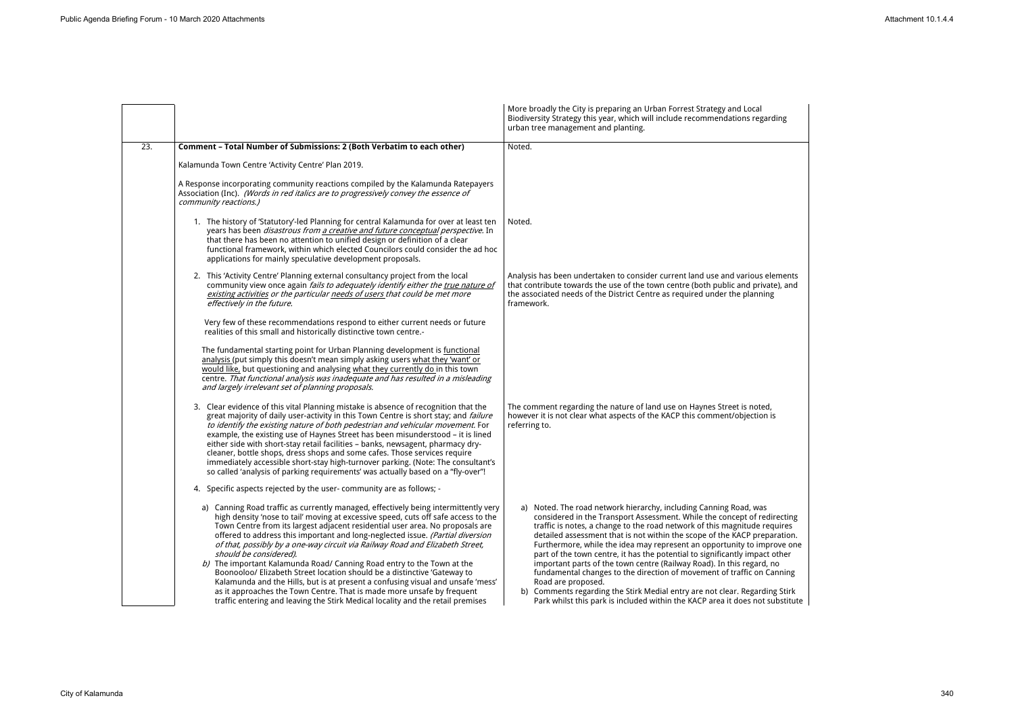|     |                                                                                                                                                                                                                                                                                                                                                                                                                                                                                                                                                                                                                                                                                                                                                                                                                                                               | More broadly the City is preparing an Urban Forrest Strategy and Local<br>Biodiversity Strategy this year, which will include recommendations regarding<br>urban tree management and planting.                                                                                                                                                                                                                                                                                                                                                                                                                                                                                                                                                                                                                |
|-----|---------------------------------------------------------------------------------------------------------------------------------------------------------------------------------------------------------------------------------------------------------------------------------------------------------------------------------------------------------------------------------------------------------------------------------------------------------------------------------------------------------------------------------------------------------------------------------------------------------------------------------------------------------------------------------------------------------------------------------------------------------------------------------------------------------------------------------------------------------------|---------------------------------------------------------------------------------------------------------------------------------------------------------------------------------------------------------------------------------------------------------------------------------------------------------------------------------------------------------------------------------------------------------------------------------------------------------------------------------------------------------------------------------------------------------------------------------------------------------------------------------------------------------------------------------------------------------------------------------------------------------------------------------------------------------------|
| 23. | Comment - Total Number of Submissions: 2 (Both Verbatim to each other)                                                                                                                                                                                                                                                                                                                                                                                                                                                                                                                                                                                                                                                                                                                                                                                        | Noted.                                                                                                                                                                                                                                                                                                                                                                                                                                                                                                                                                                                                                                                                                                                                                                                                        |
|     | Kalamunda Town Centre 'Activity Centre' Plan 2019.                                                                                                                                                                                                                                                                                                                                                                                                                                                                                                                                                                                                                                                                                                                                                                                                            |                                                                                                                                                                                                                                                                                                                                                                                                                                                                                                                                                                                                                                                                                                                                                                                                               |
|     | A Response incorporating community reactions compiled by the Kalamunda Ratepayers<br>Association (Inc). (Words in red italics are to progressively convey the essence of<br>community reactions.)                                                                                                                                                                                                                                                                                                                                                                                                                                                                                                                                                                                                                                                             |                                                                                                                                                                                                                                                                                                                                                                                                                                                                                                                                                                                                                                                                                                                                                                                                               |
|     | 1. The history of 'Statutory'-led Planning for central Kalamunda for over at least ten<br>years has been <i>disastrous from a creative and future conceptual perspective.</i> In<br>that there has been no attention to unified design or definition of a clear<br>functional framework, within which elected Councilors could consider the ad hoc<br>applications for mainly speculative development proposals.                                                                                                                                                                                                                                                                                                                                                                                                                                              | Noted.                                                                                                                                                                                                                                                                                                                                                                                                                                                                                                                                                                                                                                                                                                                                                                                                        |
|     | 2. This 'Activity Centre' Planning external consultancy project from the local<br>community view once again fails to adequately identify either the true nature of<br>existing activities or the particular needs of users that could be met more<br>effectively in the future.                                                                                                                                                                                                                                                                                                                                                                                                                                                                                                                                                                               | Analysis has been undertaken to consider current land use and various elements<br>that contribute towards the use of the town centre (both public and private), and<br>the associated needs of the District Centre as required under the planning<br>framework.                                                                                                                                                                                                                                                                                                                                                                                                                                                                                                                                               |
|     | Very few of these recommendations respond to either current needs or future<br>realities of this small and historically distinctive town centre.-                                                                                                                                                                                                                                                                                                                                                                                                                                                                                                                                                                                                                                                                                                             |                                                                                                                                                                                                                                                                                                                                                                                                                                                                                                                                                                                                                                                                                                                                                                                                               |
|     | The fundamental starting point for Urban Planning development is functional<br>analysis (put simply this doesn't mean simply asking users what they 'want' or<br>would like, but questioning and analysing what they currently do in this town<br>centre. That functional analysis was inadequate and has resulted in a misleading<br>and largely irrelevant set of planning proposals.                                                                                                                                                                                                                                                                                                                                                                                                                                                                       |                                                                                                                                                                                                                                                                                                                                                                                                                                                                                                                                                                                                                                                                                                                                                                                                               |
|     | 3. Clear evidence of this vital Planning mistake is absence of recognition that the<br>great majority of daily user-activity in this Town Centre is short stay; and failure<br>to identify the existing nature of both pedestrian and vehicular movement. For<br>example, the existing use of Haynes Street has been misunderstood - it is lined<br>either side with short-stay retail facilities - banks, newsagent, pharmacy dry-<br>cleaner, bottle shops, dress shops and some cafes. Those services require<br>immediately accessible short-stay high-turnover parking. (Note: The consultant's<br>so called 'analysis of parking requirements' was actually based on a "fly-over"!                                                                                                                                                                      | The comment regarding the nature of land use on Haynes Street is noted,<br>however it is not clear what aspects of the KACP this comment/objection is<br>referring to.                                                                                                                                                                                                                                                                                                                                                                                                                                                                                                                                                                                                                                        |
|     | 4. Specific aspects rejected by the user-community are as follows; -                                                                                                                                                                                                                                                                                                                                                                                                                                                                                                                                                                                                                                                                                                                                                                                          |                                                                                                                                                                                                                                                                                                                                                                                                                                                                                                                                                                                                                                                                                                                                                                                                               |
|     | a) Canning Road traffic as currently managed, effectively being intermittently very<br>high density 'nose to tail' moving at excessive speed, cuts off safe access to the<br>Town Centre from its largest adjacent residential user area. No proposals are<br>offered to address this important and long-neglected issue. (Partial diversion<br>of that, possibly by a one-way circuit via Railway Road and Elizabeth Street,<br>should be considered).<br>b) The important Kalamunda Road/ Canning Road entry to the Town at the<br>Boonooloo/ Elizabeth Street location should be a distinctive 'Gateway to<br>Kalamunda and the Hills, but is at present a confusing visual and unsafe 'mess'<br>as it approaches the Town Centre. That is made more unsafe by frequent<br>traffic entering and leaving the Stirk Medical locality and the retail premises | Noted. The road network hierarchy, including Canning Road, was<br>a)<br>considered in the Transport Assessment. While the concept of redirecting<br>traffic is notes, a change to the road network of this magnitude requires<br>detailed assessment that is not within the scope of the KACP preparation.<br>Furthermore, while the idea may represent an opportunity to improve one<br>part of the town centre, it has the potential to significantly impact other<br>important parts of the town centre (Railway Road). In this regard, no<br>fundamental changes to the direction of movement of traffic on Canning<br>Road are proposed.<br>b) Comments regarding the Stirk Medial entry are not clear. Regarding Stirk<br>Park whilst this park is included within the KACP area it does not substitute |

| arding                                                                                   |  |
|------------------------------------------------------------------------------------------|--|
| elements<br>ate), and<br>ng                                                              |  |
| d,<br>า is                                                                               |  |
| 5<br>directing<br>equires<br>paration.<br>prove one<br>.<br>t other:<br>l, no<br>Canning |  |
| ling Stirk<br>substitute                                                                 |  |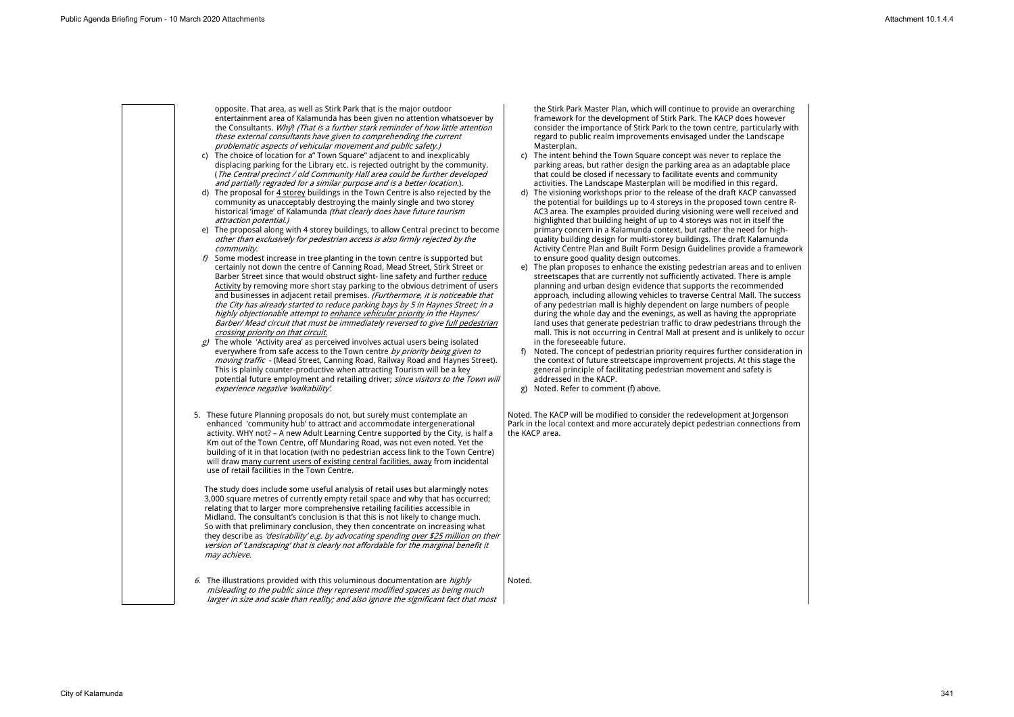the Stirk Park Master Plan, which will continue to provide an overarching framework for the development of Stirk Park. The KACP does hov consider the importance of Stirk Park to the town centre, particul regard to public realm improvements envisaged under the Lands

- c) The intent behind the Town Square concept was never to replace parking areas, but rather design the parking area as an adaptable that could be closed if necessary to facilitate events and community activities. The Landscape Masterplan will be modified in this rega
- d) The visioning workshops prior to the release of the draft KACP can the potential for buildings up to 4 storeys in the proposed town of AC3 area. The examples provided during visioning were well rece highlighted that building height of up to 4 storeys was not in itsel primary concern in a Kalamunda context, but rather the need for quality building design for multi-storey buildings. The draft Kalan Activity Centre Plan and Built Form Design Guidelines provide a f to ensure good quality design outcomes.
- e) The plan proposes to enhance the existing pedestrian areas and streetscapes that are currently not sufficiently activated. There is planning and urban design evidence that supports the recommer approach, including allowing vehicles to traverse Central Mall. Th of any pedestrian mall is highly dependent on large numbers of during the whole day and the evenings, as well as having the app land uses that generate pedestrian traffic to draw pedestrians through mall. This is not occurring in Central Mall at present and is unlike in the foreseeable future.
- f) Noted. The concept of pedestrian priority requires further consideration in the context of future streetscape improvement projects. At this sta general principle of facilitating pedestrian movement and safety addressed in the KACP.
- g) Noted. Refer to comment (f) above.

Noted. The KACP will be modified to consider the redevelopment at Jorg Park in the local context and more accurately depict pedestrian connections

opposite. That area, as well as Stirk Park that is the major outdoor entertainment area of Kalamunda has been given no attention whatsoever by the Consultants*. Why*? *(That is a further stark reminder of how little attention these external consultants have given to comprehending the current problematic aspects of vehicular movement and public safety.)* c) The choice of location for a" Town Square" adjacent to and inexplicably displacing parking for the Library etc. is rejected outright by the community. (*The Central precinct / old Community Hall area could be further developed and partially regraded for a similar purpose and is a better location.*). d) The proposal for 4 storey buildings in the Town Centre is also rejected by the community as unacceptably destroying the mainly single and two storey historical 'image' of Kalamunda *(that clearly does have future tourism attraction potential.)* e) The proposal along with 4 storey buildings, to allow Central precinct to become *other than exclusively for pedestrian access is also firmly rejected by the community. f)* Some modest increase in tree planting in the town centre is supported but certainly not down the centre of Canning Road, Mead Street, Stirk Street or Barber Street since that would obstruct sight- line safety and further reduce Activity by removing more short stay parking to the obvious detriment of users and businesses in adjacent retail premises. *(Furthermore, it is noticeable that the City has already started to reduce parking bays by 5 in Haynes Street; in a highly objectionable attempt to enhance vehicular priority in the Haynes/ Barber/ Mead circuit that must be immediately reversed to give full pedestrian crossing priority on that circuit. g)* The whole 'Activity area' as perceived involves actual users being isolated everywhere from safe access to the Town centre *by priority being given to moving traffic* - (Mead Street, Canning Road, Railway Road and Haynes Street). This is plainly counter-productive when attracting Tourism will be a key potential future employment and retailing driver; *since visitors to the Town will experience negative 'walkability'.* Masterplan. 5. These future Planning proposals do not, but surely must contemplate an enhanced 'community hub' to attract and accommodate intergenerational activity. WHY not? – A new Adult Learning Centre supported by the City, is half a Km out of the Town Centre, off Mundaring Road, was not even noted. Yet the building of it in that location (with no pedestrian access link to the Town Centre) will draw many current users of existing central facilities, away from incidental use of retail facilities in the Town Centre. The study does include some useful analysis of retail uses but alarmingly notes 3,000 square metres of currently empty retail space and why that has occurred; relating that to larger more comprehensive retailing facilities accessible in Midland. The consultant's conclusion is that this is not likely to change much. So with that preliminary conclusion, they then concentrate on increasing what they describe as *'desirability' e.g. by advocating spending over \$25 million on their version of 'Landscaping' that is clearly not affordable for the marginal benefit it may achieve.* the KACP area. *6.* The illustrations provided with this voluminous documentation are *highly misleading to the public since they represent modified spaces as being much larger in size and scale than reality; and also ignore the significant fact that most*  Noted.

| wever<br>larly with<br>scape                                                                                                         |  |
|--------------------------------------------------------------------------------------------------------------------------------------|--|
| the <u>ہ</u><br>e place<br>nity<br>ard.<br>anvassed<br>centre R-<br>eived and<br>If the<br>r high-<br>nunda<br><sup>:</sup> ramework |  |
| to enliven<br>ample<br>ndeḋ<br>e success<br>people<br>oropriate<br>rough the<br>ly to occur                                          |  |
| deration in<br>tage the<br>is                                                                                                        |  |
| renson<br>ions from                                                                                                                  |  |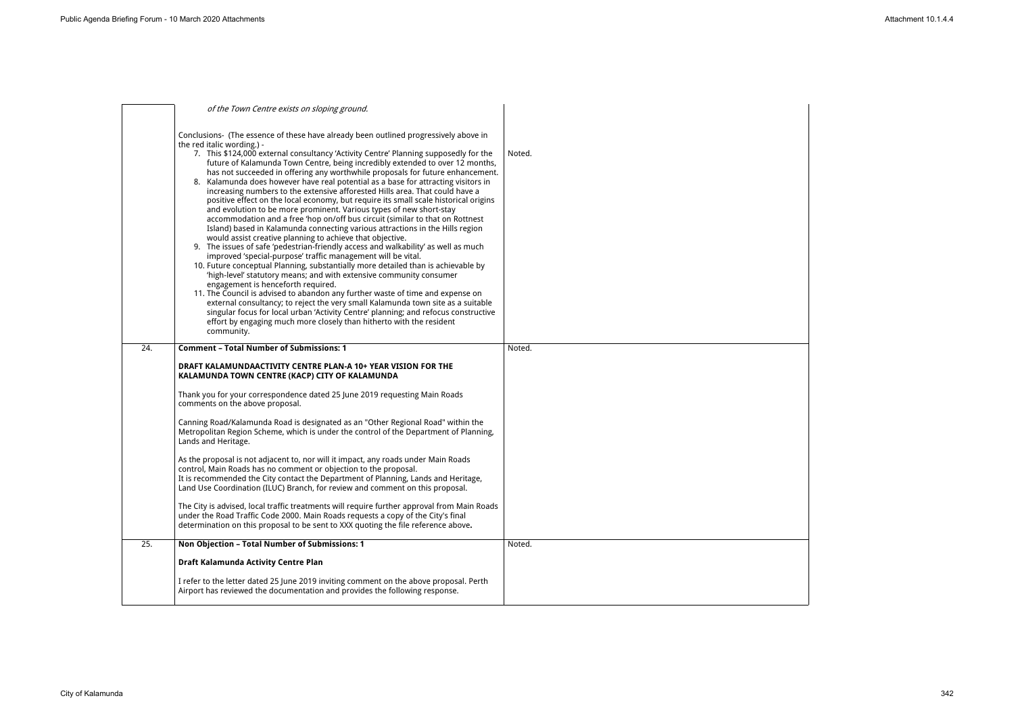|     | of the Town Centre exists on sloping ground.                                                                                                                                                                                                                                                                                                                                                                                                                                                                                                                                                                                                                                                                                                                                                                                                                                                                                                                                                                                                                                                                                                                                                                                                                                                                                                                                                                                                                                                                                                                                                                                                                 |        |
|-----|--------------------------------------------------------------------------------------------------------------------------------------------------------------------------------------------------------------------------------------------------------------------------------------------------------------------------------------------------------------------------------------------------------------------------------------------------------------------------------------------------------------------------------------------------------------------------------------------------------------------------------------------------------------------------------------------------------------------------------------------------------------------------------------------------------------------------------------------------------------------------------------------------------------------------------------------------------------------------------------------------------------------------------------------------------------------------------------------------------------------------------------------------------------------------------------------------------------------------------------------------------------------------------------------------------------------------------------------------------------------------------------------------------------------------------------------------------------------------------------------------------------------------------------------------------------------------------------------------------------------------------------------------------------|--------|
|     | Conclusions- (The essence of these have already been outlined progressively above in<br>the red italic wording.) -<br>7. This \$124,000 external consultancy 'Activity Centre' Planning supposedly for the<br>future of Kalamunda Town Centre, being incredibly extended to over 12 months,<br>has not succeeded in offering any worthwhile proposals for future enhancement.<br>8. Kalamunda does however have real potential as a base for attracting visitors in<br>increasing numbers to the extensive afforested Hills area. That could have a<br>positive effect on the local economy, but require its small scale historical origins<br>and evolution to be more prominent. Various types of new short-stay<br>accommodation and a free 'hop on/off bus circuit (similar to that on Rottnest<br>Island) based in Kalamunda connecting various attractions in the Hills region<br>would assist creative planning to achieve that objective.<br>9. The issues of safe 'pedestrian-friendly access and walkability' as well as much<br>improved 'special-purpose' traffic management will be vital.<br>10. Future conceptual Planning, substantially more detailed than is achievable by<br>'high-level' statutory means; and with extensive community consumer<br>engagement is henceforth required.<br>11. The Council is advised to abandon any further waste of time and expense on<br>external consultancy; to reject the very small Kalamunda town site as a suitable<br>singular focus for local urban 'Activity Centre' planning; and refocus constructive<br>effort by engaging much more closely than hitherto with the resident<br>community. | Noted. |
| 24. | <b>Comment - Total Number of Submissions: 1</b>                                                                                                                                                                                                                                                                                                                                                                                                                                                                                                                                                                                                                                                                                                                                                                                                                                                                                                                                                                                                                                                                                                                                                                                                                                                                                                                                                                                                                                                                                                                                                                                                              | Noted. |
|     | DRAFT KALAMUNDAACTIVITY CENTRE PLAN-A 10+ YEAR VISION FOR THE<br>KALAMUNDA TOWN CENTRE (KACP) CITY OF KALAMUNDA                                                                                                                                                                                                                                                                                                                                                                                                                                                                                                                                                                                                                                                                                                                                                                                                                                                                                                                                                                                                                                                                                                                                                                                                                                                                                                                                                                                                                                                                                                                                              |        |
|     | Thank you for your correspondence dated 25 June 2019 requesting Main Roads<br>comments on the above proposal.                                                                                                                                                                                                                                                                                                                                                                                                                                                                                                                                                                                                                                                                                                                                                                                                                                                                                                                                                                                                                                                                                                                                                                                                                                                                                                                                                                                                                                                                                                                                                |        |
|     | Canning Road/Kalamunda Road is designated as an "Other Regional Road" within the<br>Metropolitan Region Scheme, which is under the control of the Department of Planning,<br>Lands and Heritage.                                                                                                                                                                                                                                                                                                                                                                                                                                                                                                                                                                                                                                                                                                                                                                                                                                                                                                                                                                                                                                                                                                                                                                                                                                                                                                                                                                                                                                                             |        |
|     | As the proposal is not adjacent to, nor will it impact, any roads under Main Roads<br>control, Main Roads has no comment or objection to the proposal.<br>It is recommended the City contact the Department of Planning, Lands and Heritage,<br>Land Use Coordination (ILUC) Branch, for review and comment on this proposal.                                                                                                                                                                                                                                                                                                                                                                                                                                                                                                                                                                                                                                                                                                                                                                                                                                                                                                                                                                                                                                                                                                                                                                                                                                                                                                                                |        |
|     | The City is advised, local traffic treatments will require further approval from Main Roads<br>under the Road Traffic Code 2000. Main Roads requests a copy of the City's final<br>determination on this proposal to be sent to XXX quoting the file reference above.                                                                                                                                                                                                                                                                                                                                                                                                                                                                                                                                                                                                                                                                                                                                                                                                                                                                                                                                                                                                                                                                                                                                                                                                                                                                                                                                                                                        |        |
| 25. | Non Objection - Total Number of Submissions: 1                                                                                                                                                                                                                                                                                                                                                                                                                                                                                                                                                                                                                                                                                                                                                                                                                                                                                                                                                                                                                                                                                                                                                                                                                                                                                                                                                                                                                                                                                                                                                                                                               | Noted. |
|     | Draft Kalamunda Activity Centre Plan                                                                                                                                                                                                                                                                                                                                                                                                                                                                                                                                                                                                                                                                                                                                                                                                                                                                                                                                                                                                                                                                                                                                                                                                                                                                                                                                                                                                                                                                                                                                                                                                                         |        |
|     | I refer to the letter dated 25 June 2019 inviting comment on the above proposal. Perth<br>Airport has reviewed the documentation and provides the following response.                                                                                                                                                                                                                                                                                                                                                                                                                                                                                                                                                                                                                                                                                                                                                                                                                                                                                                                                                                                                                                                                                                                                                                                                                                                                                                                                                                                                                                                                                        |        |

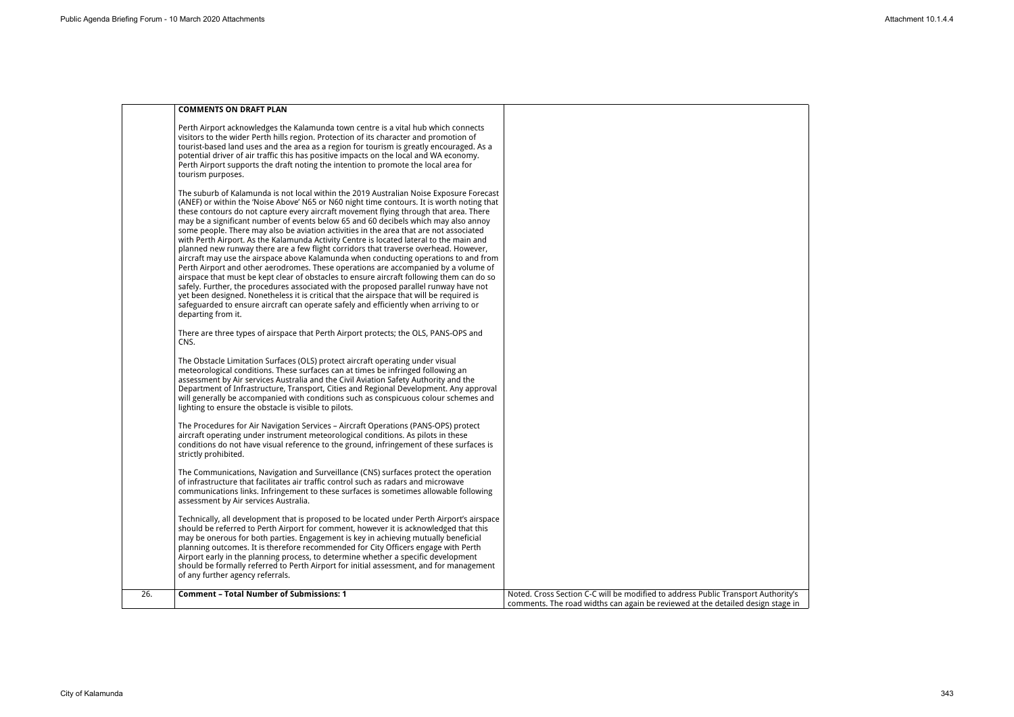|     | <b>COMMENTS ON DRAFT PLAN</b>                                                                                                                                                                                                                                                                                                                                                                                                                                                                                                                                                                                                                                                                                                                                                                                                                                                                                                                                                                                                                                                                                                                                                                                                      |                                                                                                                                                                      |
|-----|------------------------------------------------------------------------------------------------------------------------------------------------------------------------------------------------------------------------------------------------------------------------------------------------------------------------------------------------------------------------------------------------------------------------------------------------------------------------------------------------------------------------------------------------------------------------------------------------------------------------------------------------------------------------------------------------------------------------------------------------------------------------------------------------------------------------------------------------------------------------------------------------------------------------------------------------------------------------------------------------------------------------------------------------------------------------------------------------------------------------------------------------------------------------------------------------------------------------------------|----------------------------------------------------------------------------------------------------------------------------------------------------------------------|
|     | Perth Airport acknowledges the Kalamunda town centre is a vital hub which connects<br>visitors to the wider Perth hills region. Protection of its character and promotion of<br>tourist-based land uses and the area as a region for tourism is greatly encouraged. As a<br>potential driver of air traffic this has positive impacts on the local and WA economy.<br>Perth Airport supports the draft noting the intention to promote the local area for<br>tourism purposes.                                                                                                                                                                                                                                                                                                                                                                                                                                                                                                                                                                                                                                                                                                                                                     |                                                                                                                                                                      |
|     | The suburb of Kalamunda is not local within the 2019 Australian Noise Exposure Forecast<br>(ANEF) or within the 'Noise Above' N65 or N60 night time contours. It is worth noting that<br>these contours do not capture every aircraft movement flying through that area. There<br>may be a significant number of events below 65 and 60 decibels which may also annoy<br>some people. There may also be aviation activities in the area that are not associated<br>with Perth Airport. As the Kalamunda Activity Centre is located lateral to the main and<br>planned new runway there are a few flight corridors that traverse overhead. However,<br>aircraft may use the airspace above Kalamunda when conducting operations to and from<br>Perth Airport and other aerodromes. These operations are accompanied by a volume of<br>airspace that must be kept clear of obstacles to ensure aircraft following them can do so<br>safely. Further, the procedures associated with the proposed parallel runway have not<br>yet been designed. Nonetheless it is critical that the airspace that will be required is<br>safeguarded to ensure aircraft can operate safely and efficiently when arriving to or<br>departing from it. |                                                                                                                                                                      |
|     | There are three types of airspace that Perth Airport protects; the OLS, PANS-OPS and<br>CNS.                                                                                                                                                                                                                                                                                                                                                                                                                                                                                                                                                                                                                                                                                                                                                                                                                                                                                                                                                                                                                                                                                                                                       |                                                                                                                                                                      |
|     | The Obstacle Limitation Surfaces (OLS) protect aircraft operating under visual<br>meteorological conditions. These surfaces can at times be infringed following an<br>assessment by Air services Australia and the Civil Aviation Safety Authority and the<br>Department of Infrastructure, Transport, Cities and Regional Development. Any approval<br>will generally be accompanied with conditions such as conspicuous colour schemes and<br>lighting to ensure the obstacle is visible to pilots.                                                                                                                                                                                                                                                                                                                                                                                                                                                                                                                                                                                                                                                                                                                              |                                                                                                                                                                      |
|     | The Procedures for Air Navigation Services - Aircraft Operations (PANS-OPS) protect<br>aircraft operating under instrument meteorological conditions. As pilots in these<br>conditions do not have visual reference to the ground, infringement of these surfaces is<br>strictly prohibited.                                                                                                                                                                                                                                                                                                                                                                                                                                                                                                                                                                                                                                                                                                                                                                                                                                                                                                                                       |                                                                                                                                                                      |
|     | The Communications, Navigation and Surveillance (CNS) surfaces protect the operation<br>of infrastructure that facilitates air traffic control such as radars and microwave<br>communications links. Infringement to these surfaces is sometimes allowable following<br>assessment by Air services Australia.                                                                                                                                                                                                                                                                                                                                                                                                                                                                                                                                                                                                                                                                                                                                                                                                                                                                                                                      |                                                                                                                                                                      |
|     | Technically, all development that is proposed to be located under Perth Airport's airspace<br>should be referred to Perth Airport for comment, however it is acknowledged that this<br>may be onerous for both parties. Engagement is key in achieving mutually beneficial<br>planning outcomes. It is therefore recommended for City Officers engage with Perth<br>Airport early in the planning process, to determine whether a specific development<br>should be formally referred to Perth Airport for initial assessment, and for management<br>of any further agency referrals.                                                                                                                                                                                                                                                                                                                                                                                                                                                                                                                                                                                                                                              |                                                                                                                                                                      |
| 26. | <b>Comment - Total Number of Submissions: 1</b>                                                                                                                                                                                                                                                                                                                                                                                                                                                                                                                                                                                                                                                                                                                                                                                                                                                                                                                                                                                                                                                                                                                                                                                    | Noted. Cross Section C-C will be modified to address Public Transport Authority's<br>comments. The road widths can again be reviewed at the detailed design stage in |

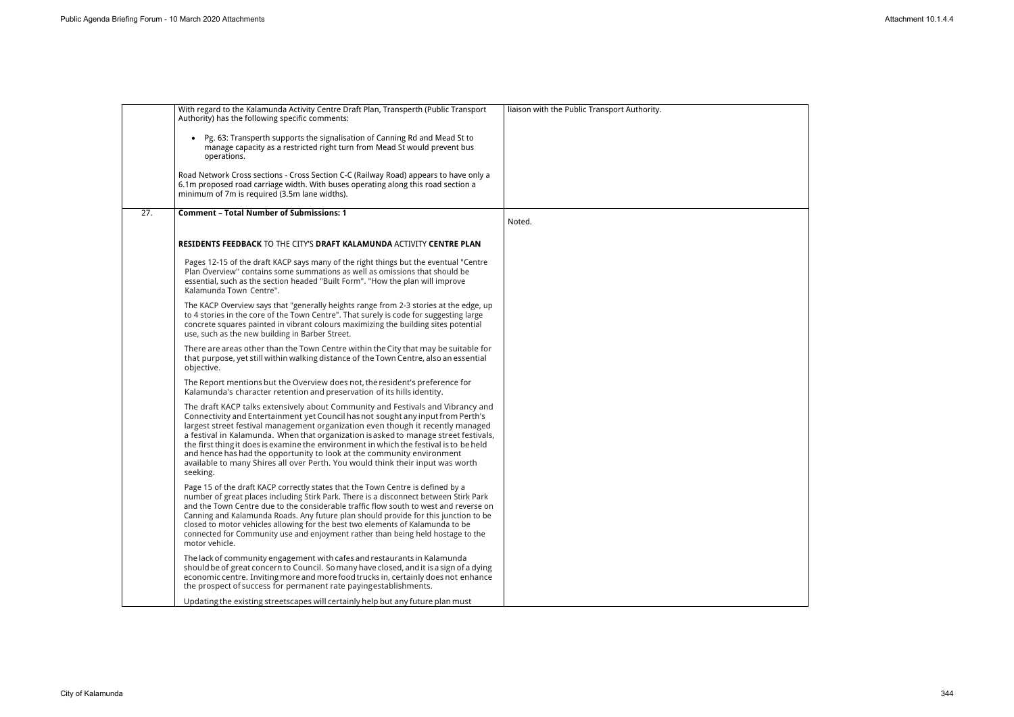|     | With regard to the Kalamunda Activity Centre Draft Plan, Transperth (Public Transport<br>Authority) has the following specific comments:                                                                                                                                                                                                                                                                                                                                                                                                                                                                         | liaison with the Public Transport Authority. |
|-----|------------------------------------------------------------------------------------------------------------------------------------------------------------------------------------------------------------------------------------------------------------------------------------------------------------------------------------------------------------------------------------------------------------------------------------------------------------------------------------------------------------------------------------------------------------------------------------------------------------------|----------------------------------------------|
|     | Pg. 63: Transperth supports the signalisation of Canning Rd and Mead St to<br>manage capacity as a restricted right turn from Mead St would prevent bus<br>operations.                                                                                                                                                                                                                                                                                                                                                                                                                                           |                                              |
|     | Road Network Cross sections - Cross Section C-C (Railway Road) appears to have only a<br>6.1m proposed road carriage width. With buses operating along this road section a<br>minimum of 7m is required (3.5m lane widths).                                                                                                                                                                                                                                                                                                                                                                                      |                                              |
| 27. | <b>Comment - Total Number of Submissions: 1</b>                                                                                                                                                                                                                                                                                                                                                                                                                                                                                                                                                                  | Noted.                                       |
|     | RESIDENTS FEEDBACK TO THE CITY'S DRAFT KALAMUNDA ACTIVITY CENTRE PLAN                                                                                                                                                                                                                                                                                                                                                                                                                                                                                                                                            |                                              |
|     | Pages 12-15 of the draft KACP says many of the right things but the eventual "Centre<br>Plan Overview" contains some summations as well as omissions that should be<br>essential, such as the section headed "Built Form". "How the plan will improve<br>Kalamunda Town Centre".                                                                                                                                                                                                                                                                                                                                 |                                              |
|     | The KACP Overview says that "generally heights range from 2-3 stories at the edge, up<br>to 4 stories in the core of the Town Centre". That surely is code for suggesting large<br>concrete squares painted in vibrant colours maximizing the building sites potential<br>use, such as the new building in Barber Street.                                                                                                                                                                                                                                                                                        |                                              |
|     | There are areas other than the Town Centre within the City that may be suitable for<br>that purpose, yet still within walking distance of the Town Centre, also an essential<br>objective.                                                                                                                                                                                                                                                                                                                                                                                                                       |                                              |
|     | The Report mentions but the Overview does not, the resident's preference for<br>Kalamunda's character retention and preservation of its hills identity.                                                                                                                                                                                                                                                                                                                                                                                                                                                          |                                              |
|     | The draft KACP talks extensively about Community and Festivals and Vibrancy and<br>Connectivity and Entertainment yet Council has not sought any input from Perth's<br>largest street festival management organization even though it recently managed<br>a festival in Kalamunda. When that organization is asked to manage street festivals,<br>the first thing it does is examine the environment in which the festival is to be held<br>and hence has had the opportunity to look at the community environment<br>available to many Shires all over Perth. You would think their input was worth<br>seeking. |                                              |
|     | Page 15 of the draft KACP correctly states that the Town Centre is defined by a<br>number of great places including Stirk Park. There is a disconnect between Stirk Park<br>and the Town Centre due to the considerable traffic flow south to west and reverse on<br>Canning and Kalamunda Roads. Any future plan should provide for this junction to be<br>closed to motor vehicles allowing for the best two elements of Kalamunda to be<br>connected for Community use and enjoyment rather than being held hostage to the<br>motor vehicle.                                                                  |                                              |
|     | The lack of community engagement with cafes and restaurants in Kalamunda<br>should be of great concern to Council. So many have closed, and it is a sign of a dying<br>economic centre. Inviting more and more food trucks in, certainly does not enhance<br>the prospect of success for permanent rate payingestablishments.                                                                                                                                                                                                                                                                                    |                                              |
|     | Updating the existing streetscapes will certainly help but any future plan must                                                                                                                                                                                                                                                                                                                                                                                                                                                                                                                                  |                                              |

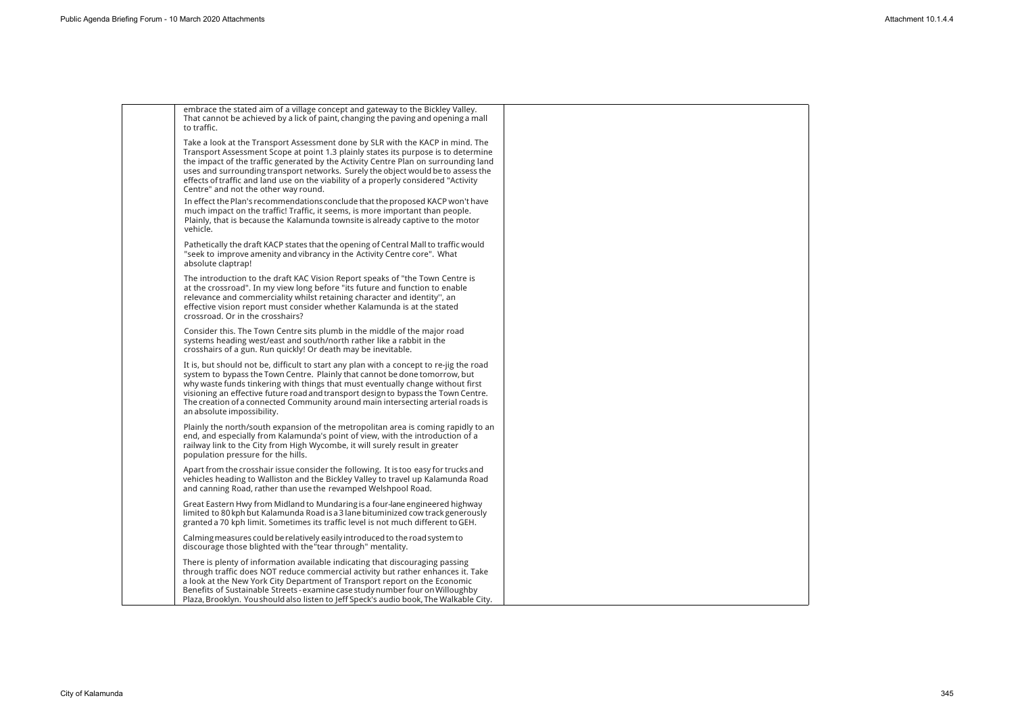| embrace the stated aim of a village concept and gateway to the Bickley Valley.<br>That cannot be achieved by a lick of paint, changing the paving and opening a mall<br>to traffic.                                                                                                                                                                                                                                                                                             |  |
|---------------------------------------------------------------------------------------------------------------------------------------------------------------------------------------------------------------------------------------------------------------------------------------------------------------------------------------------------------------------------------------------------------------------------------------------------------------------------------|--|
| Take a look at the Transport Assessment done by SLR with the KACP in mind. The<br>Transport Assessment Scope at point 1.3 plainly states its purpose is to determine<br>the impact of the traffic generated by the Activity Centre Plan on surrounding land<br>uses and surrounding transport networks. Surely the object would be to assess the<br>effects of traffic and land use on the viability of a properly considered "Activity<br>Centre" and not the other way round. |  |
| In effect the Plan's recommendations conclude that the proposed KACP won't have<br>much impact on the traffic! Traffic, it seems, is more important than people.<br>Plainly, that is because the Kalamunda townsite is already captive to the motor<br>vehicle.                                                                                                                                                                                                                 |  |
| Pathetically the draft KACP states that the opening of Central Mall to traffic would<br>"seek to improve amenity and vibrancy in the Activity Centre core". What<br>absolute claptrap!                                                                                                                                                                                                                                                                                          |  |
| The introduction to the draft KAC Vision Report speaks of "the Town Centre is<br>at the crossroad". In my view long before "its future and function to enable<br>relevance and commerciality whilst retaining character and identity", an<br>effective vision report must consider whether Kalamunda is at the stated<br>crossroad. Or in the crosshairs?                                                                                                                       |  |
| Consider this. The Town Centre sits plumb in the middle of the major road<br>systems heading west/east and south/north rather like a rabbit in the<br>crosshairs of a gun. Run quickly! Or death may be inevitable.                                                                                                                                                                                                                                                             |  |
| It is, but should not be, difficult to start any plan with a concept to re-jig the road<br>system to bypass the Town Centre. Plainly that cannot be done tomorrow, but<br>why waste funds tinkering with things that must eventually change without first<br>visioning an effective future road and transport design to bypass the Town Centre.<br>The creation of a connected Community around main intersecting arterial roads is<br>an absolute impossibility.               |  |
| Plainly the north/south expansion of the metropolitan area is coming rapidly to an<br>end, and especially from Kalamunda's point of view, with the introduction of a<br>railway link to the City from High Wycombe, it will surely result in greater<br>population pressure for the hills.                                                                                                                                                                                      |  |
| Apart from the crosshair issue consider the following. It is too easy for trucks and<br>vehicles heading to Walliston and the Bickley Valley to travel up Kalamunda Road<br>and canning Road, rather than use the revamped Welshpool Road.                                                                                                                                                                                                                                      |  |
| Great Eastern Hwy from Midland to Mundaring is a four-lane engineered highway<br>limited to 80 kph but Kalamunda Road is a 3 lane bituminized cow track generously<br>granted a 70 kph limit. Sometimes its traffic level is not much different to GEH.                                                                                                                                                                                                                         |  |
| Calming measures could be relatively easily introduced to the road system to<br>discourage those blighted with the "tear through" mentality.                                                                                                                                                                                                                                                                                                                                    |  |
| There is plenty of information available indicating that discouraging passing<br>through traffic does NOT reduce commercial activity but rather enhances it. Take<br>a look at the New York City Department of Transport report on the Economic<br>Benefits of Sustainable Streets - examine case study number four on Willoughby<br>Plaza, Brooklyn. You should also listen to Jeff Speck's audio book, The Walkable City.                                                     |  |

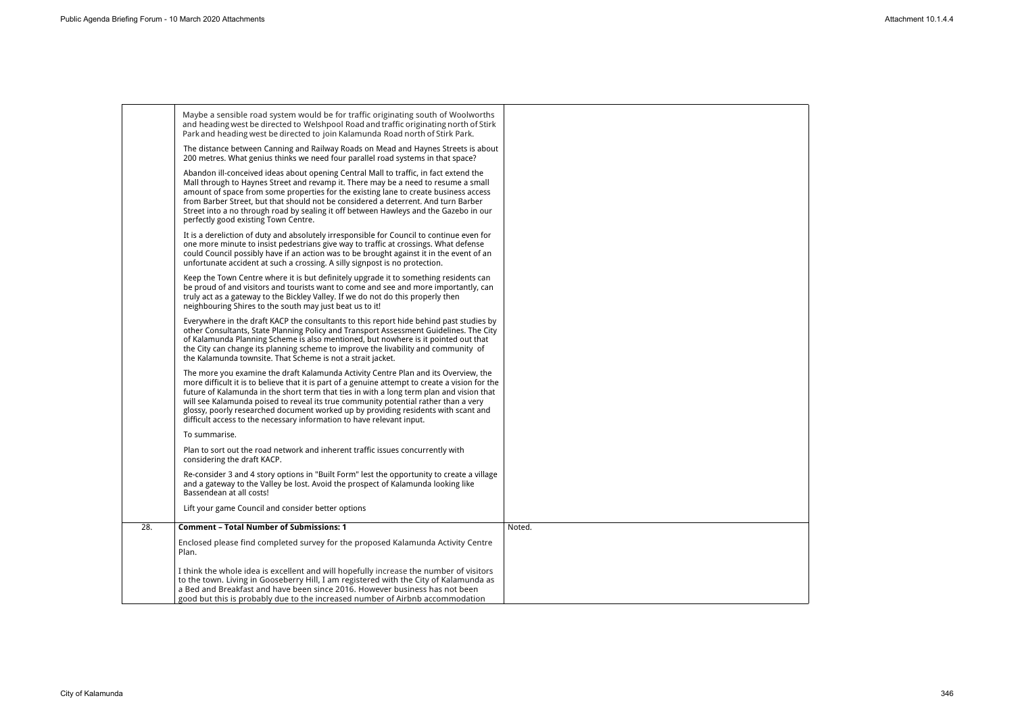| Maybe a sensible road system would be for traffic originating south of Woolworths<br>and heading west be directed to Welshpool Road and traffic originating north of Stirk<br>Park and heading west be directed to join Kalamunda Road north of Stirk Park.                                                                                                                                                                                                                                                                              |        |
|------------------------------------------------------------------------------------------------------------------------------------------------------------------------------------------------------------------------------------------------------------------------------------------------------------------------------------------------------------------------------------------------------------------------------------------------------------------------------------------------------------------------------------------|--------|
| The distance between Canning and Railway Roads on Mead and Haynes Streets is about<br>200 metres. What genius thinks we need four parallel road systems in that space?                                                                                                                                                                                                                                                                                                                                                                   |        |
| Abandon ill-conceived ideas about opening Central Mall to traffic, in fact extend the<br>Mall through to Haynes Street and revamp it. There may be a need to resume a small<br>amount of space from some properties for the existing lane to create business access<br>from Barber Street, but that should not be considered a deterrent. And turn Barber<br>Street into a no through road by sealing it off between Hawleys and the Gazebo in our<br>perfectly good existing Town Centre.                                               |        |
| It is a dereliction of duty and absolutely irresponsible for Council to continue even for<br>one more minute to insist pedestrians give way to traffic at crossings. What defense<br>could Council possibly have if an action was to be brought against it in the event of an<br>unfortunate accident at such a crossing. A silly signpost is no protection.                                                                                                                                                                             |        |
| Keep the Town Centre where it is but definitely upgrade it to something residents can<br>be proud of and visitors and tourists want to come and see and more importantly, can<br>truly act as a gateway to the Bickley Valley. If we do not do this properly then<br>neighbouring Shires to the south may just beat us to it!                                                                                                                                                                                                            |        |
| Everywhere in the draft KACP the consultants to this report hide behind past studies by<br>other Consultants, State Planning Policy and Transport Assessment Guidelines. The City<br>of Kalamunda Planning Scheme is also mentioned, but nowhere is it pointed out that<br>the City can change its planning scheme to improve the livability and community of<br>the Kalamunda townsite. That Scheme is not a strait jacket.                                                                                                             |        |
| The more you examine the draft Kalamunda Activity Centre Plan and its Overview, the<br>more difficult it is to believe that it is part of a genuine attempt to create a vision for the<br>future of Kalamunda in the short term that ties in with a long term plan and vision that<br>will see Kalamunda poised to reveal its true community potential rather than a very<br>glossy, poorly researched document worked up by providing residents with scant and<br>difficult access to the necessary information to have relevant input. |        |
| To summarise.                                                                                                                                                                                                                                                                                                                                                                                                                                                                                                                            |        |
| Plan to sort out the road network and inherent traffic issues concurrently with<br>considering the draft KACP.                                                                                                                                                                                                                                                                                                                                                                                                                           |        |
| Re-consider 3 and 4 story options in "Built Form" lest the opportunity to create a village<br>and a gateway to the Valley be lost. Avoid the prospect of Kalamunda looking like<br>Bassendean at all costs!                                                                                                                                                                                                                                                                                                                              |        |
| Lift your game Council and consider better options                                                                                                                                                                                                                                                                                                                                                                                                                                                                                       |        |
| <b>Comment - Total Number of Submissions: 1</b>                                                                                                                                                                                                                                                                                                                                                                                                                                                                                          | Noted. |
| Enclosed please find completed survey for the proposed Kalamunda Activity Centre<br>Plan.                                                                                                                                                                                                                                                                                                                                                                                                                                                |        |
| I think the whole idea is excellent and will hopefully increase the number of visitors<br>to the town. Living in Gooseberry Hill, I am registered with the City of Kalamunda as<br>a Bed and Breakfast and have been since 2016. However business has not been<br>good but this is probably due to the increased number of Airbnb accommodation                                                                                                                                                                                          |        |
|                                                                                                                                                                                                                                                                                                                                                                                                                                                                                                                                          |        |

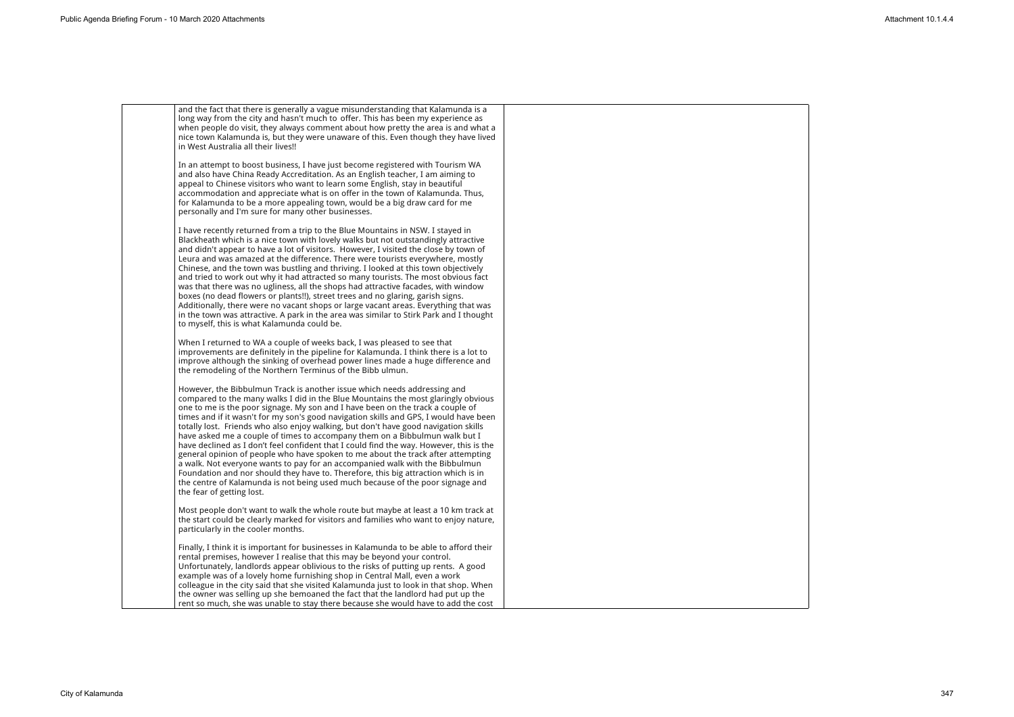

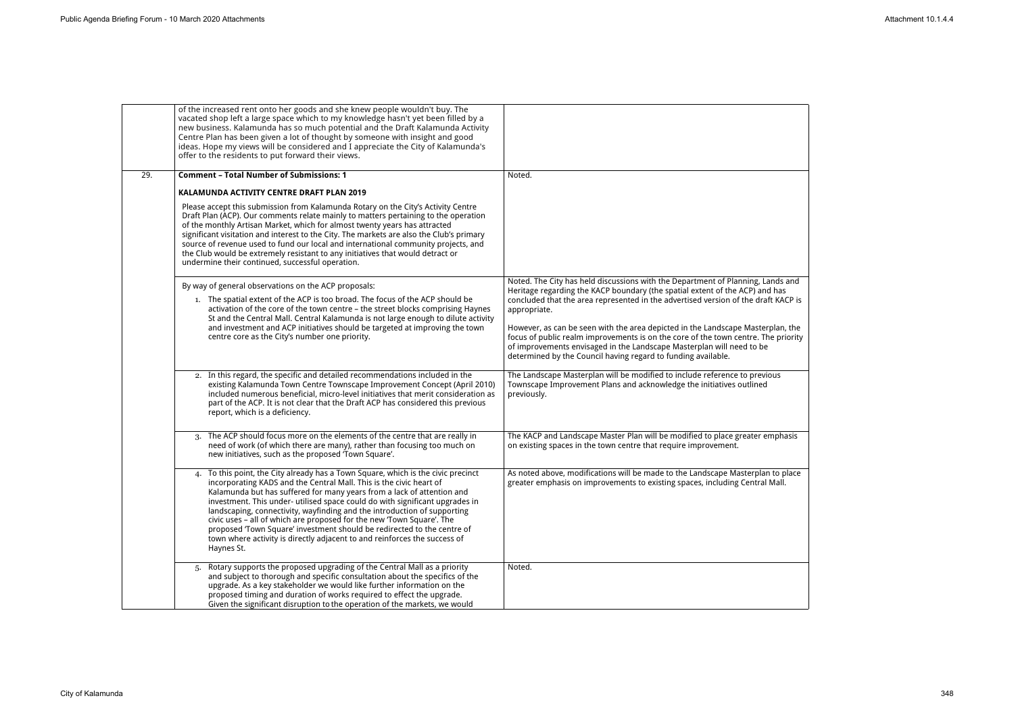|     | of the increased rent onto her goods and she knew people wouldn't buy. The<br>vacated shop left a large space which to my knowledge hasn't yet been filled by a<br>new business. Kalamunda has so much potential and the Draft Kalamunda Activity<br>Centre Plan has been given a lot of thought by someone with insight and good<br>ideas. Hope my views will be considered and I appreciate the City of Kalamunda's<br>offer to the residents to put forward their views.                                                                                                                                                                   |                                                                                                                                                                                                                                                                                                                                                             |
|-----|-----------------------------------------------------------------------------------------------------------------------------------------------------------------------------------------------------------------------------------------------------------------------------------------------------------------------------------------------------------------------------------------------------------------------------------------------------------------------------------------------------------------------------------------------------------------------------------------------------------------------------------------------|-------------------------------------------------------------------------------------------------------------------------------------------------------------------------------------------------------------------------------------------------------------------------------------------------------------------------------------------------------------|
| 29. | <b>Comment - Total Number of Submissions: 1</b>                                                                                                                                                                                                                                                                                                                                                                                                                                                                                                                                                                                               | Noted.                                                                                                                                                                                                                                                                                                                                                      |
|     | KALAMUNDA ACTIVITY CENTRE DRAFT PLAN 2019                                                                                                                                                                                                                                                                                                                                                                                                                                                                                                                                                                                                     |                                                                                                                                                                                                                                                                                                                                                             |
|     | Please accept this submission from Kalamunda Rotary on the City's Activity Centre<br>Draft Plan (ACP). Our comments relate mainly to matters pertaining to the operation<br>of the monthly Artisan Market, which for almost twenty years has attracted<br>significant visitation and interest to the City. The markets are also the Club's primary<br>source of revenue used to fund our local and international community projects, and<br>the Club would be extremely resistant to any initiatives that would detract or<br>undermine their continued, successful operation.                                                                |                                                                                                                                                                                                                                                                                                                                                             |
|     | By way of general observations on the ACP proposals:                                                                                                                                                                                                                                                                                                                                                                                                                                                                                                                                                                                          | Noted. The City has held discussions with the Department of Planning, Lands and                                                                                                                                                                                                                                                                             |
|     | 1. The spatial extent of the ACP is too broad. The focus of the ACP should be<br>activation of the core of the town centre - the street blocks comprising Haynes<br>St and the Central Mall. Central Kalamunda is not large enough to dilute activity<br>and investment and ACP initiatives should be targeted at improving the town<br>centre core as the City's number one priority.                                                                                                                                                                                                                                                        | Heritage regarding the KACP boundary (the spatial extent of the ACP) and has<br>concluded that the area represented in the advertised version of the draft KACP is<br>appropriate.<br>However, as can be seen with the area depicted in the Landscape Masterplan, the<br>focus of public realm improvements is on the core of the town centre. The priority |
|     |                                                                                                                                                                                                                                                                                                                                                                                                                                                                                                                                                                                                                                               | of improvements envisaged in the Landscape Masterplan will need to be<br>determined by the Council having regard to funding available.                                                                                                                                                                                                                      |
|     | 2. In this regard, the specific and detailed recommendations included in the<br>existing Kalamunda Town Centre Townscape Improvement Concept (April 2010)<br>included numerous beneficial, micro-level initiatives that merit consideration as<br>part of the ACP. It is not clear that the Draft ACP has considered this previous<br>report, which is a deficiency.                                                                                                                                                                                                                                                                          | The Landscape Masterplan will be modified to include reference to previous<br>Townscape Improvement Plans and acknowledge the initiatives outlined<br>previously.                                                                                                                                                                                           |
|     | The ACP should focus more on the elements of the centre that are really in<br>need of work (of which there are many), rather than focusing too much on<br>new initiatives, such as the proposed 'Town Square'.                                                                                                                                                                                                                                                                                                                                                                                                                                | The KACP and Landscape Master Plan will be modified to place greater emphasis<br>on existing spaces in the town centre that require improvement.                                                                                                                                                                                                            |
|     | 4. To this point, the City already has a Town Square, which is the civic precinct<br>incorporating KADS and the Central Mall. This is the civic heart of<br>Kalamunda but has suffered for many years from a lack of attention and<br>investment. This under- utilised space could do with significant upgrades in<br>landscaping, connectivity, wayfinding and the introduction of supporting<br>civic uses - all of which are proposed for the new 'Town Square'. The<br>proposed 'Town Square' investment should be redirected to the centre of<br>town where activity is directly adjacent to and reinforces the success of<br>Haynes St. | As noted above, modifications will be made to the Landscape Masterplan to place<br>greater emphasis on improvements to existing spaces, including Central Mall.                                                                                                                                                                                             |
|     | 5. Rotary supports the proposed upgrading of the Central Mall as a priority<br>and subject to thorough and specific consultation about the specifics of the<br>upgrade. As a key stakeholder we would like further information on the<br>proposed timing and duration of works required to effect the upgrade.<br>Given the significant disruption to the operation of the markets, we would                                                                                                                                                                                                                                                  | Noted.                                                                                                                                                                                                                                                                                                                                                      |

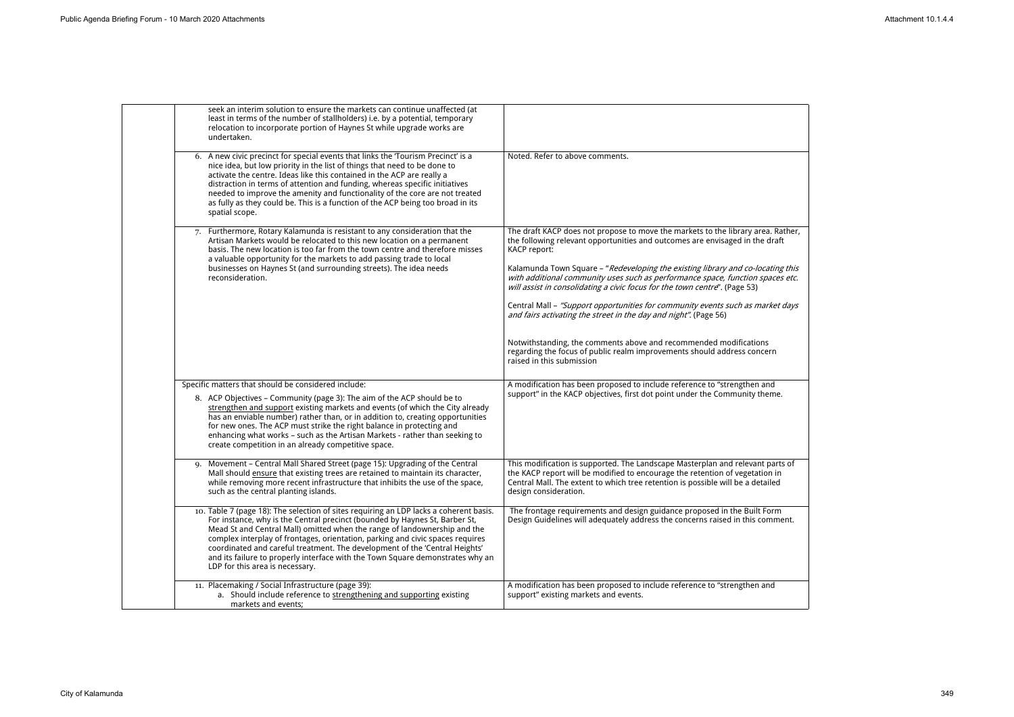| seek an interim solution to ensure the markets can continue unaffected (at<br>least in terms of the number of stallholders) i.e. by a potential, temporary<br>relocation to incorporate portion of Haynes St while upgrade works are<br>undertaken.                                                                                                                                                                                                                                                                                      |                                                                                                                                                                                                                                                                            |
|------------------------------------------------------------------------------------------------------------------------------------------------------------------------------------------------------------------------------------------------------------------------------------------------------------------------------------------------------------------------------------------------------------------------------------------------------------------------------------------------------------------------------------------|----------------------------------------------------------------------------------------------------------------------------------------------------------------------------------------------------------------------------------------------------------------------------|
| 6. A new civic precinct for special events that links the 'Tourism Precinct' is a<br>nice idea, but low priority in the list of things that need to be done to<br>activate the centre. Ideas like this contained in the ACP are really a<br>distraction in terms of attention and funding, whereas specific initiatives<br>needed to improve the amenity and functionality of the core are not treated<br>as fully as they could be. This is a function of the ACP being too broad in its<br>spatial scope.                              | Noted. Refer to above comments.                                                                                                                                                                                                                                            |
| Furthermore, Rotary Kalamunda is resistant to any consideration that the<br>7.<br>Artisan Markets would be relocated to this new location on a permanent<br>basis. The new location is too far from the town centre and therefore misses<br>a valuable opportunity for the markets to add passing trade to local                                                                                                                                                                                                                         | The draft KACP does not propose to move the markets to the library area. Rather,<br>the following relevant opportunities and outcomes are envisaged in the draft<br><b>KACP</b> report:                                                                                    |
| businesses on Haynes St (and surrounding streets). The idea needs<br>reconsideration.                                                                                                                                                                                                                                                                                                                                                                                                                                                    | Kalamunda Town Square - "Redeveloping the existing library and co-locating this<br>with additional community uses such as performance space, function spaces etc.<br>will assist in consolidating a civic focus for the town centre". (Page 53)                            |
|                                                                                                                                                                                                                                                                                                                                                                                                                                                                                                                                          | Central Mall - "Support opportunities for community events such as market days<br>and fairs activating the street in the day and night". (Page 56)                                                                                                                         |
|                                                                                                                                                                                                                                                                                                                                                                                                                                                                                                                                          | Notwithstanding, the comments above and recommended modifications<br>regarding the focus of public realm improvements should address concern<br>raised in this submission                                                                                                  |
| Specific matters that should be considered include:                                                                                                                                                                                                                                                                                                                                                                                                                                                                                      | A modification has been proposed to include reference to "strengthen and                                                                                                                                                                                                   |
| 8. ACP Objectives - Community (page 3): The aim of the ACP should be to<br>strengthen and support existing markets and events (of which the City already<br>has an enviable number) rather than, or in addition to, creating opportunities<br>for new ones. The ACP must strike the right balance in protecting and<br>enhancing what works - such as the Artisan Markets - rather than seeking to<br>create competition in an already competitive space.                                                                                | support" in the KACP objectives, first dot point under the Community theme.                                                                                                                                                                                                |
| Movement - Central Mall Shared Street (page 15): Upgrading of the Central<br>$Q_{\star}$<br>Mall should ensure that existing trees are retained to maintain its character,<br>while removing more recent infrastructure that inhibits the use of the space,<br>such as the central planting islands.                                                                                                                                                                                                                                     | This modification is supported. The Landscape Masterplan and relevant parts of<br>the KACP report will be modified to encourage the retention of vegetation in<br>Central Mall. The extent to which tree retention is possible will be a detailed<br>design consideration. |
| 10. Table 7 (page 18): The selection of sites requiring an LDP lacks a coherent basis.<br>For instance, why is the Central precinct (bounded by Haynes St, Barber St,<br>Mead St and Central Mall) omitted when the range of landownership and the<br>complex interplay of frontages, orientation, parking and civic spaces requires<br>coordinated and careful treatment. The development of the 'Central Heights'<br>and its failure to properly interface with the Town Square demonstrates why an<br>LDP for this area is necessary. | The frontage requirements and design guidance proposed in the Built Form<br>Design Guidelines will adequately address the concerns raised in this comment.                                                                                                                 |
| 11. Placemaking / Social Infrastructure (page 39):<br>a. Should include reference to strengthening and supporting existing                                                                                                                                                                                                                                                                                                                                                                                                               | A modification has been proposed to include reference to "strengthen and<br>support" existing markets and events.                                                                                                                                                          |
| markets and events;                                                                                                                                                                                                                                                                                                                                                                                                                                                                                                                      |                                                                                                                                                                                                                                                                            |

| ea. Rather,<br>e draft                   |
|------------------------------------------|
| cating this<br>spaces etc <mark>.</mark> |
| arket days                               |
| ns<br>cern                               |
| $\overline{\mathsf{and}}$<br>heme.       |
|                                          |
| t parts of<br>ion in<br>tailed           |
| Form<br>omment.                          |
|                                          |
| and                                      |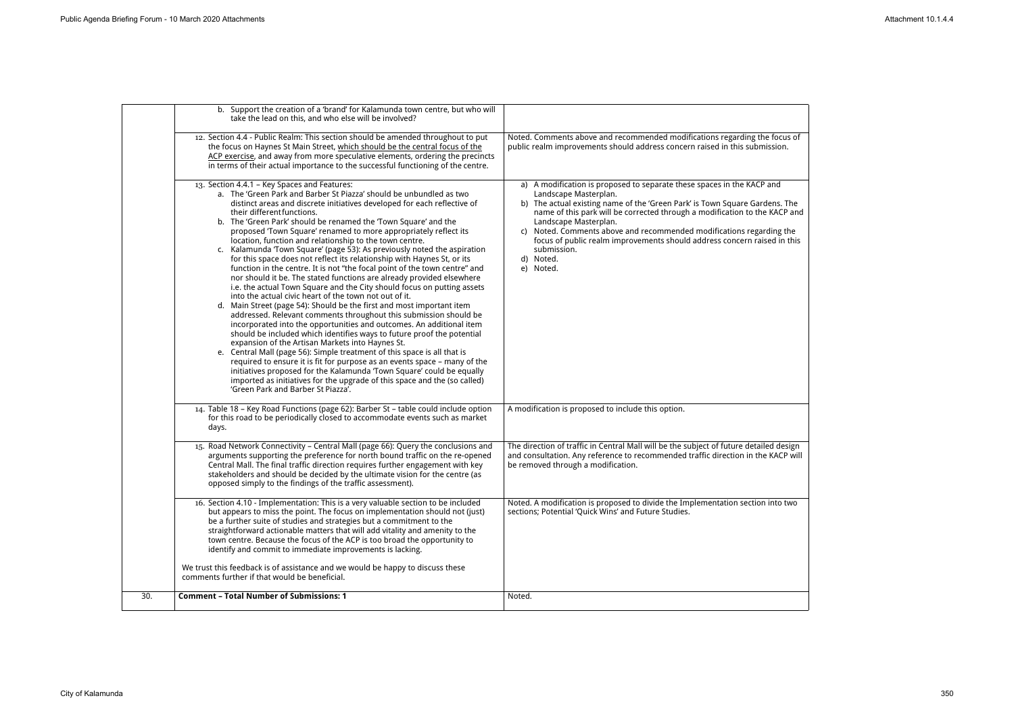|     | b. Support the creation of a 'brand' for Kalamunda town centre, but who will<br>take the lead on this, and who else will be involved?                                                                                                                                                                                                                                                                                                                                                                                                                                                                                                                                                                                                                                                                                                                                                                                                                                                                                                                                                                                                                                                                                                                                                                                                                                                                                                                                                                                                                                                       |                                                                                                                                                                                                                                                                                                                                                                                                                                                                                          |
|-----|---------------------------------------------------------------------------------------------------------------------------------------------------------------------------------------------------------------------------------------------------------------------------------------------------------------------------------------------------------------------------------------------------------------------------------------------------------------------------------------------------------------------------------------------------------------------------------------------------------------------------------------------------------------------------------------------------------------------------------------------------------------------------------------------------------------------------------------------------------------------------------------------------------------------------------------------------------------------------------------------------------------------------------------------------------------------------------------------------------------------------------------------------------------------------------------------------------------------------------------------------------------------------------------------------------------------------------------------------------------------------------------------------------------------------------------------------------------------------------------------------------------------------------------------------------------------------------------------|------------------------------------------------------------------------------------------------------------------------------------------------------------------------------------------------------------------------------------------------------------------------------------------------------------------------------------------------------------------------------------------------------------------------------------------------------------------------------------------|
|     | 12. Section 4.4 - Public Realm: This section should be amended throughout to put<br>the focus on Haynes St Main Street, which should be the central focus of the<br>ACP exercise, and away from more speculative elements, ordering the precincts<br>in terms of their actual importance to the successful functioning of the centre.                                                                                                                                                                                                                                                                                                                                                                                                                                                                                                                                                                                                                                                                                                                                                                                                                                                                                                                                                                                                                                                                                                                                                                                                                                                       | Noted. Comments above and recommended modifications regarding the focus of<br>public realm improvements should address concern raised in this submission.                                                                                                                                                                                                                                                                                                                                |
|     | 13. Section 4.4.1 - Key Spaces and Features:<br>a. The 'Green Park and Barber St Piazza' should be unbundled as two<br>distinct areas and discrete initiatives developed for each reflective of<br>their different functions.<br>b. The 'Green Park' should be renamed the 'Town Square' and the<br>proposed 'Town Square' renamed to more appropriately reflect its<br>location, function and relationship to the town centre.<br>c. Kalamunda 'Town Square' (page 53): As previously noted the aspiration<br>for this space does not reflect its relationship with Haynes St, or its<br>function in the centre. It is not "the focal point of the town centre" and<br>nor should it be. The stated functions are already provided elsewhere<br>i.e. the actual Town Square and the City should focus on putting assets<br>into the actual civic heart of the town not out of it.<br>d. Main Street (page 54): Should be the first and most important item<br>addressed. Relevant comments throughout this submission should be<br>incorporated into the opportunities and outcomes. An additional item<br>should be included which identifies ways to future proof the potential<br>expansion of the Artisan Markets into Haynes St.<br>e. Central Mall (page 56): Simple treatment of this space is all that is<br>required to ensure it is fit for purpose as an events space - many of the<br>initiatives proposed for the Kalamunda 'Town Square' could be equally<br>imported as initiatives for the upgrade of this space and the (so called)<br>'Green Park and Barber St Piazza'. | a) A modification is proposed to separate these spaces in the KACP and<br>Landscape Masterplan.<br>b) The actual existing name of the 'Green Park' is Town Square Gardens. The<br>name of this park will be corrected through a modification to the KACP and<br>Landscape Masterplan.<br>Noted. Comments above and recommended modifications regarding the<br>C)<br>focus of public realm improvements should address concern raised in this<br>submission.<br>Noted.<br>d)<br>e) Noted. |
|     | 14. Table 18 - Key Road Functions (page 62): Barber St - table could include option<br>for this road to be periodically closed to accommodate events such as market<br>days.                                                                                                                                                                                                                                                                                                                                                                                                                                                                                                                                                                                                                                                                                                                                                                                                                                                                                                                                                                                                                                                                                                                                                                                                                                                                                                                                                                                                                | A modification is proposed to include this option.                                                                                                                                                                                                                                                                                                                                                                                                                                       |
|     | 15. Road Network Connectivity - Central Mall (page 66): Query the conclusions and<br>arguments supporting the preference for north bound traffic on the re-opened<br>Central Mall. The final traffic direction requires further engagement with key<br>stakeholders and should be decided by the ultimate vision for the centre (as<br>opposed simply to the findings of the traffic assessment).                                                                                                                                                                                                                                                                                                                                                                                                                                                                                                                                                                                                                                                                                                                                                                                                                                                                                                                                                                                                                                                                                                                                                                                           | The direction of traffic in Central Mall will be the subject of future detailed design<br>and consultation. Any reference to recommended traffic direction in the KACP will<br>be removed through a modification.                                                                                                                                                                                                                                                                        |
|     | 16. Section 4.10 - Implementation: This is a very valuable section to be included<br>but appears to miss the point. The focus on implementation should not (just)<br>be a further suite of studies and strategies but a commitment to the<br>straightforward actionable matters that will add vitality and amenity to the<br>town centre. Because the focus of the ACP is too broad the opportunity to<br>identify and commit to immediate improvements is lacking.<br>We trust this feedback is of assistance and we would be happy to discuss these<br>comments further if that would be beneficial.                                                                                                                                                                                                                                                                                                                                                                                                                                                                                                                                                                                                                                                                                                                                                                                                                                                                                                                                                                                      | Noted. A modification is proposed to divide the Implementation section into two<br>sections; Potential 'Quick Wins' and Future Studies.                                                                                                                                                                                                                                                                                                                                                  |
| 30. | <b>Comment - Total Number of Submissions: 1</b>                                                                                                                                                                                                                                                                                                                                                                                                                                                                                                                                                                                                                                                                                                                                                                                                                                                                                                                                                                                                                                                                                                                                                                                                                                                                                                                                                                                                                                                                                                                                             | Noted.                                                                                                                                                                                                                                                                                                                                                                                                                                                                                   |
|     |                                                                                                                                                                                                                                                                                                                                                                                                                                                                                                                                                                                                                                                                                                                                                                                                                                                                                                                                                                                                                                                                                                                                                                                                                                                                                                                                                                                                                                                                                                                                                                                             |                                                                                                                                                                                                                                                                                                                                                                                                                                                                                          |

| e focus of<br>ission.               |
|-------------------------------------|
| and<br>lens. The<br><b>KACP</b> and |
| ding the<br>ed in this              |
|                                     |
|                                     |
|                                     |
| ed design                           |
| <b>KACP</b> will                    |
| into two                            |
|                                     |
|                                     |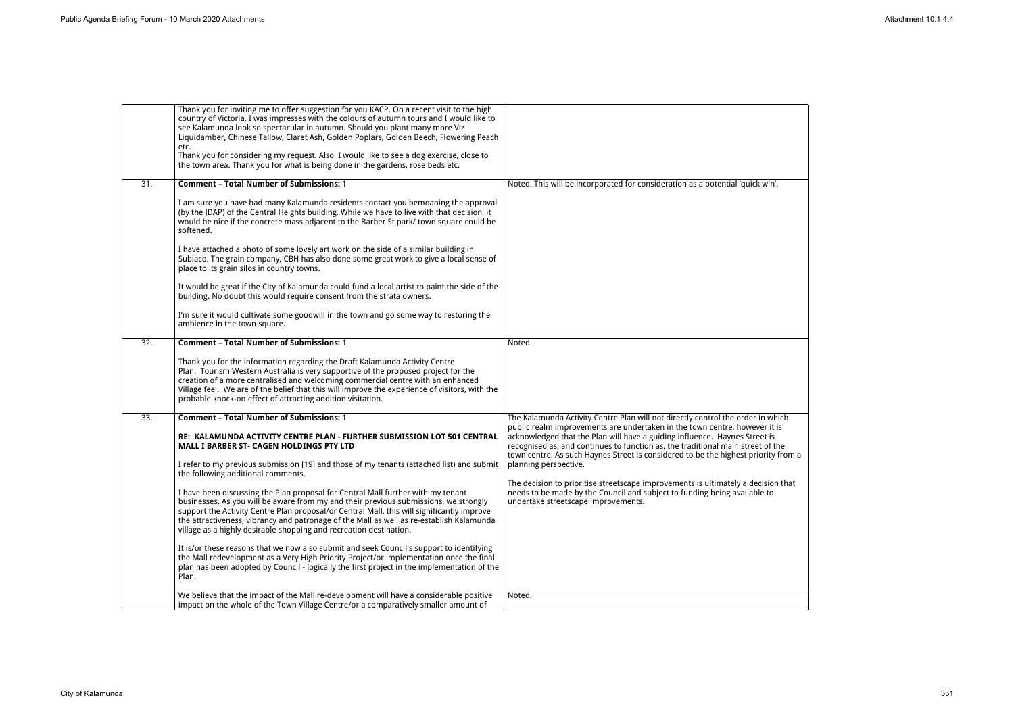|     | Thank you for inviting me to offer suggestion for you KACP. On a recent visit to the high<br>country of Victoria. I was impresses with the colours of autumn tours and I would like to<br>see Kalamunda look so spectacular in autumn. Should you plant many more Viz<br>Liquidamber, Chinese Tallow, Claret Ash, Golden Poplars, Golden Beech, Flowering Peach<br>etc.<br>Thank you for considering my request. Also, I would like to see a dog exercise, close to<br>the town area. Thank you for what is being done in the gardens, rose beds etc.                                                                                                                                                                                                                                                                                                                                                                                                                                                                                                       |                                                                                                                                                                                                                                                                                                                                                                                                                                                                                                                                                                                                                                                      |
|-----|-------------------------------------------------------------------------------------------------------------------------------------------------------------------------------------------------------------------------------------------------------------------------------------------------------------------------------------------------------------------------------------------------------------------------------------------------------------------------------------------------------------------------------------------------------------------------------------------------------------------------------------------------------------------------------------------------------------------------------------------------------------------------------------------------------------------------------------------------------------------------------------------------------------------------------------------------------------------------------------------------------------------------------------------------------------|------------------------------------------------------------------------------------------------------------------------------------------------------------------------------------------------------------------------------------------------------------------------------------------------------------------------------------------------------------------------------------------------------------------------------------------------------------------------------------------------------------------------------------------------------------------------------------------------------------------------------------------------------|
| 31. | <b>Comment - Total Number of Submissions: 1</b><br>I am sure you have had many Kalamunda residents contact you bemoaning the approval<br>(by the JDAP) of the Central Heights building. While we have to live with that decision, it<br>would be nice if the concrete mass adjacent to the Barber St park/ town square could be<br>softened.<br>I have attached a photo of some lovely art work on the side of a similar building in<br>Subiaco. The grain company, CBH has also done some great work to give a local sense of<br>place to its grain silos in country towns.<br>It would be great if the City of Kalamunda could fund a local artist to paint the side of the<br>building. No doubt this would require consent from the strata owners.<br>I'm sure it would cultivate some goodwill in the town and go some way to restoring the<br>ambience in the town square.                                                                                                                                                                            | Noted. This will be incorporated for consideration as a potential 'quick win'.                                                                                                                                                                                                                                                                                                                                                                                                                                                                                                                                                                       |
| 32. | <b>Comment - Total Number of Submissions: 1</b><br>Thank you for the information regarding the Draft Kalamunda Activity Centre<br>Plan. Tourism Western Australia is very supportive of the proposed project for the<br>creation of a more centralised and welcoming commercial centre with an enhanced<br>Village feel. We are of the belief that this will improve the experience of visitors, with the<br>probable knock-on effect of attracting addition visitation.                                                                                                                                                                                                                                                                                                                                                                                                                                                                                                                                                                                    | Noted.                                                                                                                                                                                                                                                                                                                                                                                                                                                                                                                                                                                                                                               |
| 33. | <b>Comment - Total Number of Submissions: 1</b><br>RE: KALAMUNDA ACTIVITY CENTRE PLAN - FURTHER SUBMISSION LOT 501 CENTRAL<br><b>MALL I BARBER ST- CAGEN HOLDINGS PTY LTD</b><br>I refer to my previous submission [19] and those of my tenants (attached list) and submit<br>the following additional comments.<br>I have been discussing the Plan proposal for Central Mall further with my tenant<br>businesses. As you will be aware from my and their previous submissions, we strongly<br>support the Activity Centre Plan proposal/or Central Mall, this will significantly improve<br>the attractiveness, vibrancy and patronage of the Mall as well as re-establish Kalamunda<br>village as a highly desirable shopping and recreation destination.<br>It is/or these reasons that we now also submit and seek Council's support to identifying<br>the Mall redevelopment as a Very High Priority Project/or implementation once the final<br>plan has been adopted by Council - logically the first project in the implementation of the<br>Plan. | The Kalamunda Activity Centre Plan will not directly control the order in which<br>public realm improvements are undertaken in the town centre, however it is<br>acknowledged that the Plan will have a guiding influence. Haynes Street is<br>recognised as, and continues to function as, the traditional main street of the<br>town centre. As such Haynes Street is considered to be the highest priority fror<br>planning perspective.<br>The decision to prioritise streetscape improvements is ultimately a decision that<br>needs to be made by the Council and subject to funding being available to<br>undertake streetscape improvements. |
|     | We believe that the impact of the Mall re-development will have a considerable positive<br>impact on the whole of the Town Village Centre/or a comparatively smaller amount of                                                                                                                                                                                                                                                                                                                                                                                                                                                                                                                                                                                                                                                                                                                                                                                                                                                                              | Noted.                                                                                                                                                                                                                                                                                                                                                                                                                                                                                                                                                                                                                                               |

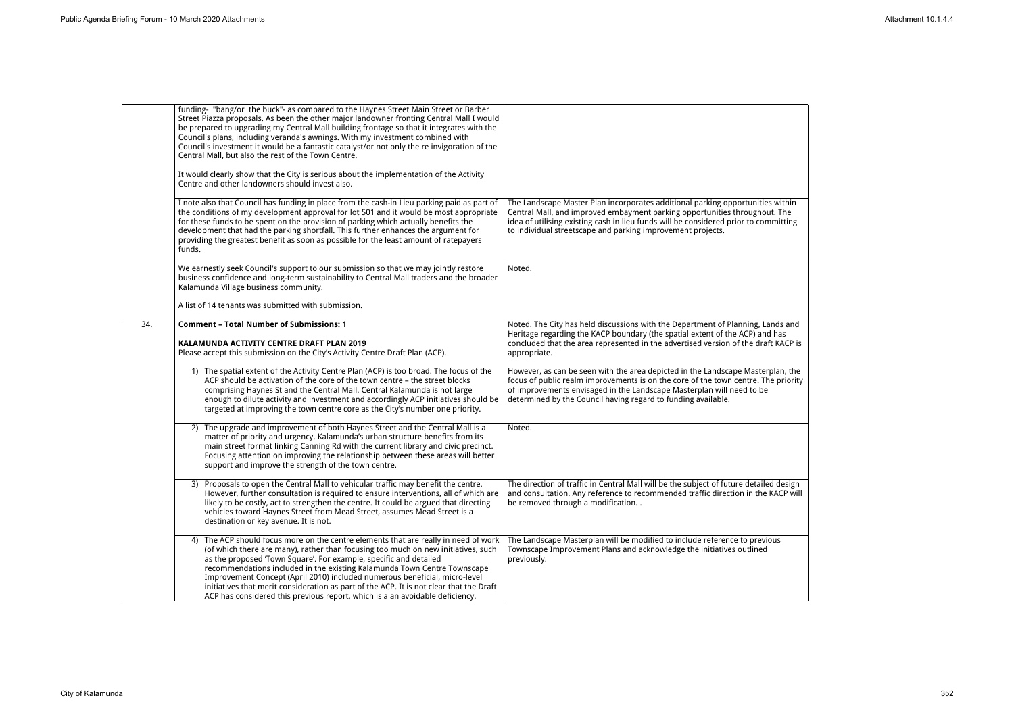|     | funding- "bang/or the buck"- as compared to the Haynes Street Main Street or Barber<br>Street Piazza proposals. As been the other major landowner fronting Central Mall I would<br>be prepared to upgrading my Central Mall building frontage so that it integrates with the<br>Council's plans, including veranda's awnings. With my investment combined with<br>Council's investment it would be a fantastic catalyst/or not only the re invigoration of the<br>Central Mall, but also the rest of the Town Centre.<br>It would clearly show that the City is serious about the implementation of the Activity |                                                                                                                                                                                                                                                                                                                     |
|-----|------------------------------------------------------------------------------------------------------------------------------------------------------------------------------------------------------------------------------------------------------------------------------------------------------------------------------------------------------------------------------------------------------------------------------------------------------------------------------------------------------------------------------------------------------------------------------------------------------------------|---------------------------------------------------------------------------------------------------------------------------------------------------------------------------------------------------------------------------------------------------------------------------------------------------------------------|
|     | Centre and other landowners should invest also.                                                                                                                                                                                                                                                                                                                                                                                                                                                                                                                                                                  |                                                                                                                                                                                                                                                                                                                     |
|     | I note also that Council has funding in place from the cash-in Lieu parking paid as part of<br>the conditions of my development approval for lot 501 and it would be most appropriate<br>for these funds to be spent on the provision of parking which actually benefits the<br>development that had the parking shortfall. This further enhances the argument for<br>providing the greatest benefit as soon as possible for the least amount of ratepayers<br>funds.                                                                                                                                            | The Landscape Master Plan incorporates additional parking opportunities within<br>Central Mall, and improved embayment parking opportunities throughout. The<br>idea of utilising existing cash in lieu funds will be considered prior to committing<br>to individual streetscape and parking improvement projects. |
|     | We earnestly seek Council's support to our submission so that we may jointly restore<br>business confidence and long-term sustainability to Central Mall traders and the broader<br>Kalamunda Village business community.                                                                                                                                                                                                                                                                                                                                                                                        | Noted.                                                                                                                                                                                                                                                                                                              |
|     | A list of 14 tenants was submitted with submission.                                                                                                                                                                                                                                                                                                                                                                                                                                                                                                                                                              |                                                                                                                                                                                                                                                                                                                     |
| 34. | <b>Comment - Total Number of Submissions: 1</b><br>KALAMUNDA ACTIVITY CENTRE DRAFT PLAN 2019<br>Please accept this submission on the City's Activity Centre Draft Plan (ACP).                                                                                                                                                                                                                                                                                                                                                                                                                                    | Noted. The City has held discussions with the Department of Planning, Lands and<br>Heritage regarding the KACP boundary (the spatial extent of the ACP) and has<br>concluded that the area represented in the advertised version of the draft KACP is<br>appropriate.                                               |
|     | 1) The spatial extent of the Activity Centre Plan (ACP) is too broad. The focus of the<br>ACP should be activation of the core of the town centre - the street blocks<br>comprising Haynes St and the Central Mall. Central Kalamunda is not large<br>enough to dilute activity and investment and accordingly ACP initiatives should be<br>targeted at improving the town centre core as the City's number one priority.                                                                                                                                                                                        | However, as can be seen with the area depicted in the Landscape Masterplan, the<br>focus of public realm improvements is on the core of the town centre. The priority<br>of improvements envisaged in the Landscape Masterplan will need to be<br>determined by the Council having regard to funding available.     |
|     | 2) The upgrade and improvement of both Haynes Street and the Central Mall is a<br>matter of priority and urgency. Kalamunda's urban structure benefits from its<br>main street format linking Canning Rd with the current library and civic precinct.<br>Focusing attention on improving the relationship between these areas will better<br>support and improve the strength of the town centre.                                                                                                                                                                                                                | Noted.                                                                                                                                                                                                                                                                                                              |
|     | 3) Proposals to open the Central Mall to vehicular traffic may benefit the centre.<br>However, further consultation is required to ensure interventions, all of which are<br>likely to be costly, act to strengthen the centre. It could be argued that directing<br>vehicles toward Haynes Street from Mead Street, assumes Mead Street is a<br>destination or key avenue. It is not.                                                                                                                                                                                                                           | The direction of traffic in Central Mall will be the subject of future detailed design<br>and consultation. Any reference to recommended traffic direction in the KACP will<br>be removed through a modification                                                                                                    |
|     | 4) The ACP should focus more on the centre elements that are really in need of work<br>(of which there are many), rather than focusing too much on new initiatives, such<br>as the proposed 'Town Square'. For example, specific and detailed<br>recommendations included in the existing Kalamunda Town Centre Townscape<br>Improvement Concept (April 2010) included numerous beneficial, micro-level<br>initiatives that merit consideration as part of the ACP. It is not clear that the Draft<br>ACP has considered this previous report, which is a an avoidable deficiency.                               | The Landscape Masterplan will be modified to include reference to previous<br>Townscape Improvement Plans and acknowledge the initiatives outlined<br>previously.                                                                                                                                                   |

| es within<br>ut. The<br>nmitting                                  |
|-------------------------------------------------------------------|
| ands and<br>d has<br>ft KACP is<br>rplan, the<br>he priority<br>è |
| ed design<br><b>KACP</b> will                                     |
| ous                                                               |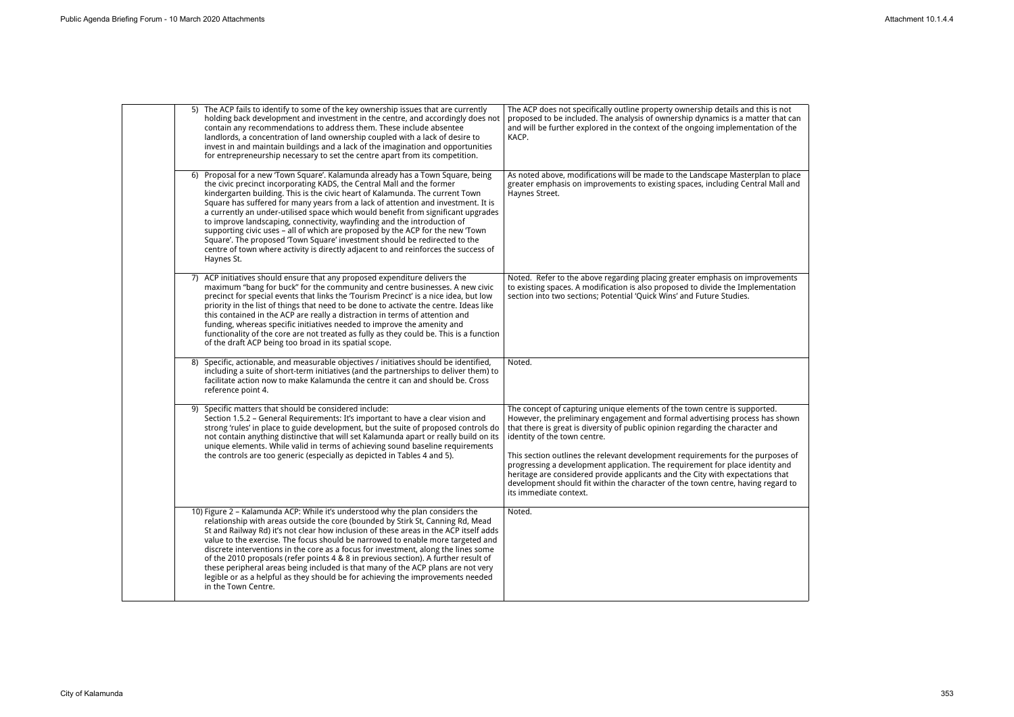|                     | 5) The ACP fails to identify to some of the key ownership issues that are currently<br>holding back development and investment in the centre, and accordingly does not<br>contain any recommendations to address them. These include absentee<br>landlords, a concentration of land ownership coupled with a lack of desire to<br>invest in and maintain buildings and a lack of the imagination and opportunities<br>for entrepreneurship necessary to set the centre apart from its competition.                                                                                                                                                                                                                                                      | The ACP does not specifically outline property ownership details and this is not<br>proposed to be included. The analysis of ownership dynamics is a matter that can<br>and will be further explored in the context of the ongoing implementation of the<br>KACP.                                                                                                                                                                                                                                                                                                                                                                               |
|---------------------|---------------------------------------------------------------------------------------------------------------------------------------------------------------------------------------------------------------------------------------------------------------------------------------------------------------------------------------------------------------------------------------------------------------------------------------------------------------------------------------------------------------------------------------------------------------------------------------------------------------------------------------------------------------------------------------------------------------------------------------------------------|-------------------------------------------------------------------------------------------------------------------------------------------------------------------------------------------------------------------------------------------------------------------------------------------------------------------------------------------------------------------------------------------------------------------------------------------------------------------------------------------------------------------------------------------------------------------------------------------------------------------------------------------------|
| Haynes St.          | 6) Proposal for a new 'Town Square'. Kalamunda already has a Town Square, being<br>the civic precinct incorporating KADS, the Central Mall and the former<br>kindergarten building. This is the civic heart of Kalamunda. The current Town<br>Square has suffered for many years from a lack of attention and investment. It is<br>a currently an under-utilised space which would benefit from significant upgrades<br>to improve landscaping, connectivity, wayfinding and the introduction of<br>supporting civic uses - all of which are proposed by the ACP for the new 'Town<br>Square'. The proposed 'Town Square' investment should be redirected to the<br>centre of town where activity is directly adjacent to and reinforces the success of | As noted above, modifications will be made to the Landscape Masterplan to place<br>greater emphasis on improvements to existing spaces, including Central Mall and<br>Haynes Street.                                                                                                                                                                                                                                                                                                                                                                                                                                                            |
|                     | 7) ACP initiatives should ensure that any proposed expenditure delivers the<br>maximum "bang for buck" for the community and centre businesses. A new civic<br>precinct for special events that links the 'Tourism Precinct' is a nice idea, but low<br>priority in the list of things that need to be done to activate the centre. Ideas like<br>this contained in the ACP are really a distraction in terms of attention and<br>funding, whereas specific initiatives needed to improve the amenity and<br>functionality of the core are not treated as fully as they could be. This is a function<br>of the draft ACP being too broad in its spatial scope.                                                                                          | Noted. Refer to the above regarding placing greater emphasis on improvements<br>to existing spaces. A modification is also proposed to divide the Implementation<br>section into two sections; Potential 'Quick Wins' and Future Studies.                                                                                                                                                                                                                                                                                                                                                                                                       |
| reference point 4.  | 8) Specific, actionable, and measurable objectives / initiatives should be identified,<br>including a suite of short-term initiatives (and the partnerships to deliver them) to<br>facilitate action now to make Kalamunda the centre it can and should be. Cross                                                                                                                                                                                                                                                                                                                                                                                                                                                                                       | Noted.                                                                                                                                                                                                                                                                                                                                                                                                                                                                                                                                                                                                                                          |
|                     | 9) Specific matters that should be considered include:<br>Section 1.5.2 - General Requirements: It's important to have a clear vision and<br>strong 'rules' in place to guide development, but the suite of proposed controls do<br>not contain anything distinctive that will set Kalamunda apart or really build on its<br>unique elements. While valid in terms of achieving sound baseline requirements<br>the controls are too generic (especially as depicted in Tables 4 and 5).                                                                                                                                                                                                                                                                 | The concept of capturing unique elements of the town centre is supported.<br>However, the preliminary engagement and formal advertising process has shown<br>that there is great is diversity of public opinion regarding the character and<br>identity of the town centre.<br>This section outlines the relevant development requirements for the purposes of<br>progressing a development application. The requirement for place identity and<br>heritage are considered provide applicants and the City with expectations that<br>development should fit within the character of the town centre, having regard to<br>its immediate context. |
| in the Town Centre. | 10) Figure 2 - Kalamunda ACP: While it's understood why the plan considers the<br>relationship with areas outside the core (bounded by Stirk St, Canning Rd, Mead<br>St and Railway Rd) it's not clear how inclusion of these areas in the ACP itself adds<br>value to the exercise. The focus should be narrowed to enable more targeted and<br>discrete interventions in the core as a focus for investment, along the lines some<br>of the 2010 proposals (refer points 4 & 8 in previous section). A further result of<br>these peripheral areas being included is that many of the ACP plans are not very<br>legible or as a helpful as they should be for achieving the improvements needed                                                       | Noted.                                                                                                                                                                                                                                                                                                                                                                                                                                                                                                                                                                                                                                          |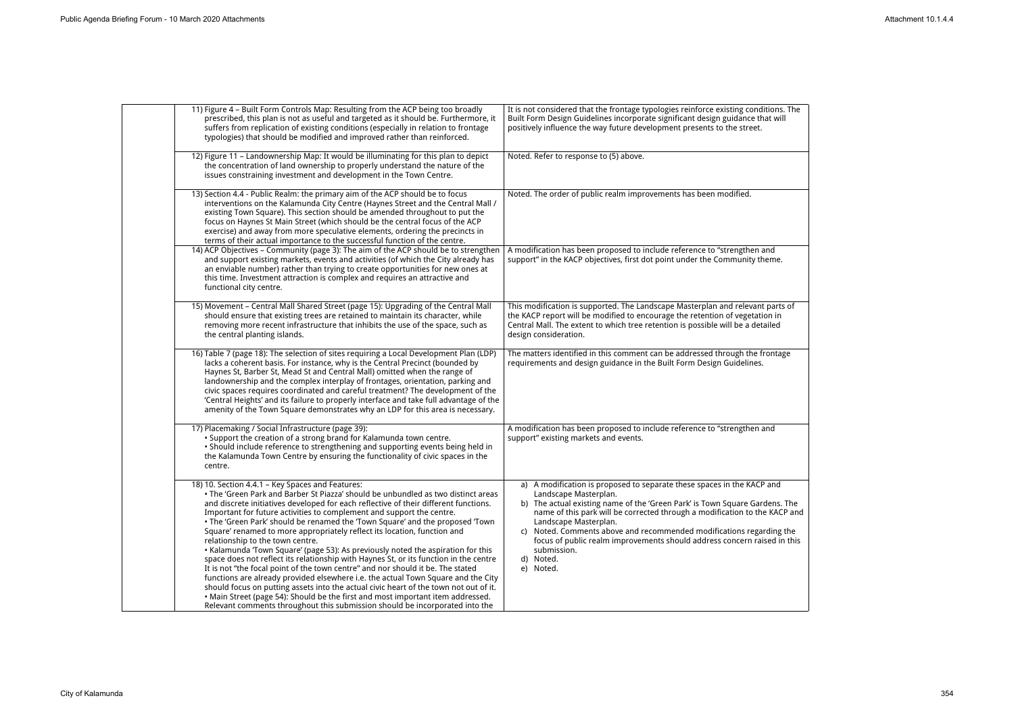| 11) Figure 4 - Built Form Controls Map: Resulting from the ACP being too broadly<br>prescribed, this plan is not as useful and targeted as it should be. Furthermore, it<br>suffers from replication of existing conditions (especially in relation to frontage<br>typologies) that should be modified and improved rather than reinforced.                                                                                                                                                                                                                                                                                                                                                                                                                                                                                                                                                                                                                                                                                                                                                                              | It is not considered that the frontage typologies reinforce existing conditions. The<br>Built Form Design Guidelines incorporate significant design guidance that will<br>positively influence the way future development presents to the street.                                                                                                                                                                                                                                     |
|--------------------------------------------------------------------------------------------------------------------------------------------------------------------------------------------------------------------------------------------------------------------------------------------------------------------------------------------------------------------------------------------------------------------------------------------------------------------------------------------------------------------------------------------------------------------------------------------------------------------------------------------------------------------------------------------------------------------------------------------------------------------------------------------------------------------------------------------------------------------------------------------------------------------------------------------------------------------------------------------------------------------------------------------------------------------------------------------------------------------------|---------------------------------------------------------------------------------------------------------------------------------------------------------------------------------------------------------------------------------------------------------------------------------------------------------------------------------------------------------------------------------------------------------------------------------------------------------------------------------------|
| 12) Figure 11 - Landownership Map: It would be illuminating for this plan to depict<br>the concentration of land ownership to properly understand the nature of the<br>issues constraining investment and development in the Town Centre.                                                                                                                                                                                                                                                                                                                                                                                                                                                                                                                                                                                                                                                                                                                                                                                                                                                                                | Noted. Refer to response to (5) above.                                                                                                                                                                                                                                                                                                                                                                                                                                                |
| 13) Section 4.4 - Public Realm: the primary aim of the ACP should be to focus<br>interventions on the Kalamunda City Centre (Haynes Street and the Central Mall /<br>existing Town Square). This section should be amended throughout to put the<br>focus on Haynes St Main Street (which should be the central focus of the ACP<br>exercise) and away from more speculative elements, ordering the precincts in<br>terms of their actual importance to the successful function of the centre.                                                                                                                                                                                                                                                                                                                                                                                                                                                                                                                                                                                                                           | Noted. The order of public realm improvements has been modified.                                                                                                                                                                                                                                                                                                                                                                                                                      |
| 14) ACP Objectives - Community (page 3): The aim of the ACP should be to strengthen<br>and support existing markets, events and activities (of which the City already has<br>an enviable number) rather than trying to create opportunities for new ones at<br>this time. Investment attraction is complex and requires an attractive and<br>functional city centre.                                                                                                                                                                                                                                                                                                                                                                                                                                                                                                                                                                                                                                                                                                                                                     | A modification has been proposed to include reference to "strengthen and<br>support" in the KACP objectives, first dot point under the Community theme.                                                                                                                                                                                                                                                                                                                               |
| 15) Movement - Central Mall Shared Street (page 15): Upgrading of the Central Mall<br>should ensure that existing trees are retained to maintain its character, while<br>removing more recent infrastructure that inhibits the use of the space, such as<br>the central planting islands.                                                                                                                                                                                                                                                                                                                                                                                                                                                                                                                                                                                                                                                                                                                                                                                                                                | This modification is supported. The Landscape Masterplan and relevant parts of<br>the KACP report will be modified to encourage the retention of vegetation in<br>Central Mall. The extent to which tree retention is possible will be a detailed<br>design consideration.                                                                                                                                                                                                            |
| 16) Table 7 (page 18): The selection of sites requiring a Local Development Plan (LDP)<br>lacks a coherent basis. For instance, why is the Central Precinct (bounded by<br>Haynes St, Barber St, Mead St and Central Mall) omitted when the range of<br>landownership and the complex interplay of frontages, orientation, parking and<br>civic spaces requires coordinated and careful treatment? The development of the<br>'Central Heights' and its failure to properly interface and take full advantage of the<br>amenity of the Town Square demonstrates why an LDP for this area is necessary.                                                                                                                                                                                                                                                                                                                                                                                                                                                                                                                    | The matters identified in this comment can be addressed through the frontage<br>requirements and design guidance in the Built Form Design Guidelines.                                                                                                                                                                                                                                                                                                                                 |
| 17) Placemaking / Social Infrastructure (page 39):<br>• Support the creation of a strong brand for Kalamunda town centre.<br>. Should include reference to strengthening and supporting events being held in<br>the Kalamunda Town Centre by ensuring the functionality of civic spaces in the<br>centre.                                                                                                                                                                                                                                                                                                                                                                                                                                                                                                                                                                                                                                                                                                                                                                                                                | A modification has been proposed to include reference to "strengthen and<br>support" existing markets and events.                                                                                                                                                                                                                                                                                                                                                                     |
| 18) 10. Section 4.4.1 - Key Spaces and Features:<br>. The 'Green Park and Barber St Piazza' should be unbundled as two distinct areas<br>and discrete initiatives developed for each reflective of their different functions.<br>Important for future activities to complement and support the centre.<br>. The 'Green Park' should be renamed the 'Town Square' and the proposed 'Town<br>Square' renamed to more appropriately reflect its location, function and<br>relationship to the town centre.<br>• Kalamunda 'Town Square' (page 53): As previously noted the aspiration for this<br>space does not reflect its relationship with Haynes St, or its function in the centre<br>It is not "the focal point of the town centre" and nor should it be. The stated<br>functions are already provided elsewhere i.e. the actual Town Square and the City<br>should focus on putting assets into the actual civic heart of the town not out of it.<br>• Main Street (page 54): Should be the first and most important item addressed.<br>Relevant comments throughout this submission should be incorporated into the | a) A modification is proposed to separate these spaces in the KACP and<br>Landscape Masterplan.<br>b) The actual existing name of the 'Green Park' is Town Square Gardens. The<br>name of this park will be corrected through a modification to the KACP and<br>Landscape Masterplan.<br>c) Noted. Comments above and recommended modifications regarding the<br>focus of public realm improvements should address concern raised in this<br>submission.<br>d)<br>Noted.<br>e) Noted. |

| tions. The              |  |
|-------------------------|--|
| at will                 |  |
|                         |  |
|                         |  |
|                         |  |
|                         |  |
|                         |  |
|                         |  |
|                         |  |
|                         |  |
|                         |  |
|                         |  |
|                         |  |
|                         |  |
|                         |  |
| $n\bar{d}$              |  |
| eme.                    |  |
|                         |  |
|                         |  |
|                         |  |
|                         |  |
| parts of<br>pn in       |  |
|                         |  |
| ailed                   |  |
|                         |  |
|                         |  |
| ontage                  |  |
|                         |  |
|                         |  |
|                         |  |
|                         |  |
|                         |  |
|                         |  |
|                         |  |
| $n\overline{d}$         |  |
|                         |  |
|                         |  |
|                         |  |
|                         |  |
|                         |  |
| and                     |  |
|                         |  |
| dens. The<br>KACP and   |  |
|                         |  |
|                         |  |
| ding the<br>sed in this |  |
|                         |  |
|                         |  |
|                         |  |
|                         |  |
|                         |  |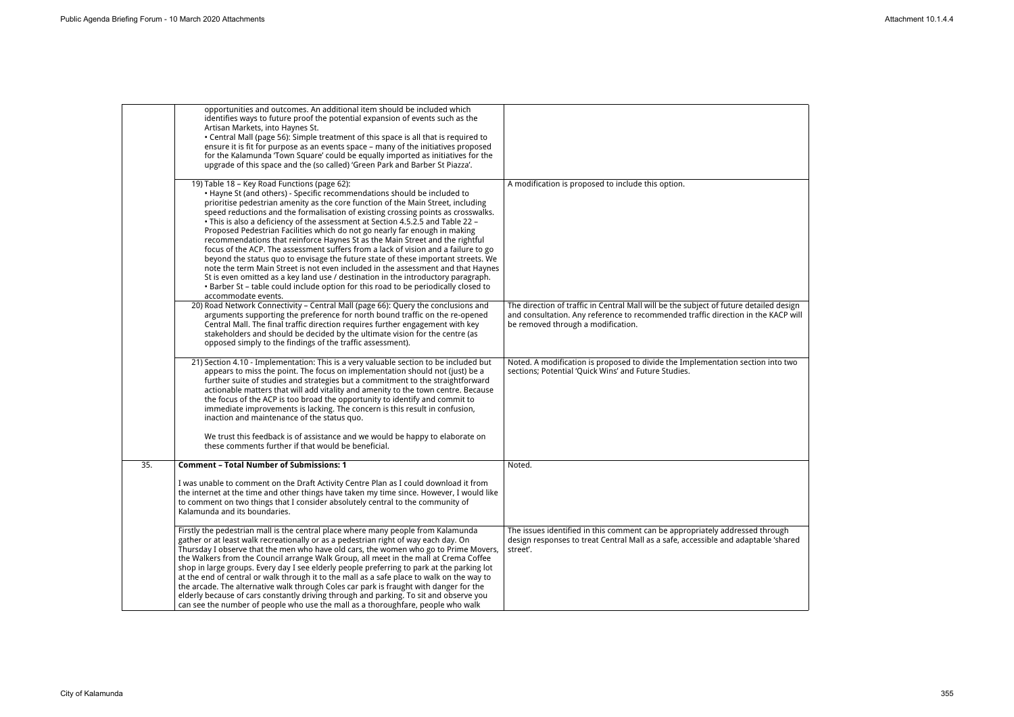| opportunities and outcomes. An additional item should be included which<br>identifies ways to future proof the potential expansion of events such as the<br>Artisan Markets, into Haynes St.<br>• Central Mall (page 56): Simple treatment of this space is all that is required to<br>ensure it is fit for purpose as an events space - many of the initiatives proposed<br>for the Kalamunda 'Town Square' could be equally imported as initiatives for the<br>upgrade of this space and the (so called) 'Green Park and Barber St Piazza'.<br>19) Table 18 - Key Road Functions (page 62):<br>A modification is proposed to include this option.<br>• Hayne St (and others) - Specific recommendations should be included to<br>prioritise pedestrian amenity as the core function of the Main Street, including<br>speed reductions and the formalisation of existing crossing points as crosswalks.<br>• This is also a deficiency of the assessment at Section 4.5.2.5 and Table 22 -<br>Proposed Pedestrian Facilities which do not go nearly far enough in making<br>recommendations that reinforce Haynes St as the Main Street and the rightful<br>focus of the ACP. The assessment suffers from a lack of vision and a failure to go<br>beyond the status quo to envisage the future state of these important streets. We<br>note the term Main Street is not even included in the assessment and that Haynes<br>St is even omitted as a key land use / destination in the introductory paragraph.<br>. Barber St - table could include option for this road to be periodically closed to<br>accommodate events.<br>20) Road Network Connectivity - Central Mall (page 66): Query the conclusions and<br>The direction of traffic in Central Mall will be the subject of future detailed design<br>arguments supporting the preference for north bound traffic on the re-opened<br>Central Mall. The final traffic direction requires further engagement with key<br>be removed through a modification.<br>stakeholders and should be decided by the ultimate vision for the centre (as<br>opposed simply to the findings of the traffic assessment).<br>21) Section 4.10 - Implementation: This is a very valuable section to be included but<br>Noted. A modification is proposed to divide the Implementation section into two<br>appears to miss the point. The focus on implementation should not (just) be a<br>sections; Potential 'Quick Wins' and Future Studies.<br>further suite of studies and strategies but a commitment to the straightforward<br>actionable matters that will add vitality and amenity to the town centre. Because<br>the focus of the ACP is too broad the opportunity to identify and commit to<br>immediate improvements is lacking. The concern is this result in confusion,<br>inaction and maintenance of the status quo.<br>We trust this feedback is of assistance and we would be happy to elaborate on<br>these comments further if that would be beneficial.<br>35.<br><b>Comment - Total Number of Submissions: 1</b><br>Noted.<br>I was unable to comment on the Draft Activity Centre Plan as I could download it from<br>the internet at the time and other things have taken my time since. However, I would like<br>to comment on two things that I consider absolutely central to the community of<br>Kalamunda and its boundaries.<br>Firstly the pedestrian mall is the central place where many people from Kalamunda<br>The issues identified in this comment can be appropriately addressed through<br>gather or at least walk recreationally or as a pedestrian right of way each day. On<br>design responses to treat Central Mall as a safe, accessible and adaptable 'shared<br>Thursday I observe that the men who have old cars, the women who go to Prime Movers,<br>street'.<br>the Walkers from the Council arrange Walk Group, all meet in the mall at Crema Coffee<br>shop in large groups. Every day I see elderly people preferring to park at the parking lot<br>at the end of central or walk through it to the mall as a safe place to walk on the way to<br>the arcade. The alternative walk through Coles car park is fraught with danger for the<br>elderly because of cars constantly driving through and parking. To sit and observe you<br>can see the number of people who use the mall as a thoroughfare, people who walk |  |                                                                                   |
|---------------------------------------------------------------------------------------------------------------------------------------------------------------------------------------------------------------------------------------------------------------------------------------------------------------------------------------------------------------------------------------------------------------------------------------------------------------------------------------------------------------------------------------------------------------------------------------------------------------------------------------------------------------------------------------------------------------------------------------------------------------------------------------------------------------------------------------------------------------------------------------------------------------------------------------------------------------------------------------------------------------------------------------------------------------------------------------------------------------------------------------------------------------------------------------------------------------------------------------------------------------------------------------------------------------------------------------------------------------------------------------------------------------------------------------------------------------------------------------------------------------------------------------------------------------------------------------------------------------------------------------------------------------------------------------------------------------------------------------------------------------------------------------------------------------------------------------------------------------------------------------------------------------------------------------------------------------------------------------------------------------------------------------------------------------------------------------------------------------------------------------------------------------------------------------------------------------------------------------------------------------------------------------------------------------------------------------------------------------------------------------------------------------------------------------------------------------------------------------------------------------------------------------------------------------------------------------------------------------------------------------------------------------------------------------------------------------------------------------------------------------------------------------------------------------------------------------------------------------------------------------------------------------------------------------------------------------------------------------------------------------------------------------------------------------------------------------------------------------------------------------------------------------------------------------------------------------------------------------------------------------------------------------------------------------------------------------------------------------------------------------------------------------------------------------------------------------------------------------------------------------------------------------------------------------------------------------------------------------------------------------------------------------------------------------------------------------------------------------------------------------------------------------------------------------------------------------------------------------------------------------------------------------------------------------------------------------------------------------------------------------------------------------------------------------------------------------------------------------------------------------------------------------------------------------------------------------------------------------------------------------------------------------------------------------------------------------------------------------------------------------------------------------------|--|-----------------------------------------------------------------------------------|
|                                                                                                                                                                                                                                                                                                                                                                                                                                                                                                                                                                                                                                                                                                                                                                                                                                                                                                                                                                                                                                                                                                                                                                                                                                                                                                                                                                                                                                                                                                                                                                                                                                                                                                                                                                                                                                                                                                                                                                                                                                                                                                                                                                                                                                                                                                                                                                                                                                                                                                                                                                                                                                                                                                                                                                                                                                                                                                                                                                                                                                                                                                                                                                                                                                                                                                                                                                                                                                                                                                                                                                                                                                                                                                                                                                                                                                                                                                                                                                                                                                                                                                                                                                                                                                                                                                                                                                                                                     |  |                                                                                   |
|                                                                                                                                                                                                                                                                                                                                                                                                                                                                                                                                                                                                                                                                                                                                                                                                                                                                                                                                                                                                                                                                                                                                                                                                                                                                                                                                                                                                                                                                                                                                                                                                                                                                                                                                                                                                                                                                                                                                                                                                                                                                                                                                                                                                                                                                                                                                                                                                                                                                                                                                                                                                                                                                                                                                                                                                                                                                                                                                                                                                                                                                                                                                                                                                                                                                                                                                                                                                                                                                                                                                                                                                                                                                                                                                                                                                                                                                                                                                                                                                                                                                                                                                                                                                                                                                                                                                                                                                                     |  |                                                                                   |
|                                                                                                                                                                                                                                                                                                                                                                                                                                                                                                                                                                                                                                                                                                                                                                                                                                                                                                                                                                                                                                                                                                                                                                                                                                                                                                                                                                                                                                                                                                                                                                                                                                                                                                                                                                                                                                                                                                                                                                                                                                                                                                                                                                                                                                                                                                                                                                                                                                                                                                                                                                                                                                                                                                                                                                                                                                                                                                                                                                                                                                                                                                                                                                                                                                                                                                                                                                                                                                                                                                                                                                                                                                                                                                                                                                                                                                                                                                                                                                                                                                                                                                                                                                                                                                                                                                                                                                                                                     |  | and consultation. Any reference to recommended traffic direction in the KACP will |
|                                                                                                                                                                                                                                                                                                                                                                                                                                                                                                                                                                                                                                                                                                                                                                                                                                                                                                                                                                                                                                                                                                                                                                                                                                                                                                                                                                                                                                                                                                                                                                                                                                                                                                                                                                                                                                                                                                                                                                                                                                                                                                                                                                                                                                                                                                                                                                                                                                                                                                                                                                                                                                                                                                                                                                                                                                                                                                                                                                                                                                                                                                                                                                                                                                                                                                                                                                                                                                                                                                                                                                                                                                                                                                                                                                                                                                                                                                                                                                                                                                                                                                                                                                                                                                                                                                                                                                                                                     |  |                                                                                   |
|                                                                                                                                                                                                                                                                                                                                                                                                                                                                                                                                                                                                                                                                                                                                                                                                                                                                                                                                                                                                                                                                                                                                                                                                                                                                                                                                                                                                                                                                                                                                                                                                                                                                                                                                                                                                                                                                                                                                                                                                                                                                                                                                                                                                                                                                                                                                                                                                                                                                                                                                                                                                                                                                                                                                                                                                                                                                                                                                                                                                                                                                                                                                                                                                                                                                                                                                                                                                                                                                                                                                                                                                                                                                                                                                                                                                                                                                                                                                                                                                                                                                                                                                                                                                                                                                                                                                                                                                                     |  |                                                                                   |
|                                                                                                                                                                                                                                                                                                                                                                                                                                                                                                                                                                                                                                                                                                                                                                                                                                                                                                                                                                                                                                                                                                                                                                                                                                                                                                                                                                                                                                                                                                                                                                                                                                                                                                                                                                                                                                                                                                                                                                                                                                                                                                                                                                                                                                                                                                                                                                                                                                                                                                                                                                                                                                                                                                                                                                                                                                                                                                                                                                                                                                                                                                                                                                                                                                                                                                                                                                                                                                                                                                                                                                                                                                                                                                                                                                                                                                                                                                                                                                                                                                                                                                                                                                                                                                                                                                                                                                                                                     |  |                                                                                   |
|                                                                                                                                                                                                                                                                                                                                                                                                                                                                                                                                                                                                                                                                                                                                                                                                                                                                                                                                                                                                                                                                                                                                                                                                                                                                                                                                                                                                                                                                                                                                                                                                                                                                                                                                                                                                                                                                                                                                                                                                                                                                                                                                                                                                                                                                                                                                                                                                                                                                                                                                                                                                                                                                                                                                                                                                                                                                                                                                                                                                                                                                                                                                                                                                                                                                                                                                                                                                                                                                                                                                                                                                                                                                                                                                                                                                                                                                                                                                                                                                                                                                                                                                                                                                                                                                                                                                                                                                                     |  |                                                                                   |

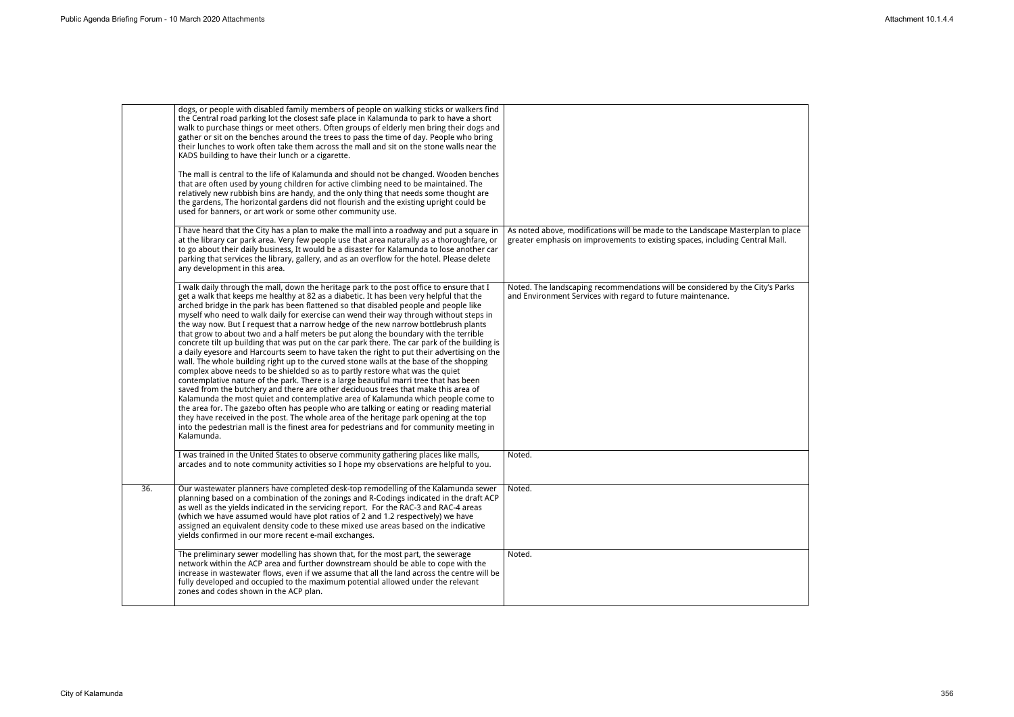|                   | dogs, or people with disabled family members of people on walking sticks or walkers find<br>the Central road parking lot the closest safe place in Kalamunda to park to have a short<br>walk to purchase things or meet others. Often groups of elderly men bring their dogs and<br>gather or sit on the benches around the trees to pass the time of day. People who bring<br>their lunches to work often take them across the mall and sit on the stone walls near the<br>KADS building to have their lunch or a cigarette.<br>The mall is central to the life of Kalamunda and should not be changed. Wooden benches<br>that are often used by young children for active climbing need to be maintained. The<br>relatively new rubbish bins are handy, and the only thing that needs some thought are<br>the gardens, The horizontal gardens did not flourish and the existing upright could be<br>used for banners, or art work or some other community use.                                                                                                                                                                                                                                                                                                                                                                                                                                                                                                                                    |                                                                                                                                                                 |
|-------------------|-----------------------------------------------------------------------------------------------------------------------------------------------------------------------------------------------------------------------------------------------------------------------------------------------------------------------------------------------------------------------------------------------------------------------------------------------------------------------------------------------------------------------------------------------------------------------------------------------------------------------------------------------------------------------------------------------------------------------------------------------------------------------------------------------------------------------------------------------------------------------------------------------------------------------------------------------------------------------------------------------------------------------------------------------------------------------------------------------------------------------------------------------------------------------------------------------------------------------------------------------------------------------------------------------------------------------------------------------------------------------------------------------------------------------------------------------------------------------------------------------------|-----------------------------------------------------------------------------------------------------------------------------------------------------------------|
|                   | I have heard that the City has a plan to make the mall into a roadway and put a square in<br>at the library car park area. Very few people use that area naturally as a thoroughfare, or<br>to go about their daily business, It would be a disaster for Kalamunda to lose another car<br>parking that services the library, gallery, and as an overflow for the hotel. Please delete<br>any development in this area.                                                                                                                                                                                                                                                                                                                                                                                                                                                                                                                                                                                                                                                                                                                                                                                                                                                                                                                                                                                                                                                                              | As noted above, modifications will be made to the Landscape Masterplan to place<br>greater emphasis on improvements to existing spaces, including Central Mall. |
|                   | I walk daily through the mall, down the heritage park to the post office to ensure that I<br>get a walk that keeps me healthy at 82 as a diabetic. It has been very helpful that the<br>arched bridge in the park has been flattened so that disabled people and people like<br>myself who need to walk daily for exercise can wend their way through without steps in<br>the way now. But I request that a narrow hedge of the new narrow bottlebrush plants<br>that grow to about two and a half meters be put along the boundary with the terrible<br>concrete tilt up building that was put on the car park there. The car park of the building is<br>a daily eyesore and Harcourts seem to have taken the right to put their advertising on the<br>wall. The whole building right up to the curved stone walls at the base of the shopping<br>complex above needs to be shielded so as to partly restore what was the quiet<br>contemplative nature of the park. There is a large beautiful marri tree that has been<br>saved from the butchery and there are other deciduous trees that make this area of<br>Kalamunda the most quiet and contemplative area of Kalamunda which people come to<br>the area for. The gazebo often has people who are talking or eating or reading material<br>they have received in the post. The whole area of the heritage park opening at the top<br>into the pedestrian mall is the finest area for pedestrians and for community meeting in<br>Kalamunda. | Noted. The landscaping recommendations will be considered by the City's Parks<br>and Environment Services with regard to future maintenance.                    |
|                   | I was trained in the United States to observe community gathering places like malls,<br>arcades and to note community activities so I hope my observations are helpful to you.                                                                                                                                                                                                                                                                                                                                                                                                                                                                                                                                                                                                                                                                                                                                                                                                                                                                                                                                                                                                                                                                                                                                                                                                                                                                                                                      | Noted.                                                                                                                                                          |
| $\overline{36}$ . | Our wastewater planners have completed desk-top remodelling of the Kalamunda sewer<br>planning based on a combination of the zonings and R-Codings indicated in the draft ACP<br>as well as the yields indicated in the servicing report. For the RAC-3 and RAC-4 areas<br>(which we have assumed would have plot ratios of 2 and 1.2 respectively) we have<br>assigned an equivalent density code to these mixed use areas based on the indicative<br>yields confirmed in our more recent e-mail exchanges.                                                                                                                                                                                                                                                                                                                                                                                                                                                                                                                                                                                                                                                                                                                                                                                                                                                                                                                                                                                        | Noted.                                                                                                                                                          |
|                   | The preliminary sewer modelling has shown that, for the most part, the sewerage<br>network within the ACP area and further downstream should be able to cope with the<br>increase in wastewater flows, even if we assume that all the land across the centre will be<br>fully developed and occupied to the maximum potential allowed under the relevant<br>zones and codes shown in the ACP plan.                                                                                                                                                                                                                                                                                                                                                                                                                                                                                                                                                                                                                                                                                                                                                                                                                                                                                                                                                                                                                                                                                                  | Noted.                                                                                                                                                          |